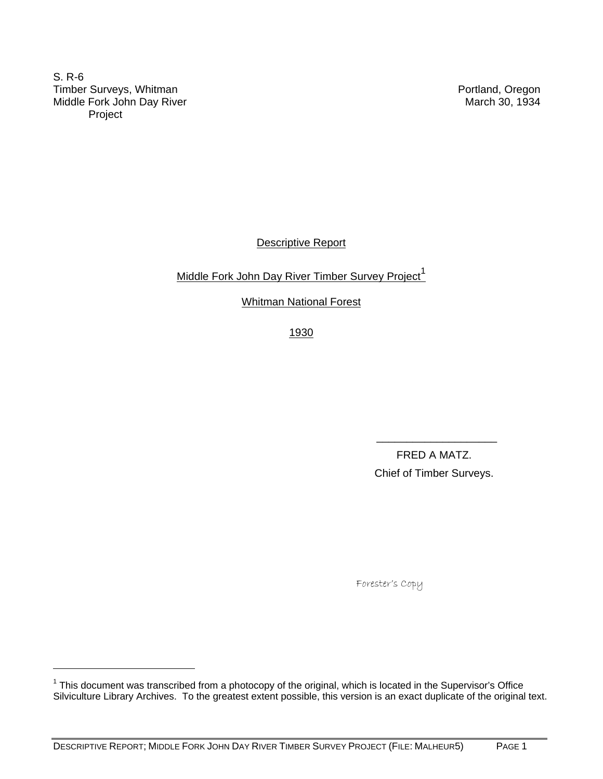S. R-6 Timber Surveys, Whitman **Portland**, Oregon Middle Fork John Day River March 30, 1934 Project

-

Descriptive Report

Middle Fork John Day River Timber Survey Project<sup>1</sup>

Whitman National Forest

1930

 $\overline{\phantom{a}}$  , and the contract of the contract of the contract of the contract of the contract of the contract of the contract of the contract of the contract of the contract of the contract of the contract of the contrac

 FRED A MATZ. Chief of Timber Surveys.

Forester's Copy

 $1$  This document was transcribed from a photocopy of the original, which is located in the Supervisor's Office Silviculture Library Archives. To the greatest extent possible, this version is an exact duplicate of the original text.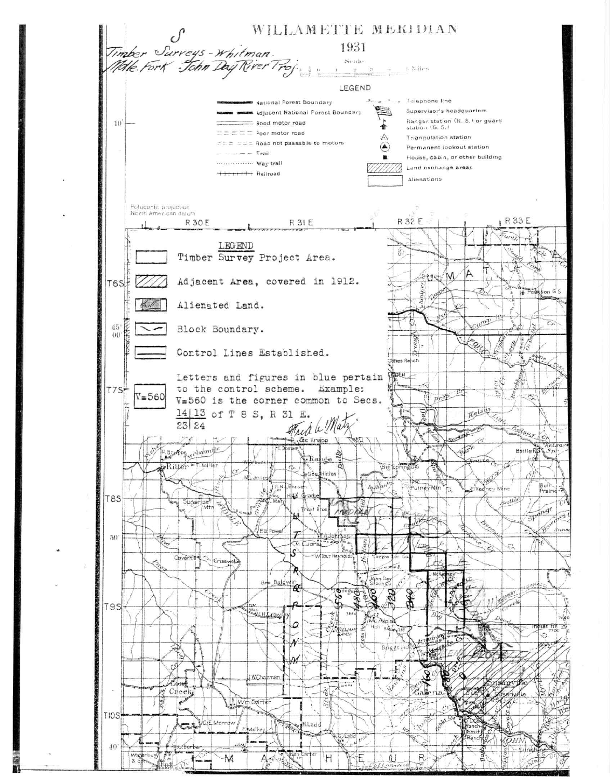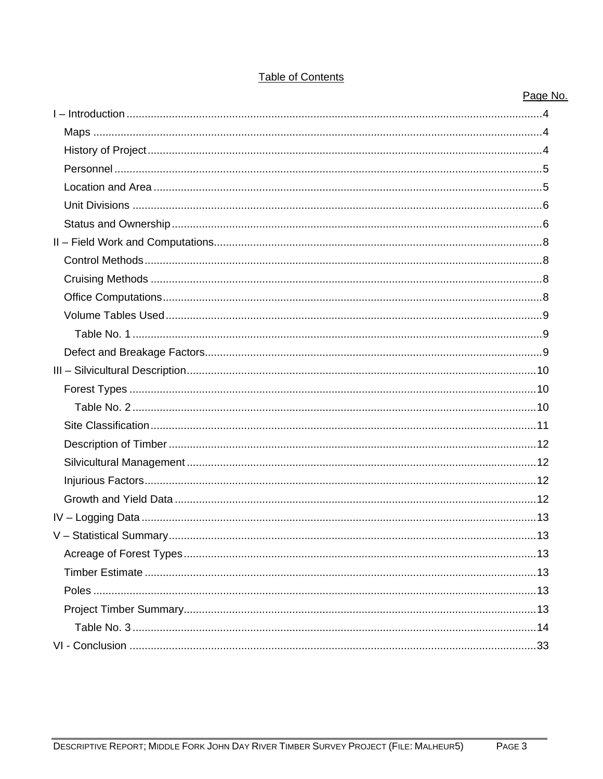| <b>Table of Contents</b> |  |
|--------------------------|--|
|                          |  |
|                          |  |

Page No.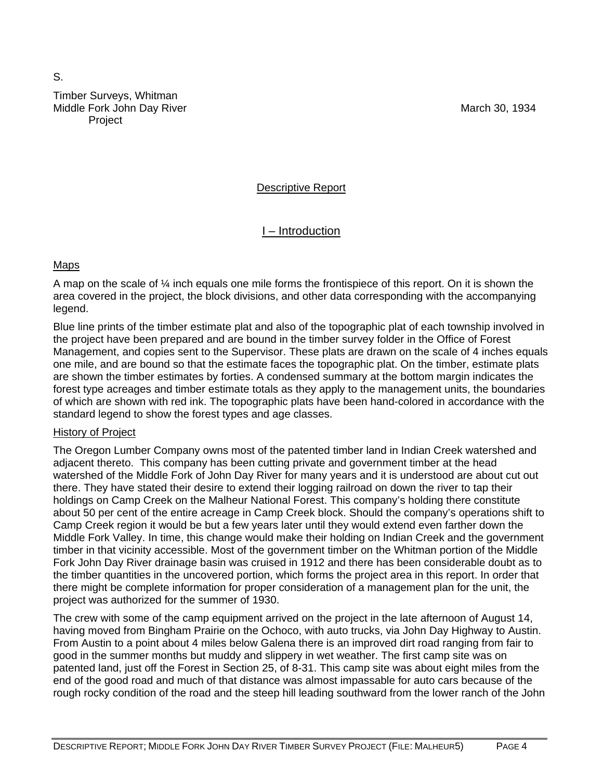# S. Timber Surveys, Whitman Middle Fork John Day River March 30, 1934 **Project**

# Descriptive Report

# I – Introduction

# Maps

A map on the scale of  $\frac{1}{4}$  inch equals one mile forms the frontispiece of this report. On it is shown the area covered in the project, the block divisions, and other data corresponding with the accompanying legend.

Blue line prints of the timber estimate plat and also of the topographic plat of each township involved in the project have been prepared and are bound in the timber survey folder in the Office of Forest Management, and copies sent to the Supervisor. These plats are drawn on the scale of 4 inches equals one mile, and are bound so that the estimate faces the topographic plat. On the timber, estimate plats are shown the timber estimates by forties. A condensed summary at the bottom margin indicates the forest type acreages and timber estimate totals as they apply to the management units, the boundaries of which are shown with red ink. The topographic plats have been hand-colored in accordance with the standard legend to show the forest types and age classes.

# History of Project

The Oregon Lumber Company owns most of the patented timber land in Indian Creek watershed and adjacent thereto. This company has been cutting private and government timber at the head watershed of the Middle Fork of John Day River for many years and it is understood are about cut out there. They have stated their desire to extend their logging railroad on down the river to tap their holdings on Camp Creek on the Malheur National Forest. This company's holding there constitute about 50 per cent of the entire acreage in Camp Creek block. Should the company's operations shift to Camp Creek region it would be but a few years later until they would extend even farther down the Middle Fork Valley. In time, this change would make their holding on Indian Creek and the government timber in that vicinity accessible. Most of the government timber on the Whitman portion of the Middle Fork John Day River drainage basin was cruised in 1912 and there has been considerable doubt as to the timber quantities in the uncovered portion, which forms the project area in this report. In order that there might be complete information for proper consideration of a management plan for the unit, the project was authorized for the summer of 1930.

The crew with some of the camp equipment arrived on the project in the late afternoon of August 14, having moved from Bingham Prairie on the Ochoco, with auto trucks, via John Day Highway to Austin. From Austin to a point about 4 miles below Galena there is an improved dirt road ranging from fair to good in the summer months but muddy and slippery in wet weather. The first camp site was on patented land, just off the Forest in Section 25, of 8-31. This camp site was about eight miles from the end of the good road and much of that distance was almost impassable for auto cars because of the rough rocky condition of the road and the steep hill leading southward from the lower ranch of the John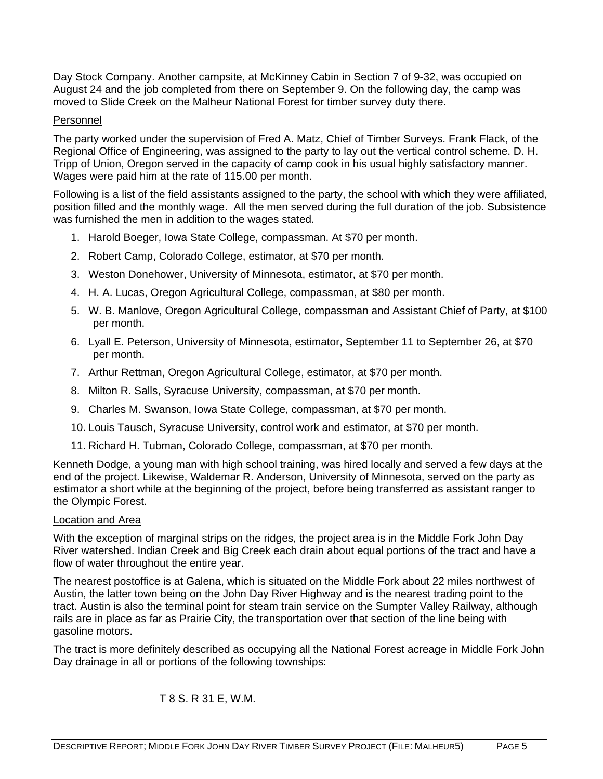Day Stock Company. Another campsite, at McKinney Cabin in Section 7 of 9-32, was occupied on August 24 and the job completed from there on September 9. On the following day, the camp was moved to Slide Creek on the Malheur National Forest for timber survey duty there.

## Personnel

The party worked under the supervision of Fred A. Matz, Chief of Timber Surveys. Frank Flack, of the Regional Office of Engineering, was assigned to the party to lay out the vertical control scheme. D. H. Tripp of Union, Oregon served in the capacity of camp cook in his usual highly satisfactory manner. Wages were paid him at the rate of 115.00 per month.

Following is a list of the field assistants assigned to the party, the school with which they were affiliated, position filled and the monthly wage. All the men served during the full duration of the job. Subsistence was furnished the men in addition to the wages stated.

- 1. Harold Boeger, Iowa State College, compassman. At \$70 per month.
- 2. Robert Camp, Colorado College, estimator, at \$70 per month.
- 3. Weston Donehower, University of Minnesota, estimator, at \$70 per month.
- 4. H. A. Lucas, Oregon Agricultural College, compassman, at \$80 per month.
- 5. W. B. Manlove, Oregon Agricultural College, compassman and Assistant Chief of Party, at \$100 per month.
- 6. Lyall E. Peterson, University of Minnesota, estimator, September 11 to September 26, at \$70 per month.
- 7. Arthur Rettman, Oregon Agricultural College, estimator, at \$70 per month.
- 8. Milton R. Salls, Syracuse University, compassman, at \$70 per month.
- 9. Charles M. Swanson, Iowa State College, compassman, at \$70 per month.
- 10. Louis Tausch, Syracuse University, control work and estimator, at \$70 per month.
- 11. Richard H. Tubman, Colorado College, compassman, at \$70 per month.

Kenneth Dodge, a young man with high school training, was hired locally and served a few days at the end of the project. Likewise, Waldemar R. Anderson, University of Minnesota, served on the party as estimator a short while at the beginning of the project, before being transferred as assistant ranger to the Olympic Forest.

### Location and Area

With the exception of marginal strips on the ridges, the project area is in the Middle Fork John Day River watershed. Indian Creek and Big Creek each drain about equal portions of the tract and have a flow of water throughout the entire year.

The nearest postoffice is at Galena, which is situated on the Middle Fork about 22 miles northwest of Austin, the latter town being on the John Day River Highway and is the nearest trading point to the tract. Austin is also the terminal point for steam train service on the Sumpter Valley Railway, although rails are in place as far as Prairie City, the transportation over that section of the line being with gasoline motors.

The tract is more definitely described as occupying all the National Forest acreage in Middle Fork John Day drainage in all or portions of the following townships:

T 8 S. R 31 E, W.M.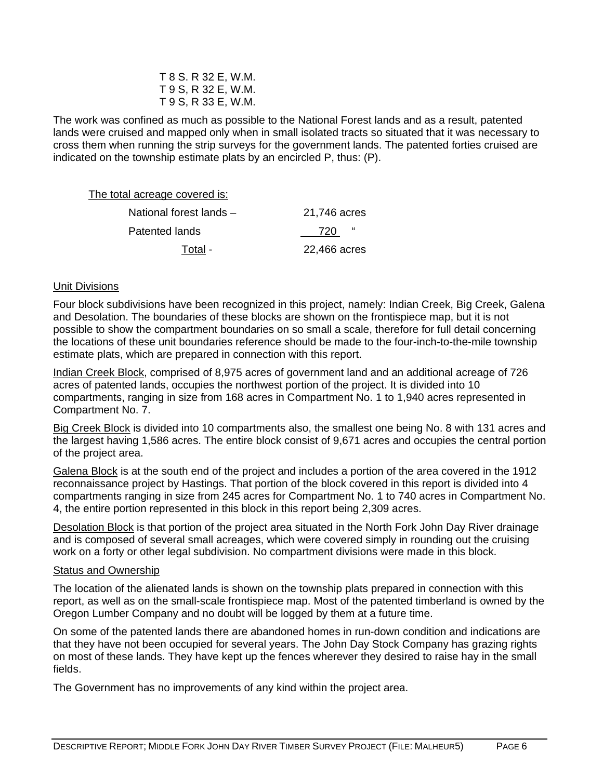| T 8 S. R 32 E, W.M. |
|---------------------|
| T 9 S, R 32 E, W.M. |
| T 9 S, R 33 E, W.M. |

The work was confined as much as possible to the National Forest lands and as a result, patented lands were cruised and mapped only when in small isolated tracts so situated that it was necessary to cross them when running the strip surveys for the government lands. The patented forties cruised are indicated on the township estimate plats by an encircled P, thus: (P).

| The total acreage covered is: |              |
|-------------------------------|--------------|
| National forest lands -       | 21,746 acres |
| Patented lands                | "<br>720     |
| Total -                       | 22,466 acres |

## Unit Divisions

Four block subdivisions have been recognized in this project, namely: Indian Creek, Big Creek, Galena and Desolation. The boundaries of these blocks are shown on the frontispiece map, but it is not possible to show the compartment boundaries on so small a scale, therefore for full detail concerning the locations of these unit boundaries reference should be made to the four-inch-to-the-mile township estimate plats, which are prepared in connection with this report.

Indian Creek Block, comprised of 8,975 acres of government land and an additional acreage of 726 acres of patented lands, occupies the northwest portion of the project. It is divided into 10 compartments, ranging in size from 168 acres in Compartment No. 1 to 1,940 acres represented in Compartment No. 7.

Big Creek Block is divided into 10 compartments also, the smallest one being No. 8 with 131 acres and the largest having 1,586 acres. The entire block consist of 9,671 acres and occupies the central portion of the project area.

Galena Block is at the south end of the project and includes a portion of the area covered in the 1912 reconnaissance project by Hastings. That portion of the block covered in this report is divided into 4 compartments ranging in size from 245 acres for Compartment No. 1 to 740 acres in Compartment No. 4, the entire portion represented in this block in this report being 2,309 acres.

Desolation Block is that portion of the project area situated in the North Fork John Day River drainage and is composed of several small acreages, which were covered simply in rounding out the cruising work on a forty or other legal subdivision. No compartment divisions were made in this block.

### Status and Ownership

The location of the alienated lands is shown on the township plats prepared in connection with this report, as well as on the small-scale frontispiece map. Most of the patented timberland is owned by the Oregon Lumber Company and no doubt will be logged by them at a future time.

On some of the patented lands there are abandoned homes in run-down condition and indications are that they have not been occupied for several years. The John Day Stock Company has grazing rights on most of these lands. They have kept up the fences wherever they desired to raise hay in the small fields.

The Government has no improvements of any kind within the project area.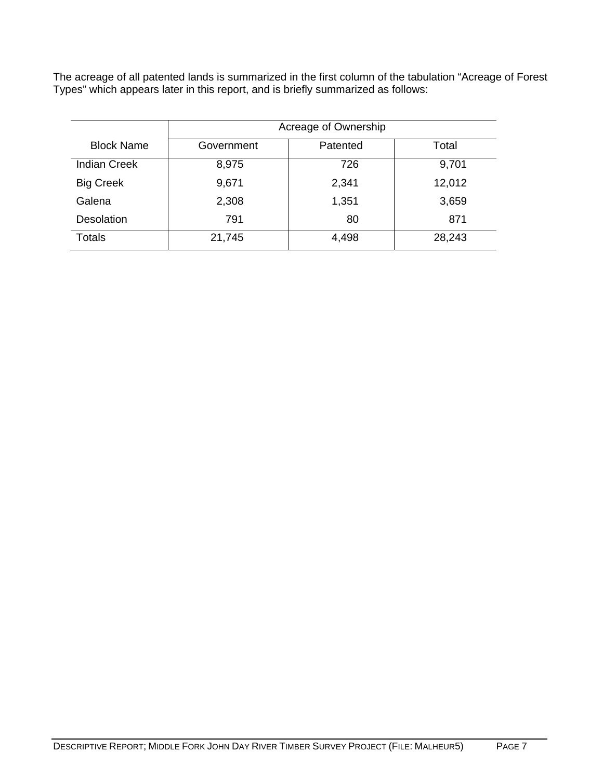The acreage of all patented lands is summarized in the first column of the tabulation "Acreage of Forest Types" which appears later in this report, and is briefly summarized as follows:

|                     | Acreage of Ownership |          |        |  |  |  |  |  |  |  |  |  |
|---------------------|----------------------|----------|--------|--|--|--|--|--|--|--|--|--|
| <b>Block Name</b>   | Government           | Patented | Total  |  |  |  |  |  |  |  |  |  |
| <b>Indian Creek</b> | 8,975                | 726      | 9,701  |  |  |  |  |  |  |  |  |  |
| <b>Big Creek</b>    | 9,671                | 2,341    | 12,012 |  |  |  |  |  |  |  |  |  |
| Galena              | 2,308                | 1,351    | 3,659  |  |  |  |  |  |  |  |  |  |
| Desolation          | 791                  | 80       | 871    |  |  |  |  |  |  |  |  |  |
| <b>Totals</b>       | 21,745               | 4,498    | 28,243 |  |  |  |  |  |  |  |  |  |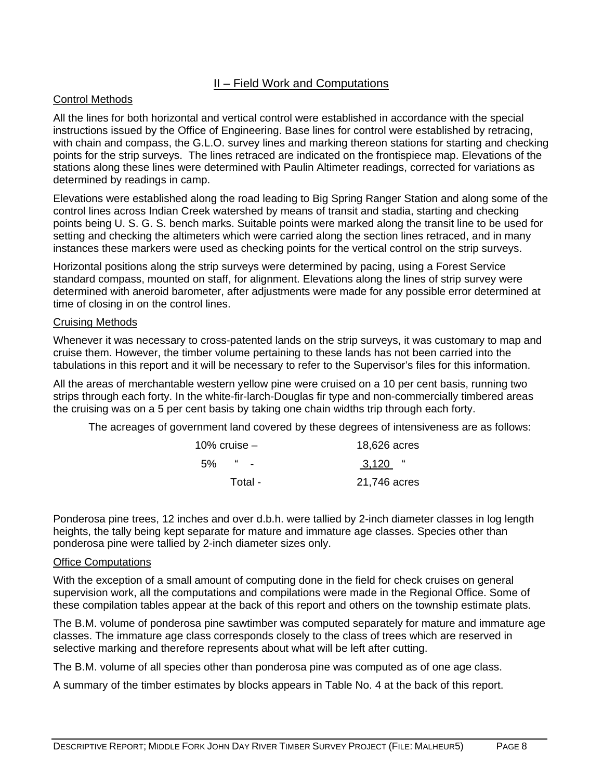# II – Field Work and Computations

# Control Methods

All the lines for both horizontal and vertical control were established in accordance with the special instructions issued by the Office of Engineering. Base lines for control were established by retracing, with chain and compass, the G.L.O. survey lines and marking thereon stations for starting and checking points for the strip surveys. The lines retraced are indicated on the frontispiece map. Elevations of the stations along these lines were determined with Paulin Altimeter readings, corrected for variations as determined by readings in camp.

Elevations were established along the road leading to Big Spring Ranger Station and along some of the control lines across Indian Creek watershed by means of transit and stadia, starting and checking points being U. S. G. S. bench marks. Suitable points were marked along the transit line to be used for setting and checking the altimeters which were carried along the section lines retraced, and in many instances these markers were used as checking points for the vertical control on the strip surveys.

Horizontal positions along the strip surveys were determined by pacing, using a Forest Service standard compass, mounted on staff, for alignment. Elevations along the lines of strip survey were determined with aneroid barometer, after adjustments were made for any possible error determined at time of closing in on the control lines.

## Cruising Methods

Whenever it was necessary to cross-patented lands on the strip surveys, it was customary to map and cruise them. However, the timber volume pertaining to these lands has not been carried into the tabulations in this report and it will be necessary to refer to the Supervisor's files for this information.

All the areas of merchantable western yellow pine were cruised on a 10 per cent basis, running two strips through each forty. In the white-fir-larch-Douglas fir type and non-commercially timbered areas the cruising was on a 5 per cent basis by taking one chain widths trip through each forty.

The acreages of government land covered by these degrees of intensiveness are as follows:

| 10% cruise $-$      | 18,626 acres |
|---------------------|--------------|
| $\sim$ $\sim$<br>5% | $3,120$ "    |
| Total -             | 21,746 acres |

Ponderosa pine trees, 12 inches and over d.b.h. were tallied by 2-inch diameter classes in log length heights, the tally being kept separate for mature and immature age classes. Species other than ponderosa pine were tallied by 2-inch diameter sizes only.

### Office Computations

With the exception of a small amount of computing done in the field for check cruises on general supervision work, all the computations and compilations were made in the Regional Office. Some of these compilation tables appear at the back of this report and others on the township estimate plats.

The B.M. volume of ponderosa pine sawtimber was computed separately for mature and immature age classes. The immature age class corresponds closely to the class of trees which are reserved in selective marking and therefore represents about what will be left after cutting.

The B.M. volume of all species other than ponderosa pine was computed as of one age class.

A summary of the timber estimates by blocks appears in Table No. 4 at the back of this report.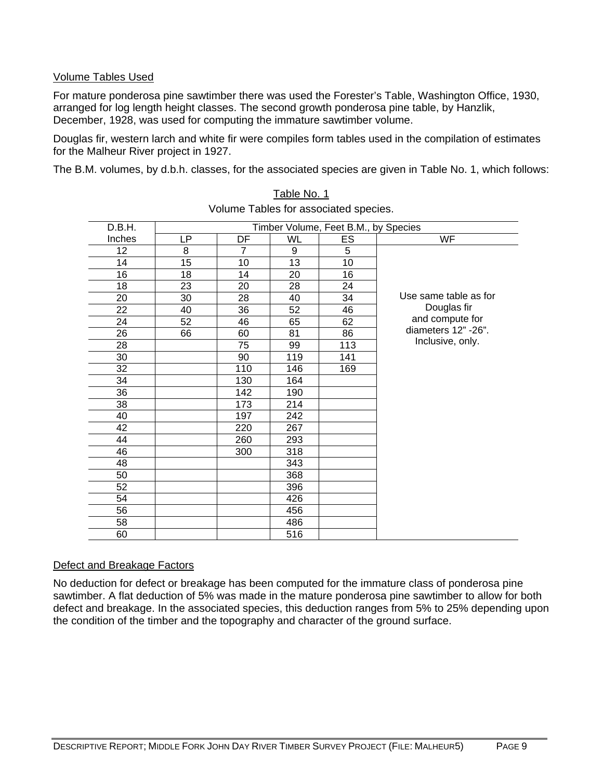# Volume Tables Used

For mature ponderosa pine sawtimber there was used the Forester's Table, Washington Office, 1930, arranged for log length height classes. The second growth ponderosa pine table, by Hanzlik, December, 1928, was used for computing the immature sawtimber volume.

Douglas fir, western larch and white fir were compiles form tables used in the compilation of estimates for the Malheur River project in 1927.

The B.M. volumes, by d.b.h. classes, for the associated species are given in Table No. 1, which follows:

| D.B.H. |    |                |           | Timber Volume, Feet B.M., by Species |                       |
|--------|----|----------------|-----------|--------------------------------------|-----------------------|
| Inches | LP | DF             | <b>WL</b> | ES                                   | <b>WF</b>             |
| 12     | 8  | $\overline{7}$ | 9         | 5                                    |                       |
| 14     | 15 | 10             | 13        | 10                                   |                       |
| 16     | 18 | 14             | 20        | 16                                   |                       |
| 18     | 23 | 20             | 28        | 24                                   |                       |
| 20     | 30 | 28             | 40        | 34                                   | Use same table as for |
| 22     | 40 | 36             | 52        | 46                                   | Douglas fir           |
| 24     | 52 | 46             | 65        | 62                                   | and compute for       |
| 26     | 66 | 60             | 81        | 86                                   | diameters 12" -26".   |
| 28     |    | 75             | 99        | 113                                  | Inclusive, only.      |
| 30     |    | 90             | 119       | 141                                  |                       |
| 32     |    | 110            | 146       | 169                                  |                       |
| 34     |    | 130            | 164       |                                      |                       |
| 36     |    | 142            | 190       |                                      |                       |
| 38     |    | 173            | 214       |                                      |                       |
| 40     |    | 197            | 242       |                                      |                       |
| 42     |    | 220            | 267       |                                      |                       |
| 44     |    | 260            | 293       |                                      |                       |
| 46     |    | 300            | 318       |                                      |                       |
| 48     |    |                | 343       |                                      |                       |
| 50     |    |                | 368       |                                      |                       |
| 52     |    |                | 396       |                                      |                       |
| 54     |    |                | 426       |                                      |                       |
| 56     |    |                | 456       |                                      |                       |
| 58     |    |                | 486       |                                      |                       |
| 60     |    |                | 516       |                                      |                       |

Table No. 1 Volume Tables for associated species.

# Defect and Breakage Factors

No deduction for defect or breakage has been computed for the immature class of ponderosa pine sawtimber. A flat deduction of 5% was made in the mature ponderosa pine sawtimber to allow for both defect and breakage. In the associated species, this deduction ranges from 5% to 25% depending upon the condition of the timber and the topography and character of the ground surface.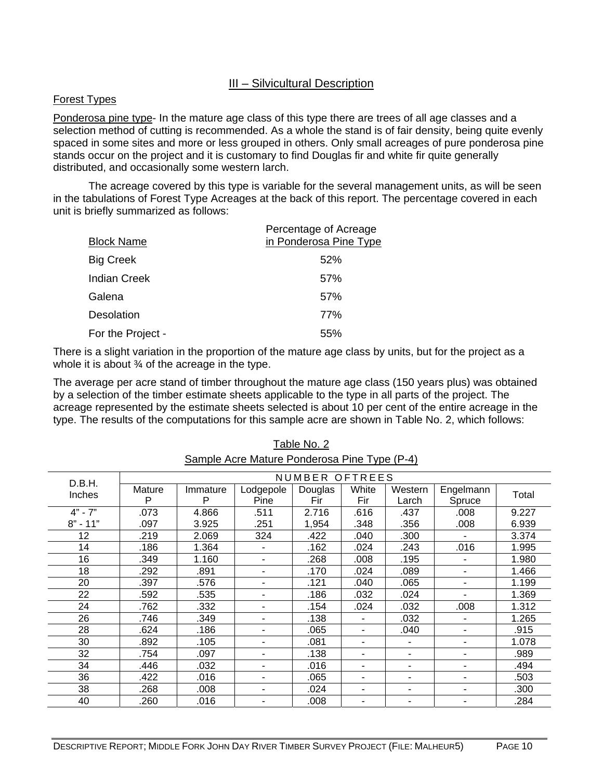# III – Silvicultural Description

## Forest Types

Ponderosa pine type- In the mature age class of this type there are trees of all age classes and a selection method of cutting is recommended. As a whole the stand is of fair density, being quite evenly spaced in some sites and more or less grouped in others. Only small acreages of pure ponderosa pine stands occur on the project and it is customary to find Douglas fir and white fir quite generally distributed, and occasionally some western larch.

 The acreage covered by this type is variable for the several management units, as will be seen in the tabulations of Forest Type Acreages at the back of this report. The percentage covered in each unit is briefly summarized as follows:

| <b>Block Name</b>   | Percentage of Acreage<br>in Ponderosa Pine Type |
|---------------------|-------------------------------------------------|
| <b>Big Creek</b>    | 52%                                             |
| <b>Indian Creek</b> | 57%                                             |
| Galena              | 57%                                             |
| Desolation          | 77%                                             |
| For the Project -   | 55%                                             |

There is a slight variation in the proportion of the mature age class by units, but for the project as a whole it is about  $\frac{3}{4}$  of the acreage in the type.

The average per acre stand of timber throughout the mature age class (150 years plus) was obtained by a selection of the timber estimate sheets applicable to the type in all parts of the project. The acreage represented by the estimate sheets selected is about 10 per cent of the entire acreage in the type. The results of the computations for this sample acre are shown in Table No. 2, which follows:

| NUMBER OFTREES |        |          |           |         |       |         |           |       |  |  |
|----------------|--------|----------|-----------|---------|-------|---------|-----------|-------|--|--|
| D.B.H.         |        |          |           |         |       |         |           |       |  |  |
|                | Mature | Immature | Lodgepole | Douglas | White | Western | Engelmann |       |  |  |
| <b>Inches</b>  | P      | P        | Pine      | Fir     | Fir   | Larch   | Spruce    | Total |  |  |
| $4" - 7"$      | .073   | 4.866    | .511      | 2.716   | .616  | .437    | .008      | 9.227 |  |  |
| $8" - 11"$     | .097   | 3.925    | .251      | 1,954   | .348  | .356    | .008      | 6.939 |  |  |
| 12             | .219   | 2.069    | 324       | .422    | .040  | .300    |           | 3.374 |  |  |
| 14             | .186   | 1.364    |           | .162    | .024  | .243    | .016      | 1.995 |  |  |
| 16             | .349   | 1.160    |           | .268    | .008  | .195    |           | 1.980 |  |  |
| 18             | .292   | .891     | ۰         | .170    | .024  | .089    |           | 1.466 |  |  |
| 20             | .397   | .576     | ٠         | .121    | .040  |         |           | 1.199 |  |  |
| 22             | .592   | .535     |           | .186    | .032  |         | .024      |       |  |  |
| 24             | .762   | .332     |           | .154    | .024  |         | .008      | 1.312 |  |  |
| 26             | .746   | .349     |           | .138    |       |         |           | 1.265 |  |  |
| 28             | .624   | .186     |           | .065    |       | .040    |           | .915  |  |  |
| 30             | .892   | .105     |           | .081    | ٠     |         |           | 1.078 |  |  |
| 32             | .754   | .097     |           | .138    |       |         |           | .989  |  |  |
| 34             | .446   | .032     |           | .016    |       | ٠       |           | .494  |  |  |
| 36             | .422   | .016     |           | .065    |       | ٠       |           | .503  |  |  |
| 38             | .268   | .008     |           | .024    |       |         |           | .300  |  |  |
| 40             | .260   | .016     |           | .008    |       | ٠       |           | .284  |  |  |

Table No. 2 Sample Acre Mature Ponderosa Pine Type (P-4)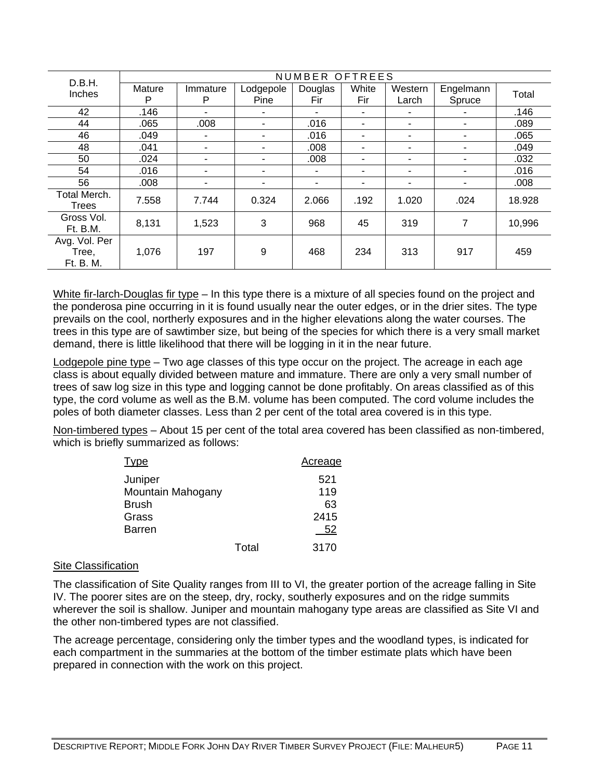| D.B.H.                              | NUMBER OFTREES |                          |                   |                |                          |                  |                     |        |  |  |  |  |  |
|-------------------------------------|----------------|--------------------------|-------------------|----------------|--------------------------|------------------|---------------------|--------|--|--|--|--|--|
| Inches                              | Mature<br>P    | Immature<br>P            | Lodgepole<br>Pine | Douglas<br>Fir | White<br>Fir             | Western<br>Larch | Engelmann<br>Spruce | Total  |  |  |  |  |  |
| 42                                  | .146           |                          |                   |                |                          |                  |                     | .146   |  |  |  |  |  |
| 44                                  | .065           | .008                     | ٠                 | .016           | ۰                        | ٠                |                     | .089   |  |  |  |  |  |
| 46                                  | .049           | ٠                        | ٠                 | .016           | ٠                        | ٠                |                     | .065   |  |  |  |  |  |
| 48                                  | .041           | $\overline{\phantom{0}}$ | ۰                 | .008           | $\overline{\phantom{a}}$ | ٠                |                     | .049   |  |  |  |  |  |
| 50                                  | .024           | ٠                        | ۰                 | .008           |                          | ٠                |                     | .032   |  |  |  |  |  |
| 54                                  | .016           | ۰                        |                   |                | ٠                        | ٠                |                     | .016   |  |  |  |  |  |
| 56                                  | .008           | ۰                        | ۰                 |                | ۰                        | ٠                |                     | .008   |  |  |  |  |  |
| Total Merch.<br>Trees               | 7.558          | 7.744                    | 0.324             | 2.066          | .192                     | 1.020            | .024                | 18.928 |  |  |  |  |  |
| Gross Vol.<br>Ft. B.M.              | 8,131          | 1,523                    | 3                 | 968            | 45                       | 319              | $\overline{7}$      | 10,996 |  |  |  |  |  |
| Avg. Vol. Per<br>Tree,<br>Ft. B. M. | 1,076          | 197                      | 9                 | 468            | 234                      | 313              | 917                 | 459    |  |  |  |  |  |

White fir-larch-Douglas fir type – In this type there is a mixture of all species found on the project and the ponderosa pine occurring in it is found usually near the outer edges, or in the drier sites. The type prevails on the cool, northerly exposures and in the higher elevations along the water courses. The trees in this type are of sawtimber size, but being of the species for which there is a very small market demand, there is little likelihood that there will be logging in it in the near future.

Lodgepole pine type – Two age classes of this type occur on the project. The acreage in each age class is about equally divided between mature and immature. There are only a very small number of trees of saw log size in this type and logging cannot be done profitably. On areas classified as of this type, the cord volume as well as the B.M. volume has been computed. The cord volume includes the poles of both diameter classes. Less than 2 per cent of the total area covered is in this type.

Non-timbered types – About 15 per cent of the total area covered has been classified as non-timbered, which is briefly summarized as follows:

| Type                                                                   |       | Acreage                        |
|------------------------------------------------------------------------|-------|--------------------------------|
| Juniper<br>Mountain Mahogany<br><b>Brush</b><br>Grass<br><b>Barren</b> |       | 521<br>119<br>63<br>2415<br>52 |
|                                                                        | Total | 3170                           |

# Site Classification

The classification of Site Quality ranges from III to VI, the greater portion of the acreage falling in Site IV. The poorer sites are on the steep, dry, rocky, southerly exposures and on the ridge summits wherever the soil is shallow. Juniper and mountain mahogany type areas are classified as Site VI and the other non-timbered types are not classified.

The acreage percentage, considering only the timber types and the woodland types, is indicated for each compartment in the summaries at the bottom of the timber estimate plats which have been prepared in connection with the work on this project.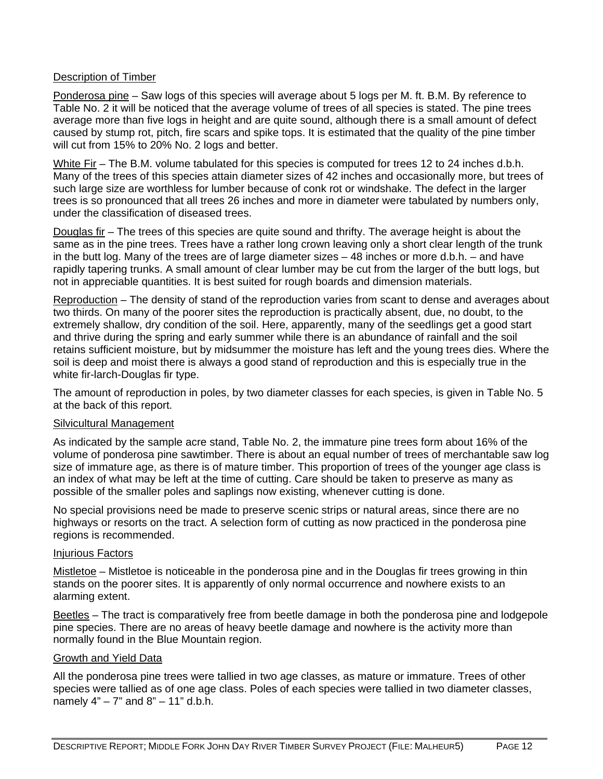# **Description of Timber**

Ponderosa pine – Saw logs of this species will average about 5 logs per M. ft. B.M. By reference to Table No. 2 it will be noticed that the average volume of trees of all species is stated. The pine trees average more than five logs in height and are quite sound, although there is a small amount of defect caused by stump rot, pitch, fire scars and spike tops. It is estimated that the quality of the pine timber will cut from 15% to 20% No. 2 logs and better.

White Fir – The B.M. volume tabulated for this species is computed for trees 12 to 24 inches d.b.h. Many of the trees of this species attain diameter sizes of 42 inches and occasionally more, but trees of such large size are worthless for lumber because of conk rot or windshake. The defect in the larger trees is so pronounced that all trees 26 inches and more in diameter were tabulated by numbers only, under the classification of diseased trees.

Douglas fir – The trees of this species are quite sound and thrifty. The average height is about the same as in the pine trees. Trees have a rather long crown leaving only a short clear length of the trunk in the butt log. Many of the trees are of large diameter sizes – 48 inches or more d.b.h. – and have rapidly tapering trunks. A small amount of clear lumber may be cut from the larger of the butt logs, but not in appreciable quantities. It is best suited for rough boards and dimension materials.

Reproduction – The density of stand of the reproduction varies from scant to dense and averages about two thirds. On many of the poorer sites the reproduction is practically absent, due, no doubt, to the extremely shallow, dry condition of the soil. Here, apparently, many of the seedlings get a good start and thrive during the spring and early summer while there is an abundance of rainfall and the soil retains sufficient moisture, but by midsummer the moisture has left and the young trees dies. Where the soil is deep and moist there is always a good stand of reproduction and this is especially true in the white fir-larch-Douglas fir type.

The amount of reproduction in poles, by two diameter classes for each species, is given in Table No. 5 at the back of this report.

### Silvicultural Management

As indicated by the sample acre stand, Table No. 2, the immature pine trees form about 16% of the volume of ponderosa pine sawtimber. There is about an equal number of trees of merchantable saw log size of immature age, as there is of mature timber. This proportion of trees of the younger age class is an index of what may be left at the time of cutting. Care should be taken to preserve as many as possible of the smaller poles and saplings now existing, whenever cutting is done.

No special provisions need be made to preserve scenic strips or natural areas, since there are no highways or resorts on the tract. A selection form of cutting as now practiced in the ponderosa pine regions is recommended.

### Injurious Factors

Mistletoe – Mistletoe is noticeable in the ponderosa pine and in the Douglas fir trees growing in thin stands on the poorer sites. It is apparently of only normal occurrence and nowhere exists to an alarming extent.

Beetles – The tract is comparatively free from beetle damage in both the ponderosa pine and lodgepole pine species. There are no areas of heavy beetle damage and nowhere is the activity more than normally found in the Blue Mountain region.

### Growth and Yield Data

All the ponderosa pine trees were tallied in two age classes, as mature or immature. Trees of other species were tallied as of one age class. Poles of each species were tallied in two diameter classes, namely  $4" - 7"$  and  $8" - 11"$  d.b.h.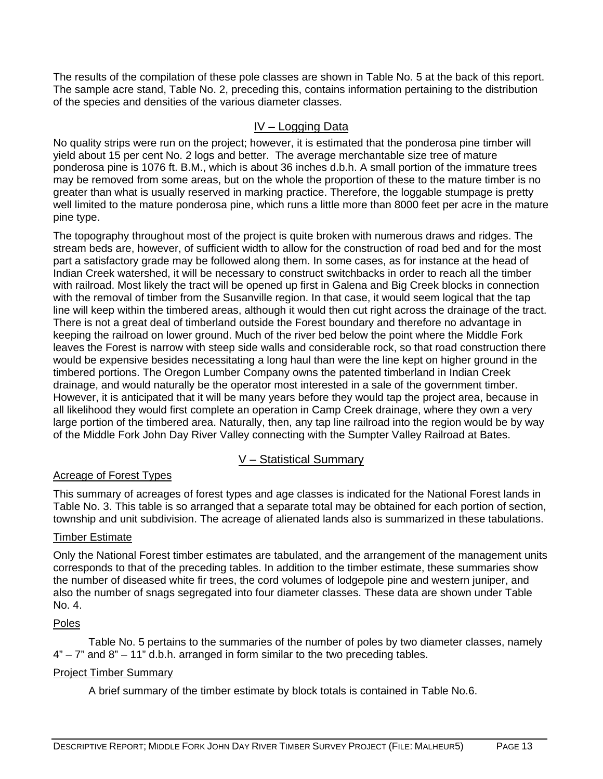The results of the compilation of these pole classes are shown in Table No. 5 at the back of this report. The sample acre stand, Table No. 2, preceding this, contains information pertaining to the distribution of the species and densities of the various diameter classes.

# IV – Logging Data

No quality strips were run on the project; however, it is estimated that the ponderosa pine timber will yield about 15 per cent No. 2 logs and better. The average merchantable size tree of mature ponderosa pine is 1076 ft. B.M., which is about 36 inches d.b.h. A small portion of the immature trees may be removed from some areas, but on the whole the proportion of these to the mature timber is no greater than what is usually reserved in marking practice. Therefore, the loggable stumpage is pretty well limited to the mature ponderosa pine, which runs a little more than 8000 feet per acre in the mature pine type.

The topography throughout most of the project is quite broken with numerous draws and ridges. The stream beds are, however, of sufficient width to allow for the construction of road bed and for the most part a satisfactory grade may be followed along them. In some cases, as for instance at the head of Indian Creek watershed, it will be necessary to construct switchbacks in order to reach all the timber with railroad. Most likely the tract will be opened up first in Galena and Big Creek blocks in connection with the removal of timber from the Susanville region. In that case, it would seem logical that the tap line will keep within the timbered areas, although it would then cut right across the drainage of the tract. There is not a great deal of timberland outside the Forest boundary and therefore no advantage in keeping the railroad on lower ground. Much of the river bed below the point where the Middle Fork leaves the Forest is narrow with steep side walls and considerable rock, so that road construction there would be expensive besides necessitating a long haul than were the line kept on higher ground in the timbered portions. The Oregon Lumber Company owns the patented timberland in Indian Creek drainage, and would naturally be the operator most interested in a sale of the government timber. However, it is anticipated that it will be many years before they would tap the project area, because in all likelihood they would first complete an operation in Camp Creek drainage, where they own a very large portion of the timbered area. Naturally, then, any tap line railroad into the region would be by way of the Middle Fork John Day River Valley connecting with the Sumpter Valley Railroad at Bates.

# V – Statistical Summary

# Acreage of Forest Types

This summary of acreages of forest types and age classes is indicated for the National Forest lands in Table No. 3. This table is so arranged that a separate total may be obtained for each portion of section, township and unit subdivision. The acreage of alienated lands also is summarized in these tabulations.

# Timber Estimate

Only the National Forest timber estimates are tabulated, and the arrangement of the management units corresponds to that of the preceding tables. In addition to the timber estimate, these summaries show the number of diseased white fir trees, the cord volumes of lodgepole pine and western juniper, and also the number of snags segregated into four diameter classes. These data are shown under Table No. 4.

# Poles

 Table No. 5 pertains to the summaries of the number of poles by two diameter classes, namely  $4" - 7"$  and  $8" - 11"$  d.b.h. arranged in form similar to the two preceding tables.

# Project Timber Summary

A brief summary of the timber estimate by block totals is contained in Table No.6.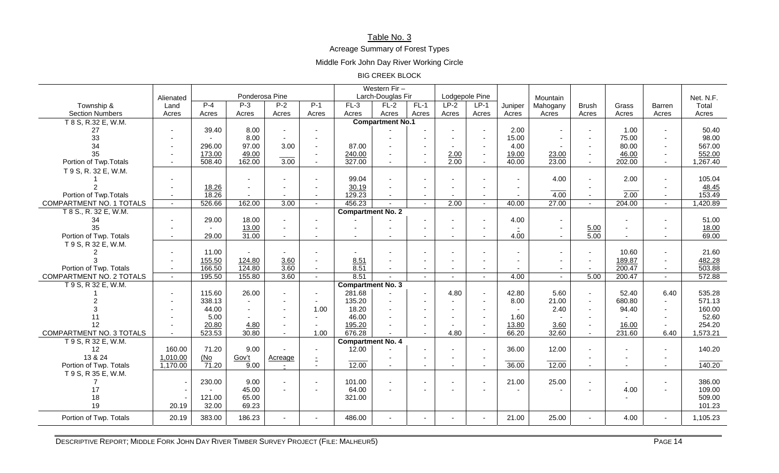## Table No. 3

Acreage Summary of Forest Types

Middle Fork John Day River Working Circle

#### BIG CREEK BLOCK

|                          |                          |                                     | Western Fir- |         |                          |                          |                         |        |                     |                          |                          |                |                     |           |                          |          |
|--------------------------|--------------------------|-------------------------------------|--------------|---------|--------------------------|--------------------------|-------------------------|--------|---------------------|--------------------------|--------------------------|----------------|---------------------|-----------|--------------------------|----------|
|                          | Alienated                | Ponderosa Pine<br>Larch-Douglas Fir |              |         |                          |                          | Lodgepole Pine          |        |                     | Mountain                 |                          |                |                     | Net. N.F. |                          |          |
| Township &               | Land                     | $P-4$                               | $P-3$        | $P-2$   | $P-1$                    | $FL-3$                   | $FL-2$                  | $FL-1$ | $LP-2$              | $LP-1$                   | Juniper                  | Mahogany       | <b>Brush</b>        | Grass     | Barren                   | Total    |
| <b>Section Numbers</b>   | Acres                    | Acres                               | Acres        | Acres   | Acres                    | Acres                    | Acres                   | Acres  | Acres               | Acres                    | Acres                    | Acres          | Acres               | Acres     | Acres                    | Acres    |
| T 8 S, R.32 E, W.M.      |                          |                                     |              |         |                          |                          | <b>Compartment No.1</b> |        |                     |                          |                          |                |                     |           |                          |          |
| 27                       |                          | 39.40                               | 8.00         |         | $\sim$                   |                          |                         |        |                     | $\sim$                   | 2.00                     |                |                     | 1.00      |                          | 50.40    |
| 33                       |                          |                                     | 8.00         |         | $\sim$                   |                          |                         |        |                     | $\sim$                   | 15.00                    | $\sim$         |                     | 75.00     | $\sim$                   | 98.00    |
| 34                       |                          | 296.00                              | 97.00        | 3.00    | $\sim$                   | 87.00                    |                         |        |                     | $\sim$                   | 4.00                     |                | $\overline{a}$      | 80.00     | $\sim$                   | 567.00   |
| 35                       | $\overline{\phantom{0}}$ | 173.00                              | 49.00        |         | $\sim$                   | 240.00                   |                         |        | $\frac{2.00}{2.00}$ | $\sim$                   | 19.00                    | 23.00          | $\sim$              | 46.00     | $\sim$                   | 552.00   |
| Portion of Twp. Totals   |                          | 508.40                              | 162.00       | 3.00    |                          | 327.00                   |                         |        |                     |                          | 40.00                    | 23.00          |                     | 202.00    |                          | 1,267.40 |
| T 9 S, R. 32 E, W.M.     |                          |                                     |              |         |                          |                          |                         |        |                     |                          |                          |                |                     |           |                          |          |
|                          |                          |                                     |              |         | $\sim$                   | 99.04                    | $\mathbf{r}$            |        |                     |                          |                          | 4.00           |                     | 2.00      | $\sim$                   | 105.04   |
|                          |                          | 18.26                               |              |         | $\sim$                   | 30.19                    |                         |        |                     |                          |                          |                |                     |           |                          | 48.45    |
| Portion of Twp. Totals   | $\overline{\phantom{a}}$ | 18.26                               |              |         | $\overline{\phantom{a}}$ | 129.23                   | $\sim$                  | $\sim$ |                     | $\overline{\phantom{a}}$ | $\overline{\phantom{a}}$ | 4.00           |                     | 2.00      | $\overline{\phantom{a}}$ | 153.49   |
| COMPARTMENT NO. 1 TOTALS |                          | 526.66                              | 162.00       | 3.00    | $\sim$                   | 456.23                   |                         |        | 2.00                | $\overline{a}$           | 40.00                    | 27.00          | $\sim$              | 204.00    | $\sim$                   | 1,420.89 |
| T 8 S., R. 32 E, W.M.    |                          |                                     |              |         |                          | <b>Compartment No. 2</b> |                         |        |                     |                          |                          |                |                     |           |                          |          |
| 34                       |                          | 29.00                               | 18.00        |         | $\overline{\phantom{a}}$ |                          |                         |        |                     | $\blacksquare$           | 4.00                     |                |                     |           |                          | 51.00    |
| 35                       |                          |                                     | 13.00        | $\sim$  | $\overline{\phantom{a}}$ | $\overline{a}$           |                         |        |                     | $\sim$                   |                          | $\sim$         | $\frac{5.00}{5.00}$ |           |                          | 18.00    |
| Portion of Twp. Totals   |                          | 29.00                               | 31.00        |         |                          |                          |                         |        |                     | $\blacksquare$           | 4.00                     | $\blacksquare$ |                     |           | $\overline{\phantom{a}}$ | 69.00    |
| T 9 S, R 32 E, W.M.      |                          |                                     |              |         |                          |                          |                         |        |                     |                          |                          |                |                     |           |                          |          |
|                          |                          | 11.00                               |              |         |                          |                          |                         |        |                     |                          |                          |                |                     | 10.60     |                          | 21.60    |
| 3                        |                          | 155.50                              | 124.80       | 3.60    |                          | 8.51                     |                         |        |                     |                          |                          |                | $\overline{a}$      | 189.87    | $\sim$                   | 482.28   |
| Portion of Twp. Totals   | $\overline{\phantom{a}}$ | 166.50                              | 124.80       | 3.60    | $\sim$                   | 8.51                     | $\sim$                  | $\sim$ | $\sim$              | $\sim$                   | $\overline{\phantom{a}}$ | $\sim$         | $\sim$              | 200.47    | $\sim$                   | 503.88   |
| COMPARTMENT NO. 2 TOTALS |                          | 195.50                              | 155.80       | 3.60    |                          | 8.51                     |                         |        |                     |                          | 4.00                     |                | 5.00                | 200.47    | $\sim$                   | 572.88   |
| T 9 S, R 32 E, W.M.      |                          |                                     |              |         |                          | <b>Compartment No. 3</b> |                         |        |                     |                          |                          |                |                     |           |                          |          |
|                          |                          | 115.60                              | 26.00        |         | $\blacksquare$           | 281.68                   |                         |        | 4.80                | $\sim$                   | 42.80                    | 5.60           | $\blacksquare$      | 52.40     | 6.40                     | 535.28   |
|                          |                          | 338.13                              | $\sim$       |         | $\mathbf{r}$             | 135.20                   |                         |        |                     | $\overline{\phantom{a}}$ | 8.00                     | 21.00          | $\mathbf{r}$        | 680.80    | $\sim$                   | 571.13   |
|                          |                          | 44.00                               |              |         | 1.00                     | 18.20                    |                         |        |                     | $\overline{\phantom{a}}$ |                          | 2.40           | $\sim$              | 94.40     | $\sim$                   | 160.00   |
| 11                       |                          | 5.00                                |              |         |                          | 46.00                    |                         |        |                     | $\sim$                   | 1.60                     |                |                     |           | $\sim$                   | 52.60    |
| 12                       |                          | 20.80                               | 4.80         |         |                          | 195.20                   |                         |        |                     | $\blacksquare$           | 13.80                    | 3.60           | $\blacksquare$      | 16.00     | $\sim$                   | 254.20   |
| COMPARTMENT NO. 3 TOTALS | $\sim$                   | 523.53                              | 30.80        | $\sim$  | 1.00                     | 676.28                   |                         |        | 4.80                | $\blacksquare$           | 66.20                    | 32.60          | $\sim$              | 231.60    | 6.40                     | 1,573.21 |
| T 9 S, R 32 E, W.M.      |                          |                                     |              |         |                          | <b>Compartment No. 4</b> |                         |        |                     |                          |                          |                |                     |           |                          |          |
| 12                       | 160.00                   | 71.20                               | 9.00         |         | $\sim$                   | 12.00                    |                         |        |                     | $\blacksquare$           | 36.00                    | 12.00          |                     |           |                          | 140.20   |
| 13 & 24                  | 1,010.00                 | (No                                 | Gov't        | Acreage | $\mathbb{Z}$             |                          |                         |        |                     | $\blacksquare$           |                          |                |                     |           | $\sim$                   |          |
| Portion of Twp. Totals   | 1,170.00                 | $\overline{71.20}$                  | 9.00         | $\sim$  | $\sim$                   | 12.00                    | $\sim$                  | $\sim$ | $\sim$              | $\sim$                   | 36.00                    | 12.00          | $\sim$              | $\sim$    | $\sim$                   | 140.20   |
| T 9 S, R 35 E, W.M.      |                          |                                     |              |         |                          |                          |                         |        |                     |                          |                          |                |                     |           |                          |          |
| 7                        |                          | 230.00                              | 9.00         |         | $\sim$                   | 101.00                   | $\sim$                  |        |                     | $\sim$                   | 21.00                    | 25.00          |                     |           | $\sim$                   | 386.00   |
| 17                       |                          |                                     | 45.00        |         | $\sim$                   | 64.00                    |                         |        |                     |                          |                          |                |                     | 4.00      | $\sim$                   | 109.00   |
| 18                       |                          | 121.00                              | 65.00        |         |                          | 321.00                   |                         |        |                     |                          |                          |                |                     |           |                          | 509.00   |
| 19                       | 20.19                    | 32.00                               | 69.23        |         |                          |                          |                         |        |                     |                          |                          |                |                     |           |                          | 101.23   |
| Portion of Twp. Totals   | 20.19                    | 383.00                              | 186.23       |         |                          | 486.00                   |                         |        |                     | $\sim$                   | 21.00                    | 25.00          | $\sim$              | 4.00      | $\sim$                   | 1,105.23 |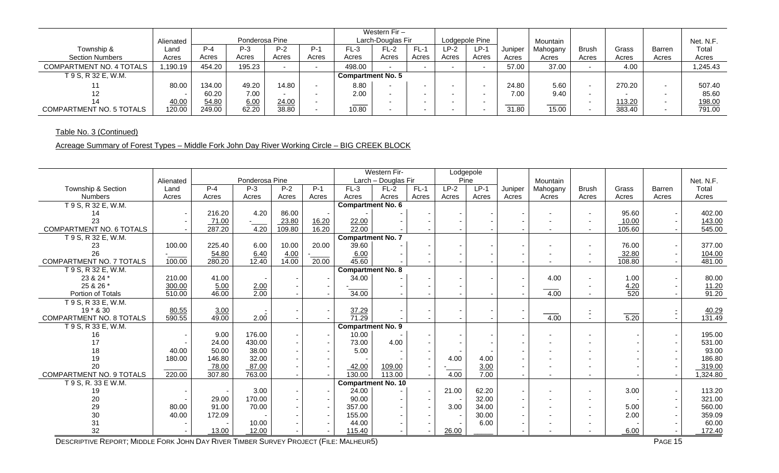|                                 |           | Ponderosa Pine |        |       |                          |                          | Western $Fin -$   |                          |       |                |         |          |                          |        |               |           |
|---------------------------------|-----------|----------------|--------|-------|--------------------------|--------------------------|-------------------|--------------------------|-------|----------------|---------|----------|--------------------------|--------|---------------|-----------|
|                                 | Alienated |                |        |       |                          |                          | Larch-Douglas Fir |                          |       | Lodgepole Pine |         | Mountain |                          |        |               | Net. N.F. |
| Township &                      | Land      | $P - 4$        | $P-3$  | $P-2$ | $P-1$                    | FL-3                     | FL-2              | $FL-1$                   | P--2  | $LP-1$         | Juniper | Mahogany | <b>Brush</b>             | Grass  | <b>Barren</b> | Total     |
| <b>Section Numbers</b>          | Acres     | Acres          | Acres  | Acres | Acres                    | Acres                    | Acres             | Acres                    | Acres | Acres          | Acres   | Acres    | Acres                    | Acres  | Acres         | Acres     |
| COMPARTMENT NO. 4 TOTALS        | ,190.19   | 454.20         | 195.23 |       |                          | 498.00                   |                   | $\overline{\phantom{a}}$ |       |                | 57.00   | 37.00    | $\overline{\phantom{0}}$ | 4.00   |               | 1,245.43  |
| T 9 S, R 32 E, W.M.             |           |                |        |       |                          | <b>Compartment No. 5</b> |                   |                          |       |                |         |          |                          |        |               |           |
|                                 | 80.00     | 134.00         | 49.20  | 14.80 | $\overline{\phantom{0}}$ | 8.80                     |                   | $\sim$                   |       |                | 24.80   | 5.60     | $\overline{\phantom{0}}$ | 270.20 |               | 507.40    |
| 12.                             |           | 60.20          | 7.00   |       |                          | 2.00                     |                   | $\sim$                   |       |                | 7.00    | 9.40     | $\overline{\phantom{0}}$ |        |               | 85.60     |
| 14                              | 40.00     | 54.80          | 6.00   | 24.00 |                          |                          |                   | $\sim$                   |       |                |         |          |                          | 113.20 |               | 198.00    |
| <b>COMPARTMENT NO. 5 TOTALS</b> | 120.00    | 249.00         | 62.20  | 38.80 | $\overline{\phantom{a}}$ | 10.80                    |                   | $\sim$                   |       |                | 31.80   | 15.00    | $\overline{\phantom{0}}$ | 383.40 |               | 791.00    |

# Table No. 3 (Continued)

# Acreage Summary of Forest Types – Middle Fork John Day River Working Circle – BIG CREEK BLOCK

|                                 |           |        |                |        |       |                           | <b>Western Fir-</b> |        | Lodgepole |        |         |                          |                          |                    |        |           |
|---------------------------------|-----------|--------|----------------|--------|-------|---------------------------|---------------------|--------|-----------|--------|---------|--------------------------|--------------------------|--------------------|--------|-----------|
|                                 | Alienated |        | Ponderosa Pine |        |       |                           | Larch - Douglas Fir |        | Pine      |        |         | Mountain                 |                          |                    |        | Net. N.F. |
| Township & Section              | Land      | $P-4$  | $P-3$          | $P-2$  | $P-1$ | $FL-3$                    | $FL-2$              | $FL-1$ | $LP-2$    | $LP-1$ | Juniper | Mahogany                 | <b>Brush</b>             | Grass              | Barren | Total     |
| <b>Numbers</b>                  | Acres     | Acres  | Acres          | Acres  | Acres | Acres                     | Acres               | Acres  | Acres     | Acres  | Acres   | Acres                    | Acres                    | Acres              | Acres  | Acres     |
| T 9 S, R 32 E, W.M.             |           |        |                |        |       | <b>Compartment No. 6</b>  |                     |        |           |        |         |                          |                          |                    |        |           |
| 14                              |           | 216.20 | 4.20           | 86.00  |       |                           |                     |        |           |        |         | $\overline{\phantom{a}}$ | $\overline{\phantom{0}}$ | 95.60              |        | 402.00    |
| 23                              |           | 71.00  |                | 23.80  | 16.20 | 22.00                     |                     |        |           |        |         |                          | ٠                        | 10.00              |        | 143.00    |
| COMPARTMENT NO. 6 TOTALS        |           | 287.20 | 4.20           | 109.80 | 16.20 | 22.00                     |                     |        |           |        |         |                          | $\overline{\phantom{0}}$ | 105.60             |        | 545.00    |
| T 9 S, R 32 E, W.M.             |           |        |                |        |       | <b>Compartment No. 7</b>  |                     |        |           |        |         |                          |                          |                    |        |           |
| 23                              | 100.00    | 225.40 | 6.00           | 10.00  | 20.00 | 39.60                     |                     |        |           |        |         |                          | $\overline{\phantom{0}}$ | 76.00              |        | 377.00    |
| 26                              |           | 54.80  | 6.40           | 4.00   |       | 6.00                      |                     |        |           |        |         |                          | ٠                        | 32.80              |        | 104.00    |
| COMPARTMENT NO. 7 TOTALS        | 100.00    | 280.20 | 12.40          | 14.00  | 20.00 | 45.60                     |                     |        |           |        |         |                          | $\sim$                   | 108.80             |        | 481.00    |
| T 9 S, R 32 E, W.M.             |           |        |                |        |       | <b>Compartment No. 8</b>  |                     |        |           |        |         |                          |                          |                    |        |           |
| 23 & 24 *                       | 210.00    | 41.00  |                |        |       | 34.00                     |                     |        |           |        |         | 4.00                     | ٠                        | 1.00               |        | 80.00     |
| 25 & 26 *                       | 300.00    | 5.00   | 2.00           |        |       |                           |                     |        |           |        |         |                          | $\overline{\phantom{0}}$ | $\frac{4.20}{520}$ |        | 11.20     |
| Portion of Totals               | 510.00    | 46.00  | 2.00           |        |       | 34.00                     |                     |        |           |        |         | 4.00                     |                          |                    |        | 91.20     |
| T 9 S, R 33 E, W.M.             |           |        |                |        |       |                           |                     |        |           |        |         |                          |                          |                    |        |           |
| 19 * & 30                       | 80.55     | 3.00   |                |        |       | 37.29                     |                     |        |           |        |         |                          | Ξ                        |                    |        | 40.29     |
| <b>COMPARTMENT NO. 8 TOTALS</b> | 590.55    | 49.00  | 2.00           |        |       | 71.29                     |                     |        |           |        |         | 4.00                     | $\overline{\phantom{0}}$ | $\overline{5.20}$  |        | 131.49    |
| T 9 S, R 33 E, W.M.             |           |        |                |        |       | <b>Compartment No. 9</b>  |                     |        |           |        |         |                          |                          |                    |        |           |
| 16                              |           | 9.00   | 176.00         |        |       | 10.00                     |                     |        |           |        |         | $\overline{\phantom{a}}$ |                          |                    |        | 195.00    |
| 17                              |           | 24.00  | 430.00         |        |       | 73.00                     | 4.00                |        |           |        |         |                          |                          |                    |        | 531.00    |
| 18                              | 40.00     | 50.00  | 38.00          |        |       | 5.00                      |                     |        |           |        |         | $\overline{\phantom{a}}$ |                          |                    |        | 93.00     |
| 19                              | 180.00    | 146.80 | 32.00          |        |       |                           |                     |        | 4.00      | 4.00   |         |                          |                          |                    |        | 186.80    |
| 20                              |           | 78.00  | 87.00          |        |       | 42.00                     | 109.00              |        |           | 3.00   |         |                          |                          |                    |        | 319.00    |
| <b>COMPARTMENT NO. 9 TOTALS</b> | 220.00    | 307.80 | 763.00         |        |       | 130.00                    | 113.00              |        | 4.00      | 7.00   |         |                          | $\sim$                   |                    |        | 1,324.80  |
| T 9 S, R. 33 E W.M.             |           |        |                |        |       | <b>Compartment No. 10</b> |                     |        |           |        |         |                          |                          |                    |        |           |
| 19                              |           |        | 3.00           |        |       | 24.00                     |                     |        | 21.00     | 62.20  |         |                          | ٠                        | 3.00               |        | 113.20    |
| 20                              |           | 29.00  | 170.00         |        |       | 90.00                     |                     |        |           | 32.00  |         | $\overline{\phantom{a}}$ | ٠                        |                    |        | 321.00    |
| 29                              | 80.00     | 91.00  | 70.00          |        |       | 357.00                    |                     |        | 3.00      | 34.00  |         | $\overline{a}$           | $\overline{\phantom{0}}$ | 5.00               |        | 560.00    |
| 30                              | 40.00     | 172.09 |                |        |       | 155.00                    |                     |        |           | 30.00  |         |                          | $\blacksquare$           | 2.00               |        | 359.09    |
| 31                              |           |        | 10.00          |        |       | 44.00                     |                     |        |           | 6.00   |         |                          |                          |                    |        | 60.00     |
| 32                              |           | 13.00  | 12.00          |        |       | 115.40                    |                     |        | 26.00     |        |         |                          |                          | 6.00               |        | 172.40    |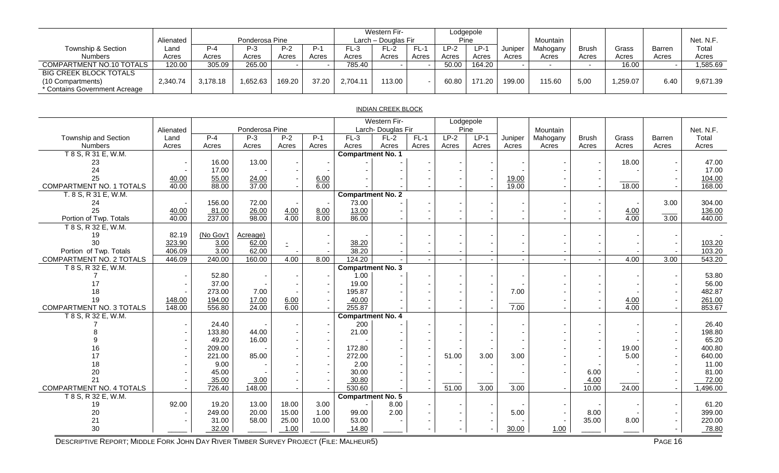|                                                                                     | Alienated |          | Ponderosa Pine |        |       |         | Western Fir-<br>Larch - Douglas Fir |       | Pine  | Lodgepole |         | Mountain |       |         |        | Net. N.F. |
|-------------------------------------------------------------------------------------|-----------|----------|----------------|--------|-------|---------|-------------------------------------|-------|-------|-----------|---------|----------|-------|---------|--------|-----------|
| Township & Section                                                                  | Land      | $P - 4$  | P-3            | $P-2$  | $P-1$ | FL-3    | FL-2                                |       | LP-2  | $LP-1$    | Juniper | Mahogany | Brush | Grass   | Barren | Total     |
| <b>Numbers</b>                                                                      | Acres     | Acres    | Acres          | Acres  | Acres | Acres   | Acres                               | Acres | Acres | Acres     | Acres   | Acres    | Acres | Acres   | Acres  | Acres     |
| COMPARTMENT NO.10 TOTALS                                                            | 120.00    | 305.09   | 265.00         |        |       | 785.40  |                                     |       | 50.00 | 164.20    |         |          |       | 16.00   |        | 1,585.69  |
| <b>BIG CREEK BLOCK TOTALS</b><br>(10 Compartments)<br>* Contains Government Acreage | 2,340.74  | 3.178.18 | .652.63        | 169.20 | 37.20 | 2.704.1 | 13.00                               |       | 60.80 | 171.20    | 199.00  | 115.60   | 5,00  | .259.07 | 6.40   | 9,671.39  |

#### INDIAN CREEK BLOCK

|                          |           |           |                |                     |       |                          | Western Fir-      |        | Lodgepole |        |         |          |              |                     |        |           |
|--------------------------|-----------|-----------|----------------|---------------------|-------|--------------------------|-------------------|--------|-----------|--------|---------|----------|--------------|---------------------|--------|-----------|
|                          | Alienated |           | Ponderosa Pine |                     |       |                          | Larch-Douglas Fir |        | Pine      |        |         | Mountain |              |                     |        | Net. N.F. |
| Township and Section     | Land      | $P - 4$   | $P-3$          | $P-2$               | $P-1$ | $FL-3$                   | $FL-2$            | $FL-1$ | $LP-2$    | $LP-1$ | Juniper | Mahogany | <b>Brush</b> | Grass               | Barren | Total     |
| Numbers                  | Acres     | Acres     | Acres          | Acres               | Acres | Acres                    | Acres             | Acres  | Acres     | Acres  | Acres   | Acres    | Acres        | Acres               | Acres  | Acres     |
| T 8 S, R 31 E, W.M.      |           |           |                |                     |       | Compartment No. 1        |                   |        |           |        |         |          |              |                     |        |           |
| 23                       |           | 16.00     | 13.00          |                     |       |                          |                   |        |           |        |         |          |              | 18.00               |        | 47.00     |
| 24                       |           | 17.00     |                |                     |       |                          |                   |        |           |        |         |          |              |                     |        | 17.00     |
| 25                       | 40.00     | 55.00     | 24.00          |                     | 6.00  |                          |                   |        |           |        | 19.00   |          |              |                     |        | 104.00    |
| COMPARTMENT NO. 1 TOTALS | 40.00     | 88.00     | 37.00          |                     | 6.00  |                          |                   |        |           |        | 19.00   |          |              | 18.00               |        | 168.00    |
| T. 8 S, R 31 E, W.M.     |           |           |                |                     |       | <b>Compartment No. 2</b> |                   |        |           |        |         |          |              |                     |        |           |
| 24                       |           | 156.00    | 72.00          |                     |       | 73.00                    |                   |        |           |        |         |          |              |                     | 3.00   | 304.00    |
| 25                       | 40.00     | 81.00     | 26.00          | $\frac{4.00}{4.00}$ | 8.00  | 13.00                    |                   |        |           |        |         |          |              | 4.00                |        | 136.00    |
| Portion of Twp. Totals   | 40.00     | 237.00    | 98.00          |                     | 8.00  | 86.00                    |                   |        |           |        |         |          |              | 4.00                | 3.00   | 440.00    |
| T 8 S, R 32 E, W.M.      |           |           |                |                     |       |                          |                   |        |           |        |         |          |              |                     |        |           |
| 19                       | 82.19     | (No Gov't | Acreage)       |                     |       |                          |                   |        |           |        |         |          |              |                     |        |           |
| 30                       | 323.90    | 3.00      | 62.00          |                     |       | 38.20                    |                   |        |           |        |         |          |              |                     |        | 103.20    |
| Portion of Twp. Totals   | 406.09    | 3.00      | 62.00          |                     |       | 38.20                    |                   |        |           |        |         |          |              |                     |        | 103.20    |
| COMPARTMENT NO. 2 TOTALS | 446.09    | 240.00    | 160.00         | 4.00                | 8.00  | 124.20                   |                   |        |           |        |         |          |              | 4.00                | 3.00   | 543.20    |
| T 8 S, R 32 E, W.M.      |           |           |                |                     |       | <b>Compartment No. 3</b> |                   |        |           |        |         |          |              |                     |        |           |
|                          |           | 52.80     |                |                     |       | 1.00                     |                   |        |           |        |         |          |              |                     |        | 53.80     |
| 17                       |           | 37.00     |                |                     |       | 19.00                    |                   |        |           |        |         |          |              |                     |        | 56.00     |
| 18                       |           | 273.00    | 7.00           |                     |       | 195.87                   |                   |        |           |        | 7.00    |          |              |                     |        | 482.87    |
| 19                       | 148.00    | 194.00    | 17.00          | 6.00                |       | 40.00                    |                   |        |           |        |         |          |              | $\frac{4.00}{4.00}$ |        | 261.00    |
| COMPARTMENT NO. 3 TOTALS | 148.00    | 556.80    | 24.00          | 6.00                |       | 255.87                   |                   |        |           |        | 7.00    |          |              |                     |        | 853.67    |
| T 8 S, R 32 E, W.M.      |           |           |                |                     |       | Compartment No. 4        |                   |        |           |        |         |          |              |                     |        |           |
|                          |           | 24.40     |                |                     |       | 200                      |                   |        |           |        |         |          |              |                     |        | 26.40     |
|                          |           | 133.80    | 44.00          |                     |       | 21.00                    |                   |        |           |        |         |          |              |                     |        | 198.80    |
|                          |           | 49.20     | 16.00          |                     |       |                          |                   |        |           |        |         |          |              |                     |        | 65.20     |
| 16                       |           | 209.00    |                |                     |       | 172.80                   |                   |        |           |        |         |          |              | 19.00               |        | 400.80    |
| 17                       |           | 221.00    | 85.00          |                     |       | 272.00                   |                   |        | 51.00     | 3.00   | 3.00    |          |              | 5.00                |        | 640.00    |
| 18                       |           | 9.00      |                |                     |       | 2.00                     |                   |        |           |        |         |          |              |                     |        | 11.00     |
| 20                       |           | 45.00     |                |                     |       | 30.00                    |                   |        |           |        |         |          | 6.00         |                     |        | 81.00     |
| 21                       |           | 35.00     | 3.00           |                     |       | 30.80                    |                   |        |           |        |         |          | 4.00         |                     |        | 72.00     |
| COMPARTMENT NO. 4 TOTALS |           | 726.40    | 148.00         |                     |       | 530.60                   |                   |        | 51.00     | 3.00   | 3.00    |          | 10.00        | 24.00               |        | 1,496.00  |
| T 8 S, R 32 E, W.M.      |           |           |                |                     |       | <b>Compartment No. 5</b> |                   |        |           |        |         |          |              |                     |        |           |
| 19                       | 92.00     | 19.20     | 13.00          | 18.00               | 3.00  |                          | 8.00              |        |           |        |         |          |              |                     |        | 61.20     |
| 20                       |           | 249.00    | 20.00          | 15.00               | 1.00  | 99.00                    | 2.00              |        |           |        | 5.00    |          | 8.00         |                     |        | 399.00    |
| 21                       |           | 31.00     | 58.00          | 25.00               | 10.00 | 53.00                    |                   |        |           |        |         |          | 35.00        | 8.00                |        | 220.00    |
| 30                       |           | 32.00     |                | 1.00                |       | 14.80                    |                   |        |           |        | 30.00   | 1.00     |              |                     |        | 78.80     |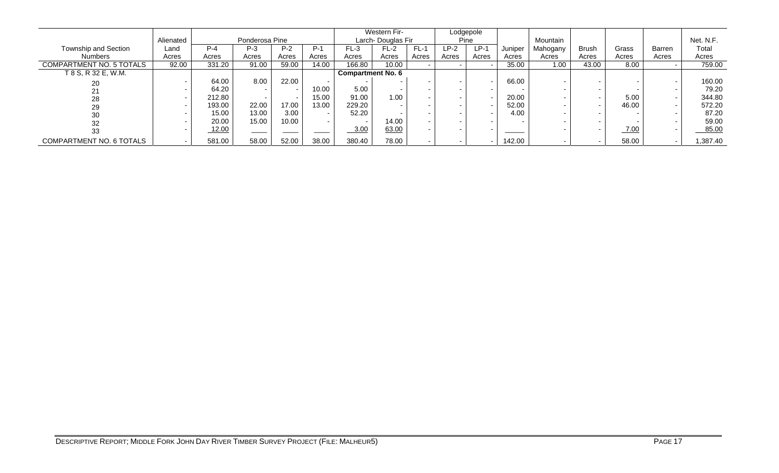|                          |           |         |                |       |       |                          | Western Fir-      |                          |        | Lodgepole |         |          |              |       |        |           |
|--------------------------|-----------|---------|----------------|-------|-------|--------------------------|-------------------|--------------------------|--------|-----------|---------|----------|--------------|-------|--------|-----------|
|                          | Alienated |         | Ponderosa Pine |       |       |                          | Larch-Douglas Fir |                          |        | Pine      |         | Mountain |              |       |        | Net. N.F. |
| Township and Section     | Land      | $P - 4$ | $P-3$          | $P-2$ | $P-1$ | $FL-3$                   | $FL-2$            | $FL-1$                   | $LP-2$ | $LP-1$    | Juniper | Mahogany | <b>Brush</b> | Grass | Barren | Total     |
| <b>Numbers</b>           | Acres     | Acres   | Acres          | Acres | Acres | Acres                    | Acres             | Acres                    | Acres  | Acres     | Acres   | Acres    | Acres        | Acres | Acres  | Acres     |
| COMPARTMENT NO. 5 TOTALS | 92.00     | 331.20  | 91.00          | 59.00 | 14.00 | 166.80                   | 10.00             |                          |        |           | 35.00   | 1.00     | 43.00        | 8.00  |        | 759.00    |
| T 8 S, R 32 E, W.M.      |           |         |                |       |       | <b>Compartment No. 6</b> |                   |                          |        |           |         |          |              |       |        |           |
| 20                       |           | 64.00   | 8.00           | 22.00 |       |                          |                   | $\overline{\phantom{a}}$ |        |           | 66.00   |          |              |       |        | 160.00    |
| 21                       |           | 64.20   |                |       | 10.00 | 5.00                     |                   |                          |        |           |         |          |              |       |        | 79.20     |
| 28                       |           | 212.80  |                |       | 15.00 | 91.00                    | 1.00              | $\overline{\phantom{a}}$ |        |           | 20.00   |          |              | 5.00  |        | 344.80    |
| 29                       |           | 193.00  | 22.00          | 17.00 | 13.00 | 229.20                   |                   |                          |        |           | 52.00   |          |              | 46.00 |        | 572.20    |
| 30                       |           | 15.00   | 13.00          | 3.00  |       | 52.20                    |                   |                          |        |           | 4.00    |          |              |       |        | 87.20     |
| 32                       |           | 20.00   | 15.00          | 10.00 |       |                          | 14.00             | $\overline{\phantom{0}}$ |        |           |         |          |              |       |        | 59.00     |
| 33                       |           | 12.00   | _____          |       |       | 3.00                     | 63.00             | $\sim$                   |        |           |         |          |              | 7.00  |        | 85.00     |
| COMPARTMENT NO. 6 TOTALS |           | 581.00  | 58.00          | 52.00 | 38.00 | 380.40                   | 78.00             |                          |        |           | 142.00  |          |              | 58.00 |        | ,387.40   |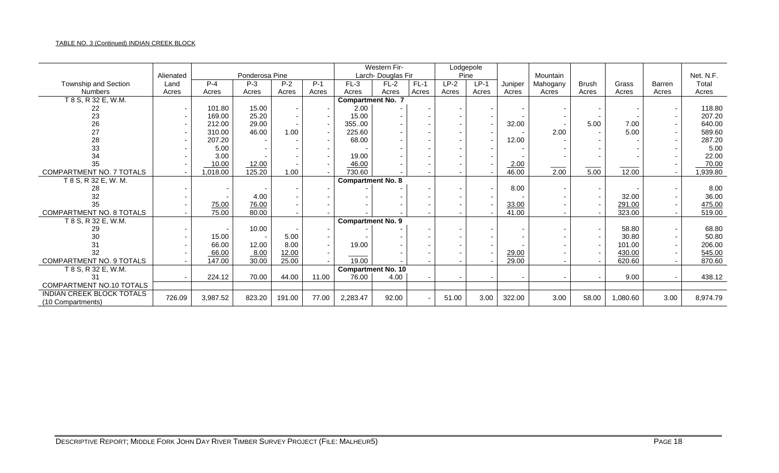### TABLE NO. 3 (Continued) INDIAN CREEK BLOCK

|                                                |           |          |                |        |       |                           | Western Fir-      |        |        | Lodgepole |         |          |              |          |               |           |
|------------------------------------------------|-----------|----------|----------------|--------|-------|---------------------------|-------------------|--------|--------|-----------|---------|----------|--------------|----------|---------------|-----------|
|                                                | Alienated |          | Ponderosa Pine |        |       |                           | Larch-Douglas Fir |        |        | Pine      |         | Mountain |              |          |               | Net. N.F. |
| Township and Section                           | Land      | $P - 4$  | $P-3$          | $P-2$  | $P-1$ | $FL-3$                    | $FL-2$            | $FL-1$ | $LP-2$ | $LP-1$    | Juniper | Mahogany | <b>Brush</b> | Grass    | <b>Barren</b> | Total     |
| <b>Numbers</b>                                 | Acres     | Acres    | Acres          | Acres  | Acres | Acres                     | Acres             | Acres  | Acres  | Acres     | Acres   | Acres    | Acres        | Acres    | Acres         | Acres     |
| T 8 S, R 32 E, W.M.                            |           |          |                |        |       | <b>Compartment No. 7</b>  |                   |        |        |           |         |          |              |          |               |           |
| 22                                             |           | 101.80   | 15.00          |        |       | 2.00                      |                   |        |        |           |         |          |              |          |               | 118.80    |
| 23                                             |           | 169.00   | 25.20          |        |       | 15.00                     |                   |        |        |           |         |          |              |          |               | 207.20    |
| 26                                             |           | 212.00   | 29.00          |        |       | 35500                     |                   |        |        |           | 32.00   |          | 5.00         | 7.00     |               | 640.00    |
| 27                                             |           | 310.00   | 46.00          | 1.00   |       | 225.60                    |                   |        |        |           |         | 2.00     |              | 5.00     |               | 589.60    |
| 28                                             |           | 207.20   |                |        |       | 68.00                     |                   |        |        |           | 12.00   |          |              |          |               | 287.20    |
| 33                                             |           | 5.00     |                |        |       |                           |                   |        |        |           |         |          |              |          |               | 5.00      |
| 34                                             |           | 3.00     |                |        |       | 19.00                     |                   |        |        |           |         |          |              |          |               | 22.00     |
| 35                                             |           | 10.00    | 12.00          |        |       | 46.00                     |                   |        |        |           | 2.00    |          |              |          |               | 70.00     |
| COMPARTMENT NO. 7 TOTALS                       |           | 1,018.00 | 125.20         | 1.00   |       | 730.60                    |                   |        |        |           | 46.00   | 2.00     | 5.00         | 12.00    |               | 1,939.80  |
| T 8 S, R 32 E, W. M.                           |           |          |                |        |       | <b>Compartment No. 8</b>  |                   |        |        |           |         |          |              |          |               |           |
| 28                                             |           |          |                |        |       |                           |                   |        |        |           | 8.00    |          |              |          |               | 8.00      |
| 32                                             |           |          | 4.00           |        |       |                           |                   |        |        |           |         |          |              | 32.00    |               | 36.00     |
| 35                                             |           | 75.00    | 76.00          |        |       |                           |                   |        |        |           | 33.00   |          |              | 291.00   |               | 475.00    |
| COMPARTMENT NO. 8 TOTALS                       |           | 75.00    | 80.00          |        |       |                           |                   |        |        |           | 41.00   |          |              | 323.00   |               | 519.00    |
| T 8 S, R 32 E, W.M.                            |           |          |                |        |       | <b>Compartment No. 9</b>  |                   |        |        |           |         |          |              |          |               |           |
| 29                                             |           |          | 10.00          |        |       |                           |                   |        |        |           |         |          |              | 58.80    |               | 68.80     |
| 30                                             |           | 15.00    |                | 5.00   |       |                           |                   |        |        |           |         |          |              | 30.80    |               | 50.80     |
| 31                                             |           | 66.00    | 12.00          | 8.00   |       | 19.00                     |                   |        |        |           |         |          |              | 101.00   |               | 206.00    |
| 32                                             |           | 66.00    | 8.00           | 12.00  |       |                           |                   |        |        |           | 29.00   |          |              | 430.00   |               | 545.00    |
| COMPARTMENT NO. 9 TOTALS                       |           | 147.00   | 30.00          | 25.00  |       | 19.00                     |                   |        |        |           | 29.00   |          |              | 620.60   |               | 870.60    |
| T 8 S, R 32 E, W.M.                            |           |          |                |        |       | <b>Compartment No. 10</b> |                   |        |        |           |         |          |              |          |               |           |
| 31                                             |           | 224.12   | 70.00          | 44.00  | 11.00 | 76.00                     | 4.00              |        |        |           |         |          |              | 9.00     |               | 438.12    |
| COMPARTMENT NO.10 TOTALS                       |           |          |                |        |       |                           |                   |        |        |           |         |          |              |          |               |           |
| INDIAN CREEK BLOCK TOTALS<br>(10 Compartments) | 726.09    | 3,987.52 | 823.20         | 191.00 | 77.00 | 2,283.47                  | 92.00             |        | 51.00  | 3.00      | 322.00  | 3.00     | 58.00        | 1,080.60 | 3.00          | 8,974.79  |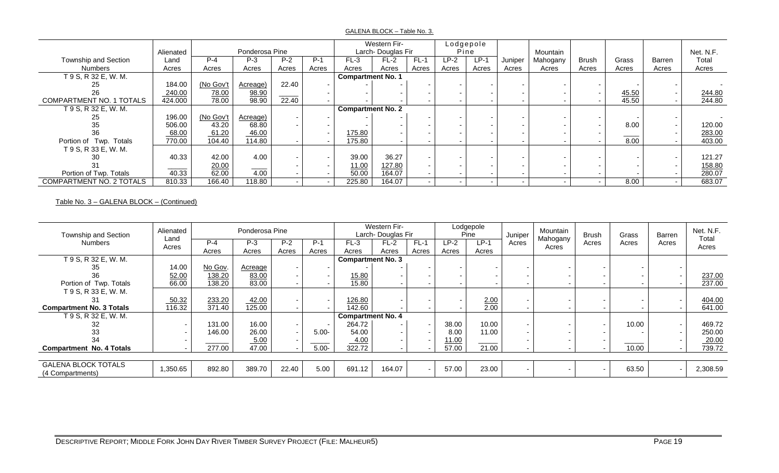#### GALENA BLOCK – Table No. 3.

|                                 |           |           |                |       |       |                          | Western Fir-      |                          | Lodgepole                |        |         |          |                          |       |               |           |
|---------------------------------|-----------|-----------|----------------|-------|-------|--------------------------|-------------------|--------------------------|--------------------------|--------|---------|----------|--------------------------|-------|---------------|-----------|
|                                 | Alienated |           | Ponderosa Pine |       |       |                          | Larch-Douglas Fir |                          | Pine                     |        |         | Mountain |                          |       |               | Net. N.F. |
| Township and Section            | Land      | $P-4$     | $P-3$          | $P-2$ | $P-1$ | $FL-3$                   | $FL-2$            | $FL-1$                   | $LP-2$                   | $LP-1$ | Juniper | Mahogany | Brush                    | Grass | <b>Barren</b> | Total     |
| <b>Numbers</b>                  | Acres     | Acres     | Acres          | Acres | Acres | Acres                    | Acres             | Acres                    | Acres                    | Acres  | Acres   | Acres    | Acres                    | Acres | Acres         | Acres     |
| T 9 S, R 32 E, W. M.            |           |           |                |       |       | <b>Compartment No. 1</b> |                   |                          |                          |        |         |          |                          |       |               |           |
| 25                              | 184.00    | (No Gov't | Acreage)       | 22.40 |       |                          |                   |                          |                          |        |         |          |                          |       |               |           |
| 26                              | 240.00    | 78.00     | 98.90          |       |       |                          |                   |                          |                          |        |         |          | $\overline{\phantom{a}}$ | 45.50 |               | 244.80    |
| <b>COMPARTMENT NO. 1 TOTALS</b> | 424.000   | 78.00     | 98.90          | 22.40 |       |                          |                   |                          |                          |        |         |          |                          | 45.50 |               | 244.80    |
| T 9 S, R 32 E, W. M.            |           |           |                |       |       | <b>Compartment No. 2</b> |                   |                          |                          |        |         |          |                          |       |               |           |
| 25                              | 196.00    | (No Gov't | Acreage)       |       |       |                          |                   |                          |                          |        |         |          |                          |       |               |           |
| 35                              | 506.00    | 43.20     | 68.80          |       |       |                          |                   |                          |                          |        |         |          |                          | 8.00  |               | 120.00    |
| 36                              | 68.00     | 61.20     | 46.00          |       |       | 175.80                   |                   |                          |                          |        |         |          |                          |       |               | 283.00    |
| Portion of Twp. Totals          | 770.00    | 104.40    | 114.80         |       |       | 175.80                   |                   |                          |                          |        |         |          |                          | 8.00  |               | 403.00    |
| T 9 S, R 33 E, W. M.            |           |           |                |       |       |                          |                   |                          |                          |        |         |          |                          |       |               |           |
| 30                              | 40.33     | 42.00     | 4.00           |       |       | 39.00                    | 36.27             |                          |                          |        |         |          |                          |       |               | 121.27    |
|                                 |           | 20.00     |                |       |       | 11.00                    | 127.80            |                          |                          |        |         |          |                          |       |               | 158.80    |
| Portion of Twp. Totals          | 40.33     | 62.00     | 4.00           |       |       | 50.00                    | 164.07            | $\overline{\phantom{0}}$ |                          |        |         |          |                          |       |               | 280.07    |
| COMPARTMENT NO. 2 TOTALS        | 810.33    | 166.40    | 118.80         |       |       | 225.80                   | 164.07            | $\overline{\phantom{0}}$ | $\overline{\phantom{0}}$ |        |         |          | $\sim$                   | 8.00  |               | 683.07    |

### Table No. 3 – GALENA BLOCK – (Continued)

| Township and Section                           | Alienated                | Ponderosa Pine<br>$P-4$<br>$P-2$<br>$P-1$<br>$P-3$ |         |       |          | Western Fir-<br>Larch-Douglas Fir |        |                          | Lodgepole<br>Pine | Juniper | Mountain | <b>Brush</b> | Grass | Barren | Net. N.F. |                |
|------------------------------------------------|--------------------------|----------------------------------------------------|---------|-------|----------|-----------------------------------|--------|--------------------------|-------------------|---------|----------|--------------|-------|--------|-----------|----------------|
| <b>Numbers</b>                                 | Land<br>Acres            |                                                    |         |       |          | $FL-3$                            | $FL-2$ | $FL-1$                   | $LP-2$            | LP-1    | Acres    | Mahogany     | Acres | Acres  | Acres     | Total<br>Acres |
|                                                |                          | Acres                                              | Acres   | Acres | Acres    | Acres                             | Acres  | Acres                    | Acres             | Acres   |          | Acres        |       |        |           |                |
| T 9 S, R 32 E, W. M.                           |                          |                                                    |         |       |          | <b>Compartment No. 3</b>          |        |                          |                   |         |          |              |       |        |           |                |
| 35                                             | 14.00                    | No Gov.                                            | Acreage |       |          |                                   |        | $\blacksquare$           |                   |         |          |              |       |        |           |                |
| 36                                             | 52.00                    | 138.20                                             | 83.00   |       |          | 15.80                             |        | $\blacksquare$           |                   |         |          |              |       |        |           | 237.00         |
| Portion of Twp. Totals                         | 66.00                    | 138.20                                             | 83.00   |       |          | 15.80                             |        | $\blacksquare$           |                   |         |          |              |       |        |           | 237.00         |
| T 9 S, R 33 E, W. M.                           |                          |                                                    |         |       |          |                                   |        |                          |                   |         |          |              |       |        |           |                |
| 31                                             | 50.32                    | 233.20                                             | 42.00   |       |          | 126.80                            |        |                          |                   | 2.00    |          |              |       |        |           | 404.00         |
| <b>Compartment No. 3 Totals</b>                | 116.32                   | 371.40                                             | 125.00  |       |          | 142.60                            |        |                          |                   | 2.00    |          |              |       |        |           | 641.00         |
| T 9 S, R 32 E, W. M.                           |                          |                                                    |         |       |          | <b>Compartment No. 4</b>          |        |                          |                   |         |          |              |       |        |           |                |
|                                                |                          | 131.00                                             | 16.00   |       |          | 264.72                            |        | $\sim$                   | 38.00             | 10.00   |          |              |       | 10.00  |           | 469.72         |
| 33                                             |                          | 146.00                                             | 26.00   |       | $5.00 -$ | 54.00                             |        | $\sim$                   | 8.00              | 11.00   |          |              |       |        |           | 250.00         |
|                                                | $\overline{\phantom{0}}$ |                                                    | 5.00    |       |          | 4.00                              |        | $\sim$                   | 11.00             |         |          |              |       |        |           | 20.00          |
| <b>Compartment No. 4 Totals</b>                |                          | 277.00                                             | 47.00   |       | $5.00 -$ | 322.72                            |        |                          | 57.00             | 21.00   |          |              |       | 10.00  |           | 739.72         |
|                                                |                          |                                                    |         |       |          |                                   |        |                          |                   |         |          |              |       |        |           |                |
| <b>GALENA BLOCK TOTALS</b><br>(4 Compartments) | 1,350.65                 | 892.80                                             | 389.70  | 22.40 | 5.00     | 691.12                            | 164.07 | $\overline{\phantom{0}}$ | 57.00             | 23.00   |          |              |       | 63.50  |           | 2,308.59       |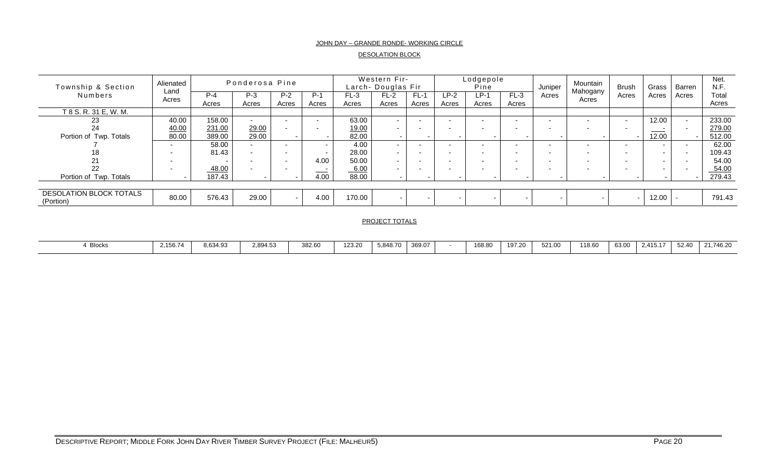#### JOHN DAY – GRANDE RONDE- WORKING CIRCLE

#### DESOLATION BLOCK

| Township & Section                          | Alienated<br>Land        |                | Ponderosa Pine |                          |                          |                 | Western Fir-<br>Larch- Douglas Fir |                 |                          | Lodgepole<br>Pine |                          | Juniper                  | Mountain                 | <b>Brush</b> | Grass  | Barren                   | Net.<br>N.F.   |
|---------------------------------------------|--------------------------|----------------|----------------|--------------------------|--------------------------|-----------------|------------------------------------|-----------------|--------------------------|-------------------|--------------------------|--------------------------|--------------------------|--------------|--------|--------------------------|----------------|
| <b>Numbers</b>                              | Acres                    | $P-4$<br>Acres | $P-3$<br>Acres | $P-2$<br>Acres           | $P-1$<br>Acres           | $FL-3$<br>Acres | $FL-2$<br>Acres                    | $FL-1$<br>Acres | $LP-2$<br>Acres          | $LP-1$<br>Acres   | $FL-3$<br>Acres          | Acres                    | Mahogany<br>Acres        | Acres        | Acres  | Acres                    | Total<br>Acres |
| T 8 S. R. 31 E, W. M.                       |                          |                |                |                          |                          |                 |                                    |                 |                          |                   |                          |                          |                          |              |        |                          |                |
| 23                                          | 40.00                    | 158.00         |                | $\overline{\phantom{0}}$ |                          | 63.00           | $\overline{\phantom{0}}$           |                 | $\sim$                   |                   | -                        |                          |                          |              | 12.00  | $\overline{\phantom{0}}$ | 233.00         |
| 24                                          | 40.00                    | 231.00         | 29.00          |                          | $\overline{\phantom{0}}$ | 19.00           | $\sim$                             |                 | $\sim$                   | $\sim$            | $\sim$                   |                          |                          |              |        |                          | 279.00         |
| Portion of Twp. Totals                      | 80.00                    | 389.00         | 29.00          |                          |                          | 82.00           |                                    |                 |                          |                   |                          |                          |                          |              | 12.00  |                          | 512.00         |
|                                             | $\sim$                   | 58.00          |                |                          |                          | 4.00            | $\sim$                             |                 | $\sim$                   | $\sim$            | $\overline{\phantom{a}}$ |                          |                          |              |        |                          | 62.00          |
| 18                                          | $\sim$                   | 81.43          |                | $\overline{\phantom{a}}$ | $\overline{\phantom{0}}$ | 28.00           | $\sim$                             |                 | $\overline{\phantom{0}}$ | . .               | $\overline{\phantom{0}}$ |                          |                          |              | $\sim$ |                          | 109.43         |
|                                             | $\overline{\phantom{0}}$ |                |                | $\overline{\phantom{a}}$ | 4.00                     | 50.00           | $\sim$                             |                 | $\overline{\phantom{0}}$ | $\sim$            | $\overline{\phantom{0}}$ |                          |                          |              | $\sim$ |                          | 54.00          |
| 22                                          | $\sim$                   | 48.00          |                |                          | $\sim$<br>____           | 6.00            | $\sim$                             |                 | $\sim$                   | $\sim$            | $\sim$                   | $\overline{\phantom{0}}$ |                          |              | $\sim$ |                          | 54.00          |
| Portion of Twp. Totals                      |                          | 187.43         |                |                          | 4.00                     | 88.00           |                                    |                 |                          |                   |                          |                          | $\overline{\phantom{a}}$ |              |        |                          | 279.43         |
|                                             |                          |                |                |                          |                          |                 |                                    |                 |                          |                   |                          |                          |                          |              |        |                          |                |
| <b>DESOLATION BLOCK TOTALS</b><br>(Portion) | 80.00                    | 576.43         | 29.00          | $\overline{\phantom{a}}$ | 4.00                     | 170.00          |                                    |                 |                          |                   |                          |                          | $\sim$                   |              | 12.00  |                          | 791.43         |

#### PROJECT TOTALS

| 8.634.93<br>382.60<br>168.80<br>123.20<br>521.00<br>63.00<br>.156.74<br>118.60<br>2,894.53<br>369.07<br>107.2C<br>52.40<br>5.848.70<br>2 415 17<br>24.748.20<br><b>Blocks</b><br>Z1.740.Z<br>.91.2<br><b>UZ 1.U</b><br>2.719.1 |  |  |  |  |  |  |  |  |  |
|--------------------------------------------------------------------------------------------------------------------------------------------------------------------------------------------------------------------------------|--|--|--|--|--|--|--|--|--|
|                                                                                                                                                                                                                                |  |  |  |  |  |  |  |  |  |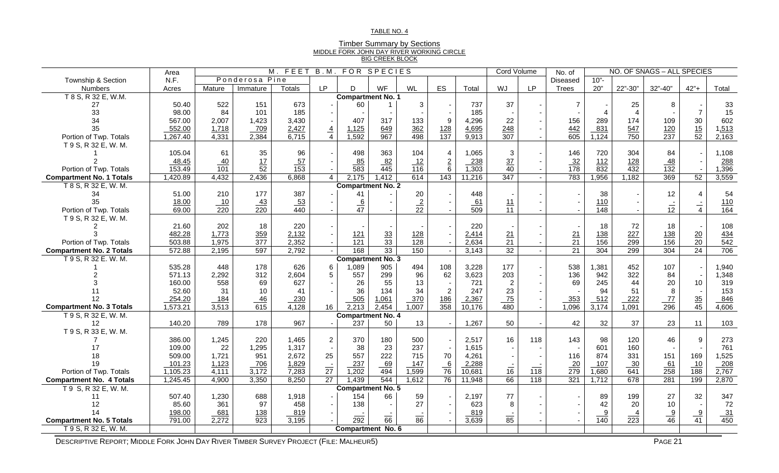#### TABLE NO. 4

| <b>Timber Summary by Sections</b>         |
|-------------------------------------------|
| MIDDLE FORK JOHN DAY RIVER WORKING CIRCLE |
| <b>BIG CREEK BLOCK</b>                    |

|                                 | Area             | $M.$ FEET<br>B.M.<br><b>FOR SPECIES</b> |                   |                  |                |                          |                 |                  |                  |                  | Cord Volume      |                 | No. of           |                                   |                  | NO. OF SNAGS - ALL SPECIES |                 |                   |
|---------------------------------|------------------|-----------------------------------------|-------------------|------------------|----------------|--------------------------|-----------------|------------------|------------------|------------------|------------------|-----------------|------------------|-----------------------------------|------------------|----------------------------|-----------------|-------------------|
| Township & Section              | N.F.             |                                         | Ponderosa Pine    |                  |                |                          |                 |                  |                  |                  |                  |                 | <b>Diseased</b>  | $10"$ -                           |                  |                            |                 |                   |
| Numbers                         | Acres            | Mature                                  | Immature          | Totals           | <b>LP</b>      | D                        | WF              | WL               | ES               | Total            | WJ               | LP.             | Trees            | 20"                               | 22"-30"          | 32"-40"                    | $42" +$         | Total             |
| T 8 S, R 32 E, W.M.             |                  |                                         |                   |                  |                | <b>Compartment No. 1</b> |                 |                  |                  |                  |                  |                 |                  |                                   |                  |                            |                 |                   |
| 27                              | 50.40            | 522                                     | 151               | 673              |                | 60                       |                 | 3                |                  | 737              | 37               |                 | $\overline{7}$   |                                   | 25               | 8                          |                 | 33                |
| 33                              | 98.00            | 84                                      | 101               | 185              |                |                          |                 |                  |                  | 185              |                  |                 |                  | $\overline{4}$                    | $\overline{4}$   |                            | $\overline{7}$  | 15                |
| 34                              | 567.00           | 2,007                                   | 1,423             | 3,430            |                | 407                      | 317             | 133              | 9                | 4,296            | 22               |                 | 156              | 289                               | 174              | 109                        | 30              | 602               |
| 35                              | 552.00           | 1,718                                   | 709               | 2,427            | $\frac{4}{4}$  | 1,125                    | 649             | 362              | <u>128</u>       | 4,695            | 248              |                 | 442              | 831                               | 547              | 120                        | $\frac{15}{52}$ | 1,513             |
| Portion of Twp. Totals          | 1,267.40         | 4,331                                   | 2,384             | 6,715            |                | 1,592                    | 967             | 498              | $\frac{1}{137}$  | 9,913            | $\overline{307}$ |                 | $\overline{605}$ | 1,124                             | $\overline{750}$ | 237                        |                 | 2,163             |
| T 9 S, R 32 E, W. M.            |                  |                                         |                   |                  |                |                          |                 |                  |                  |                  |                  |                 |                  |                                   |                  |                            |                 |                   |
|                                 | 105.04           | 61                                      | 35                | 96               |                | 498                      | 363             | 104              | $\overline{4}$   | 1,065            | $\sqrt{3}$       |                 | 146              | 720                               | 304              | 84                         |                 | 1,108             |
|                                 | 48.45            | 40                                      | $\frac{17}{52}$   | 57               |                | 85                       | 82              | $\frac{12}{116}$ | $\underline{2}$  | 238              | $\frac{37}{40}$  |                 | 32               | 112                               | 128              | $\frac{48}{132}$           |                 | 288               |
| Portion of Twp. Totals          | 153.49           | $\overline{101}$                        |                   | $\overline{153}$ |                | $\overline{583}$         | 445             |                  | $6\phantom{1}$   | 1,303            |                  |                 | 178              | 832                               | 432              |                            |                 | 1,396             |
| <b>Compartment No. 1 Totals</b> | 1,420.89         | 4,432                                   | 2,436             | 6,868            | $\overline{4}$ | 2,175                    | 1,412           | 614              | $\overline{143}$ | 11,216           | 347              |                 | 783              | ,956<br>-1                        | 1,182            | 369                        | 52              | 3,559             |
| T 8 S, R 32 E, W. M.            |                  |                                         |                   |                  |                | <b>Compartment No. 2</b> |                 |                  |                  |                  |                  |                 |                  |                                   |                  |                            |                 |                   |
| 34                              | 51.00            | 210                                     | 177               | 387              |                | 41                       |                 | 20               |                  | 448              |                  |                 |                  | 38                                |                  | 12                         | $\overline{4}$  | 54                |
| 35                              | 18.00            | $\frac{10}{220}$                        | $\frac{43}{220}$  | $\frac{53}{440}$ |                | $\frac{6}{47}$           |                 | $\frac{2}{22}$   |                  | $\frac{61}{509}$ | $\frac{11}{11}$  |                 |                  | 110                               |                  | $rac{1}{12}$               | $\frac{1}{4}$   | $\frac{110}{164}$ |
| Portion of Twp. Totals          | 69.00            |                                         |                   |                  |                |                          |                 |                  |                  |                  |                  |                 |                  | $\overline{148}$                  |                  |                            |                 |                   |
| T 9 S, R 32 E, W. M.            |                  |                                         |                   |                  |                |                          |                 |                  |                  |                  |                  |                 |                  |                                   |                  |                            |                 |                   |
|                                 | 21.60            | 202                                     | 18                | 220              |                |                          |                 |                  |                  | 220              |                  |                 |                  | 18                                | 72               | 18                         |                 | 108               |
|                                 | 482.28           | 1,773                                   | 359               | 2,132            |                | 121                      | $\frac{33}{33}$ | 128              |                  | 2,414            | 21               |                 | $\frac{21}{21}$  | 138                               | 227              | 138                        | $\frac{20}{20}$ | $\frac{434}{542}$ |
| Portion of Twp. Totals          | 503.88           | 1,975                                   | $\overline{377}$  | 2,352            |                | $\overline{121}$         |                 | $\overline{128}$ |                  | 2,634            | $\overline{21}$  |                 |                  | 156                               | 299              | 156                        |                 |                   |
| <b>Compartment No. 2 Totals</b> | 572.88           | 2,195                                   | 597               | 2,792            |                | 168                      | 33              | 150              |                  | 3,143            | 32               |                 | $\overline{21}$  | 304                               | 299              | 304                        | 24              | 706               |
| T 9 S, R 32 E. W. M.            |                  |                                         |                   |                  |                | <b>Compartment No. 3</b> |                 |                  |                  |                  |                  |                 |                  |                                   |                  |                            |                 |                   |
|                                 | 535.28           | 448                                     | 178               | 626              | 6              | 1,089                    | 905             | 494              | 108              | 3,228            | 177              |                 | 538              | .381                              | 452              | 107                        |                 | 1,940             |
|                                 | 571.13           | 2,292                                   | 312               | 2,604            | 5              | 557                      | 299             | 96               | 62               | 3,623            | 203              |                 | 136              | 942                               | 322              | 84                         |                 | 1,348             |
|                                 | 160.00           | 558                                     | 69                | 627              |                | 26                       | 55              | 13               |                  | 721              | $\boldsymbol{2}$ |                 | 69               | 245                               | 44               | 20                         | 10              | 319               |
|                                 | 52.60            | 31                                      | 10                | 41               |                | 36                       | 134             | 34               | $\overline{2}$   | 247              | 23               |                 |                  | 94                                | 51               | 8                          |                 | 153               |
| 12                              | 254.20           | <u>184</u>                              | 46                | 230              |                | 505                      | 1,061           | 370              | 186              | 2,367            | $\frac{75}{2}$   |                 | 353              | 512                               | 222              | 77                         | $\frac{35}{45}$ | 846               |
| <b>Compartment No. 3 Totals</b> | 1,573.21         | 3,513                                   | 615               | 4,128            | 16             | 2,213                    | 2,454           | 1,007            | $\overline{358}$ | 10,176           | 480              |                 | 1,096            | $\overline{3,174}$                | 1,091            | 296                        |                 | 4,606             |
| T 9 S, R 32 E, W. M.            |                  |                                         |                   |                  |                | <b>Compartment No. 4</b> |                 |                  |                  |                  |                  |                 |                  |                                   |                  |                            |                 |                   |
| 12                              | 140.20           | 789                                     | 178               | 967              |                | 237                      | 50              | 13               |                  | 1,267            | 50               |                 | 42               | 32                                | 37               | 23                         | 11              | 103               |
| T 9 S, R 33 E, W. M.            |                  |                                         |                   |                  |                |                          |                 |                  |                  |                  |                  |                 |                  |                                   |                  |                            |                 |                   |
|                                 | 386.00           | 1,245                                   | 220               | 1,465            | 2              | 370                      | 180             | 500              |                  | 2,517            | 16               | 118             | 143              | 98                                | 120              | 46                         | 9               | 273               |
| 17                              | 109.00           | 22                                      | 1,295             | 1,317            |                | 38                       | 23              | 237              |                  | 1,615            |                  |                 |                  | 601                               | 160              |                            |                 | 761               |
| 18                              | 509.00           | 1,721                                   | 951               | 2,672            | 25             | 557                      | 222             | 715              | 70               | 4,261            |                  |                 | 116              | 874                               | 331              | 151                        | 169             | 1,525             |
| 19                              | 101.23           | 1,123                                   | 706               | 1,829            | $rac{1}{27}$   | 237                      | 69              | 147              | $\frac{6}{76}$   | 2,288            | $\frac{1}{16}$   | $\frac{1}{118}$ | $\overline{20}$  | 107                               | $-30$            | 61                         | 10              | $-208$            |
| Portion of Twp. Totals          | 1,105.23         | 4,111                                   | 3,172             | 7,283            |                | 1,202                    | 494             | 1,599            |                  | 10,681           |                  |                 | $\overline{279}$ | 1,680                             | $\overline{641}$ | $\overline{258}$           | $\frac{1}{188}$ | 2,767             |
| <b>Compartment No. 4 Totals</b> | 1,245.45         | 4,900                                   | 3,350             | 8,250            | 27             | 1,439                    | 544             | 1,612            | 76               | 11,948           | 66               | 118             | 321              | 1,712                             | 678              | 281                        | 199             | 2,870             |
| T 9 S, R 32 E, W. M.            |                  |                                         |                   |                  |                | <b>Compartment No. 5</b> |                 |                  |                  |                  |                  |                 |                  |                                   |                  |                            |                 |                   |
| 11                              | 507.40           | 1,230                                   | 688               | 1,918            |                | 154                      | 66              | 59               |                  | 2,197            | 77               |                 |                  | 89                                | 199              | 27                         | 32              | 347               |
| 12<br>14                        | 85.60            | 361                                     | 97                | 458              |                | 138                      |                 | 27               |                  | 623              | 8                |                 |                  | 42                                | 20               | 10                         |                 | 72                |
| <b>Compartment No. 5 Totals</b> | 198.00<br>791.00 | 681<br>2,272                            | $\frac{138}{923}$ | 819<br>3,195     |                | $\frac{1}{292}$          | $rac{1}{66}$    | $\frac{1}{86}$   |                  | 819<br>3,639     | $rac{1}{85}$     |                 |                  | $\frac{9}{2}$<br>$\overline{140}$ | $\frac{4}{223}$  | $\frac{9}{46}$             | $\frac{9}{41}$  | $\frac{31}{450}$  |
|                                 |                  |                                         |                   |                  |                |                          |                 |                  |                  |                  |                  |                 |                  |                                   |                  |                            |                 |                   |
| T 9 S, R 32 E, W. M.            |                  |                                         |                   |                  |                | <b>Compartment No. 6</b> |                 |                  |                  |                  |                  |                 |                  |                                   |                  |                            |                 |                   |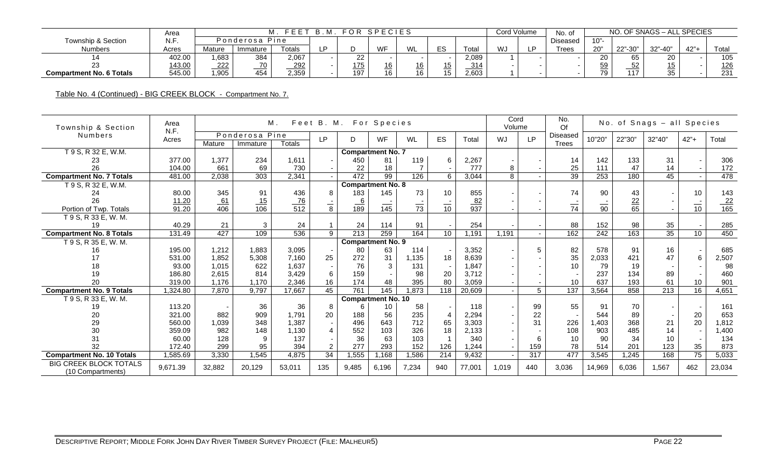|                                 | Area   |        |                | FFFT       | - R<br>M |     | FOR SPECIES |          |               |           | Cord Volume | No. of          |           | NO.                      | ). OF SNAGS – ALL SPECIES |     |       |
|---------------------------------|--------|--------|----------------|------------|----------|-----|-------------|----------|---------------|-----------|-------------|-----------------|-----------|--------------------------|---------------------------|-----|-------|
| Township & Section              | N.F.   |        | Ponderosa Pine |            |          |     |             |          |               |           |             | <b>Diseased</b> | $10"$ -   |                          |                           |     |       |
| <b>Numbers</b>                  | Acres  | Mature | Immature       | Totals     | D        |     | WF          | M1       | $-\sim$<br>ں_ | ⊺ota      | WJ          | Trees           | 20"       | $22" - 30"$<br><u>__</u> | $32" - A0"$               | 42" | Total |
|                                 | 402.00 | .683   | 384            | 2.067      |          | 22  |             |          |               | 2.089     |             |                 | nn.<br>∠∪ | 65                       | 20                        |     | 105   |
|                                 | 143.00 | 222    | 70             | <u>292</u> |          | 175 | 16          | 16<br>__ |               | 211<br>ບ≀ |             |                 | 59        | 52                       | 15                        |     | 126   |
| <b>Compartment No. 6 Totals</b> | 545.00 | .905   | 454            | 2,359      |          | 197 | 16          | 16       | 15            | 2,603     |             |                 | 79        | 117                      | 35                        |     | 231   |

Table No. 4 (Continued) - BIG CREEK BLOCK - Compartment No. 7.

| Township & Section                                 | Area<br>N.F. |                  |                  | М.               |                 | Feet B. M. For Species |                           |                |                 |                  | Cord<br>Volume |           | No.<br>Of       |                  |                 | No. of Snags - all Species |                |                  |
|----------------------------------------------------|--------------|------------------|------------------|------------------|-----------------|------------------------|---------------------------|----------------|-----------------|------------------|----------------|-----------|-----------------|------------------|-----------------|----------------------------|----------------|------------------|
| <b>Numbers</b>                                     | Acres        |                  | Ponderosa Pine   |                  | <b>LP</b>       | D                      | WF                        | WL             | <b>ES</b>       | Total            | WJ             | <b>LP</b> | Diseased        | 10"20"           | 22"30"          | 32"40"                     | $42" +$        | Total            |
|                                                    |              | Mature           | Immature         | <b>Totals</b>    |                 |                        |                           |                |                 |                  |                |           | Trees           |                  |                 |                            |                |                  |
| T 9 S, R 32 E, W.M.                                |              |                  |                  |                  |                 |                        | <b>Compartment No. 7</b>  |                |                 |                  |                |           |                 |                  |                 |                            |                |                  |
| 23                                                 | 377.00       | 1.377            | 234              | 1,611            |                 | 450                    | 81                        | 119            | 6               | 2,267            |                |           | 14              | 142              | 133             | 31                         |                | 306              |
| 26                                                 | 104.00       | 661              | 69               | 730              |                 | 22                     | 18                        | $\overline{7}$ |                 | 777              | 8              |           | 25              | 111              | 47              | 14                         |                | 172              |
| <b>Compartment No. 7 Totals</b>                    | 481.00       | 2,038            | 303              | 2,341            |                 | 472                    | 99                        | 126            | 6               | 3,044            | 8              |           | 39              | 253              | 180             | 45                         |                | 478              |
| T 9 S, R 32 E, W.M.                                |              |                  |                  |                  |                 |                        | <b>Compartment No. 8</b>  |                |                 |                  |                |           |                 |                  |                 |                            |                |                  |
| 24                                                 | 80.00        | 345              | 91               | 436              | 8               | 183                    | 145                       | 73             | 10              | 855              |                |           | 74              | 90               | 43              |                            | 10             | 143              |
| 26                                                 | 11.20        | $\frac{61}{406}$ | $\frac{15}{106}$ | $\frac{76}{512}$ |                 | $\frac{6}{189}$        |                           |                |                 | $\frac{82}{937}$ |                |           |                 |                  | $\frac{22}{65}$ |                            |                | $\frac{22}{165}$ |
| Portion of Twp. Totals                             | 91.20        |                  |                  |                  | $\overline{8}$  |                        | $\overline{145}$          | $\frac{1}{73}$ | $\overline{10}$ |                  |                |           | $\overline{74}$ | $\frac{1}{90}$   |                 |                            | $\frac{1}{10}$ |                  |
| T 9 S, R 33 E, W. M.                               |              |                  |                  |                  |                 |                        |                           |                |                 |                  |                |           |                 |                  |                 |                            |                |                  |
| 19                                                 | 40.29        | 21               | 3                | 24               |                 | 24                     | 114                       | 91             |                 | 254              |                |           | 88              | 152              | 98              | 35                         |                | 285              |
| <b>Compartment No. 8 Totals</b>                    | 131.49       | 427              | 109              | 536              | 9               | $\overline{213}$       | 259                       | 164            | 10              | 1,191            | 1,191          |           | 162             | $\overline{242}$ | 163             | 35                         | 10             | 450              |
| $\overline{T}$ 9 S, R 35 E, W. M.                  |              |                  |                  |                  |                 |                        | <b>Compartment No. 9</b>  |                |                 |                  |                |           |                 |                  |                 |                            |                |                  |
| 16                                                 | 195.00       | 1,212            | 1.883            | 3,095            |                 | 80                     | 63                        | 114            |                 | 3,352            |                | 5         | 82              | 578              | 91              | 16                         |                | 685              |
| 17                                                 | 531.00       | 1.852            | 5,308            | 7.160            | 25              | 272                    | 31                        | 1,135          | 18              | 8,639            |                |           | 35              | 2,033            | 421             | 47                         | 6              | 2,507            |
| 18                                                 | 93.00        | 1.015            | 622              | 1,637            |                 | 76                     | 3                         | 131            |                 | 1.847            |                |           | 10              | 79               | 19              |                            |                | 98               |
| 19                                                 | 186.80       | 2,615            | 814              | 3.429            | 6               | 159                    |                           | 98             | 20              | 3,712            |                |           |                 | 237              | 134             | 89                         |                | 460              |
| 20                                                 | 319.00       | 1,176            | 1,170            | 2,346            | 16              | 174                    | 48                        | 395            | 80              | 3,059            |                |           | 10              | 637              | 193             | 61                         | 10             | 901              |
| <b>Compartment No. 9 Totals</b>                    | ,324.80      | 7.870            | 9.797            | 17,667           | 45              | 761                    | 145                       | 1,873          | 118             | 20,609           |                | 5         | 137             | 3,564            | 858             | 213                        | 16             | 4,651            |
| T 9 S, R 33 E, W. M.                               |              |                  |                  |                  |                 |                        | <b>Compartment No. 10</b> |                |                 |                  |                |           |                 |                  |                 |                            |                |                  |
| 19                                                 | 113.20       |                  | 36               | 36               | 8               | 6                      | 10                        | 58             |                 | 118              | $\overline{a}$ | 99        | 55              | 91               | 70              |                            |                | 161              |
| 20                                                 | 321.00       | 882              | 909              | 1,791            | 20              | 188                    | 56                        | 235            |                 | 2,294            |                | 22        |                 | 544              | 89              |                            | 20             | 653              |
| 29                                                 | 560.00       | 1,039            | 348              | 1,387            |                 | 496                    | 643                       | 712            | 65              | 3,303            |                | 31        | 226             | ,403             | 368             | 21                         | 20             | 1,812            |
| 30                                                 | 359.09       | 982              | 148              | 1,130            |                 | 552                    | 103                       | 326            | 18              | 2,133            |                |           | 108             | 903              | 485             | 14                         |                | 1,400            |
| 31                                                 | 60.00        | 128              | $\mathbf{Q}$     | 137              |                 | 36                     | 63                        | 103            |                 | 340              |                | 6         | 10              | 90               | 34              | 10                         |                | 134              |
| 32                                                 | 172.40       | 299              | 95               | 394              | 2               | 277                    | 293                       | 152            | 126             | 1.244            |                | 159       | 78              | 514              | 201             | 123                        | 35             | 873              |
| <b>Compartment No. 10 Totals</b>                   | ,585.69      | 3,330            | 1,545            | 4,875            | $\overline{34}$ | 1,555                  | ,168                      | 1,586          | 214             | 9,432            |                | 317       | 477             | 3,545            | 1,245           | 168                        | 75             | 5,033            |
| <b>BIG CREEK BLOCK TOTALS</b><br>(10 Compartments) | 9.671.39     | 32,882           | 20,129           | 53,011           | 135             | 9.485                  | 6,196                     | 7,234          | 940             | 77,001           | 1.019          | 440       | 3,036           | 14,969           | 6.036           | 1.567                      | 462            | 23.034           |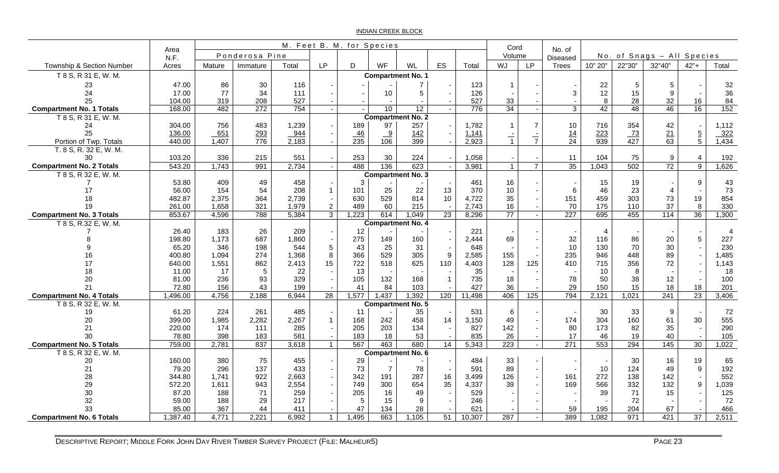INDIAN CREEK BLOCK

|                                       |                  |                |                  |                |                                  | M. Feet B. M. for Species |                 |                          |                                |                | Cord                 |                |                           |                  |                  |                            |                |                |
|---------------------------------------|------------------|----------------|------------------|----------------|----------------------------------|---------------------------|-----------------|--------------------------|--------------------------------|----------------|----------------------|----------------|---------------------------|------------------|------------------|----------------------------|----------------|----------------|
|                                       | Area<br>N.F.     |                | Ponderosa Pine   |                |                                  |                           |                 |                          |                                |                | Volume               |                | No. of<br><b>Diseased</b> |                  |                  | No. of Snags - All Species |                |                |
| Township & Section Number             | Acres            | Mature         | Immature         | Total          | <b>LP</b>                        | D                         | WF              | WL                       | ES                             | Total          | WJ                   | <b>LP</b>      | Trees                     | 10" 20"          | 22"30"           | 32"40"                     | $42"+$         | Total          |
| T 8 S, R 31 E, W. M.                  |                  |                |                  |                |                                  |                           |                 | <b>Compartment No. 1</b> |                                |                |                      |                |                           |                  |                  |                            |                |                |
| 23                                    | 47.00            | 86             | 30               | 116            |                                  |                           |                 | $\overline{7}$           |                                | 123            | $\overline{1}$       |                |                           | 22               | 5                | 5                          |                | 32             |
| 24                                    | 17.00            | 77             | 34               | 111            |                                  |                           | 10 <sup>1</sup> | 5                        | $\overline{\phantom{a}}$       | 126            |                      |                | 3                         | 12               | 15               | 9                          |                | 36             |
| 25                                    | 104.00           | 319            | 208              | 527            |                                  |                           |                 |                          |                                | 527            | 33                   |                |                           | 8                | 28               | 32                         | 16             | 84             |
| <b>Compartment No. 1 Totals</b>       | 168.00           | 482            | $\overline{272}$ | 754            |                                  |                           | 10              | 12                       | $\sim$                         | 776            | 34                   | $\sim$         | 3                         | 42               | 48               | 46                         | 16             | 152            |
| T 8 S, R 31 E, W. M.                  |                  |                |                  |                |                                  |                           |                 | <b>Compartment No. 2</b> |                                |                |                      |                |                           |                  |                  |                            |                |                |
| 24                                    | 304.00           | 756            | 483              | 1,239          |                                  | 189                       | 97              | 257                      |                                | 1,782          | $\blacktriangleleft$ | $\overline{7}$ | 10                        | 716              | 354              | 42                         |                | 1,112          |
| 25                                    | 136.00           | 651            | 293              | 944            |                                  | 46                        | $\frac{9}{2}$   | 142                      |                                | 1,141          | $\frac{1}{1}$        | $\frac{1}{7}$  | 14                        | 223              | 73               | $\frac{21}{63}$            | $\frac{5}{5}$  | 322            |
| Portion of Twp. Totals                | 440.00           | 1,407          | $\overline{776}$ | 2,183          |                                  | 235                       | 106             | 399                      |                                | 2,923          |                      |                | $\overline{24}$           | $\overline{939}$ | $\overline{427}$ |                            |                | 1,434          |
| T. 8 S, R. 32 E, W. M.                |                  |                |                  |                |                                  |                           |                 |                          |                                |                |                      |                |                           |                  |                  |                            |                |                |
| 30                                    | 103.20           | 336            | 215              | 551            |                                  | 253                       | 30              | 224                      | $\sim$                         | 1,058          |                      |                | 11                        | 104              | 75               | 9                          | 4              | 192            |
| <b>Compartment No. 2 Totals</b>       | 543.20           | 1,743          | 991              | 2,734          | $\sim$                           | 488                       | 136             | 623                      | $\sim$                         | 3,981          | $\mathbf{1}$         | $\overline{7}$ | 35                        | 1,043            | 502              | 72                         | $\overline{9}$ | 1,626          |
| T 8 S, R 32 E, W. M.                  |                  |                |                  |                |                                  |                           |                 | <b>Compartment No. 3</b> |                                |                |                      |                |                           |                  |                  |                            |                |                |
|                                       | 53.80            | 409            | 49               | 458            |                                  | 3                         |                 |                          | $\overline{\phantom{a}}$       | 461            | 16                   |                |                           | 15               | 19               |                            | 9              | 43             |
| 17                                    | 56.00            | 154            | 54               | 208            | $\overline{1}$                   | 101                       | 25              | 22                       | 13                             | 370            | 10                   |                | 6                         | 46               | 23               | $\overline{4}$             |                | 73             |
| 18                                    | 482.87           | 2,375          | 364              | 2,739          |                                  | 630<br>489                | 529             | 814<br>215               | 10<br>$\overline{\phantom{a}}$ | 4,722          | 35                   |                | 151                       | 459<br>175       | 303              | 73                         | 19<br>8        | 854            |
| 19<br><b>Compartment No. 3 Totals</b> | 261.00<br>853.67 | 1,658<br>4,596 | 321<br>788       | 1,979<br>5,384 | $\overline{c}$<br>$\overline{3}$ | 1,223                     | 60<br>614       | 1,049                    | 23                             | 2,743<br>8,296 | 16<br>77             |                | 70<br>227                 | 695              | 110<br>455       | 37<br>114                  | 36             | 330<br>1,300   |
|                                       |                  |                |                  |                |                                  |                           |                 | <b>Compartment No. 4</b> |                                |                |                      |                |                           |                  |                  |                            |                |                |
| T 8 S, R.32 E, W. M.                  | 26.40            | 183            | 26               | 209            |                                  | 12 <sup>°</sup>           |                 |                          | $\overline{\phantom{a}}$       | 221            |                      |                |                           | $\overline{4}$   |                  |                            |                | $\overline{A}$ |
|                                       | 198.80           | 1,173          | 687              | 1,860          |                                  | 275                       | 149             | 160                      |                                | 2,444          | 69                   |                | 32                        | 116              | 86               | 20                         | 5              | 227            |
|                                       | 65.20            | 346            | 198              | 544            | $\overline{5}$                   | 43                        | 25              | 31                       |                                | 648            |                      |                | 10                        | 130              | 70               | 30                         |                | 230            |
| 16                                    | 400.80           | 1.094          | 274              | 1,368          | 8                                | 366                       | 529             | 305                      | 9                              | 2,585          | 155                  |                | 235                       | 946              | 448              | 89                         |                | 1,485          |
| 17                                    | 640.00           | 1,551          | 862              | 2,413          | 15                               | 722                       | 518             | 625                      | 110                            | 4,403          | 128                  | 125            | 410                       | 715              | 356              | 72                         |                | 1,143          |
| 18                                    | 11.00            | 17             | 5                | 22             |                                  | 13                        |                 |                          |                                | 35             |                      |                |                           | 10               | 8                |                            |                | -18            |
| 20                                    | 81.00            | 236            | 93               | 329            |                                  | 105                       | 132             | 168                      | $\overline{1}$                 | 735            | 18                   |                | 78                        | 50               | 38               | 12                         |                | 100            |
| 21                                    | 72.80            | 156            | 43               | 199            |                                  | 41                        | 84              | 103                      |                                | 427            | 36                   |                | 29                        | 150              | 15               | 18                         | 18             | 201            |
| <b>Compartment No. 4 Totals</b>       | 1,496.00         | 4,756          | 2,188            | 6,944          | 28                               | 1,577                     | 1,437           | 1,392                    | 120                            | 11,498         | 406                  | 125            | 794                       | 2,121            | 1,021            | 241                        | 23             | 3,406          |
| T 8 S, R 32 E, W. M.                  |                  |                |                  |                |                                  |                           |                 | Compartment No. 5        |                                |                |                      |                |                           |                  |                  |                            |                |                |
| 19                                    | 61.20            | 224            | 261              | 485            |                                  | 11                        |                 | 35                       | $\overline{\phantom{a}}$       | 531            | $\,6$                |                |                           | 30               | 33               | 9                          |                | 72             |
| 20                                    | 399.00           | 1,985          | 2,282            | 2,267          | $\mathbf{1}$                     | 168                       | 242             | 458                      | 14                             | 3,150          | 49                   |                | 174                       | 304              | 160              | 61                         | 30             | 555            |
| 21                                    | 220.00           | 174            | 111              | 285            |                                  | 205                       | 203             | 134                      | $\sim$                         | 827            | 142                  |                | 80                        | 173              | 82               | 35                         |                | 290            |
| 30                                    | 78.80            | 398            | 183              | 581            |                                  | 183                       | 18              | 53                       |                                | 835            | 26                   |                | 17                        | 46               | 19               | 40                         |                | 105            |
| <b>Compartment No. 5 Totals</b>       | 759.00           | 2,781          | 837              | 3,618          | $\mathbf{1}$                     | 567                       | 463             | 680                      | 14                             | 5,343          | 223                  |                | 271                       | 553              | 294              | 145                        | 30             | 1,022          |
| T 8 S, R 32 E, W. M.                  |                  |                |                  |                |                                  |                           |                 | <b>Compartment No. 6</b> |                                |                |                      |                |                           |                  |                  |                            |                |                |
| 20                                    | 160.00           | 380            | 75               | 455            |                                  | 29                        |                 |                          |                                | 484            | 33                   |                |                           |                  | 30               | 16                         | 19             | 65             |
| 21                                    | 79.20            | 296            | 137              | 433            |                                  | 73                        | $\overline{7}$  | 78                       | $\sim$                         | 591            | 89                   | $\sim$         |                           | 10               | 124              | 49                         | 9              | 192            |
| 28                                    | 344.80           | 1,741          | 922              | 2,663          |                                  | 342                       | 191             | 287                      | 16                             | 3,499          | 126                  |                | 161                       | 272              | 138              | 142                        |                | 552            |
| 29                                    | 572.20           | 1,611          | 943              | 2,554          |                                  | 749                       | 300             | 654                      | 35                             | 4,337          | 39                   |                | 169                       | 566              | 332              | 132                        | 9              | 1,039          |
| 30<br>32                              | 87.20<br>59.00   | 188<br>188     | 71<br>29         | 259<br>217     |                                  | 205<br>5                  | 16<br>15        | 49                       |                                | 529<br>246     |                      |                |                           | 39               | 71<br>72         | 15                         |                | 125<br>72      |
| 33                                    | 85.00            | 367            | 44               | 411            |                                  | 47                        | 134             | 9<br>28                  |                                | 621            |                      |                | 59                        | 195              | 204              | 67                         |                | 466            |
| <b>Compartment No. 6 Totals</b>       | 1,387.40         | 4,771          | 2,221            | 6,992          | $\mathbf{1}$                     | 1,495                     | 663             | 1,105                    | 51                             | 10,307         | 287                  | $\sim$         | 389                       | 1,082            | 971              | 421                        | 37             | 2,511          |
|                                       |                  |                |                  |                |                                  |                           |                 |                          |                                |                |                      |                |                           |                  |                  |                            |                |                |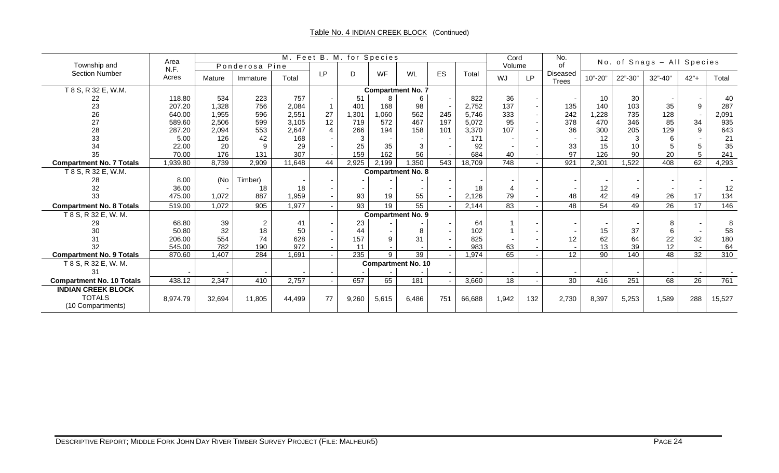|                                  | Area     |        |                |        |           | M. Feet B. M. for Species |                 |                           |     |        | Cord   |           | No.                             |         |         | No. of Snags - All Species |                 |        |
|----------------------------------|----------|--------|----------------|--------|-----------|---------------------------|-----------------|---------------------------|-----|--------|--------|-----------|---------------------------------|---------|---------|----------------------------|-----------------|--------|
| Township and                     | N.F.     |        | Ponderosa Pine |        |           |                           |                 |                           |     |        | Volume |           | of                              |         |         |                            |                 |        |
| <b>Section Number</b>            | Acres    | Mature | Immature       | Total  | <b>LP</b> | D                         | WF              | WL                        | ES  | Total  | WJ     | <b>LP</b> | <b>Diseased</b><br><b>Trees</b> | 10"-20" | 22"-30" | 32"-40"                    | $42" +$         | Total  |
| T 8 S, R 32 E, W.M.              |          |        |                |        |           |                           |                 | <b>Compartment No. 7</b>  |     |        |        |           |                                 |         |         |                            |                 |        |
| 22                               | 118.80   | 534    | 223            | 757    |           | 51                        | 8               | 6                         |     | 822    | 36     |           |                                 | 10      | 30      |                            |                 | 40     |
| 23                               | 207.20   | 1,328  | 756            | 2,084  |           | 401                       | 168             | 98                        |     | 2,752  | 137    |           | 135                             | 140     | 103     | 35                         | 9               | 287    |
| 26                               | 640.00   | 1,955  | 596            | 2,551  | 27        | 1,301                     | 1,060           | 562                       | 245 | 5,746  | 333    |           | 242                             | 1,228   | 735     | 128                        |                 | 2,091  |
| 27                               | 589.60   | 2,506  | 599            | 3,105  | 12        | 719                       | 572             | 467                       | 197 | 5,072  | 95     |           | 378                             | 470     | 346     | 85                         | 34              | 935    |
| 28                               | 287.20   | 2,094  | 553            | 2,647  |           | 266                       | 194             | 158                       | 101 | 3,370  | 107    |           | 36                              | 300     | 205     | 129                        | 9               | 643    |
| 33                               | 5.00     | 126    | 42             | 168    |           | 3                         |                 |                           |     | 171    |        |           |                                 | 12      | 3       | 6                          |                 | 21     |
| 34                               | 22.00    | 20     | $\mathsf{Q}$   | 29     |           | 25                        | 35              | 3                         |     | 92     |        |           | 33                              | 15      | 10      |                            |                 | 35     |
| 35                               | 70.00    | 176    | 131            | 307    |           | 159                       | 162             | 56                        |     | 684    | 40     |           | 97                              | 126     | 90      | 20                         |                 | 241    |
| <b>Compartment No. 7 Totals</b>  | 1,939.80 | 8,739  | 2,909          | 11,648 | 44        | 2,925                     | 2,199           | 1,350                     | 543 | 18,709 | 748    |           | 921                             | 2,301   | 1,522   | 408                        | 62              | 4,293  |
| T 8 S, R 32 E, W.M.              |          |        |                |        |           |                           |                 | <b>Compartment No. 8</b>  |     |        |        |           |                                 |         |         |                            |                 |        |
| 28                               | 8.00     | (No    | Timber)        |        |           |                           |                 |                           |     |        |        |           |                                 |         |         |                            |                 |        |
| 32                               | 36.00    |        | 18             | 18     |           |                           |                 |                           |     | 18     |        |           |                                 | 12      |         |                            |                 | 12     |
| 33                               | 475.00   | 1,072  | 887            | 1,959  |           | 93                        | 19              | 55                        |     | 2,126  | 79     |           | 48                              | 42      | 49      | 26                         | 17              | 134    |
| <b>Compartment No. 8 Totals</b>  | 519.00   | 1,072  | 905            | 1,977  |           | 93                        | $\overline{19}$ | 55                        |     | 2,144  | 83     |           | 48                              | 54      | 49      | 26                         | $\overline{17}$ | 146    |
| $\overline{18}$ S, R 32 E, W. M. |          |        |                |        |           |                           |                 | <b>Compartment No. 9</b>  |     |        |        |           |                                 |         |         |                            |                 |        |
| 29                               | 68.80    | 39     | $\overline{2}$ | 41     |           | 23                        |                 |                           |     | 64     |        |           |                                 |         |         |                            |                 | 8      |
| 30                               | 50.80    | 32     | 18             | 50     |           | 44                        |                 | 8                         |     | 102    |        |           |                                 | 15      | 37      |                            |                 | 58     |
| 31                               | 206.00   | 554    | 74             | 628    |           | 157                       | 9               | 31                        |     | 825    |        |           | 12                              | 62      | 64      | 22                         | 32              | 180    |
| 32                               | 545.00   | 782    | 190            | 972    |           | 11                        |                 |                           |     | 983    | 63     |           |                                 | 13      | 39      | 12                         |                 | 64     |
| <b>Compartment No. 9 Totals</b>  | 870.60   | 1,407  | 284            | 1,691  |           | 235                       | 9               | 39                        |     | 1,974  | 65     |           | 12 <sup>°</sup>                 | 90      | 140     | 48                         | $\overline{32}$ | 310    |
| T 8 S, R 32 E, W. M.             |          |        |                |        |           |                           |                 | <b>Compartment No. 10</b> |     |        |        |           |                                 |         |         |                            |                 |        |
| 31                               |          |        |                |        |           |                           |                 |                           |     |        |        |           |                                 |         |         |                            |                 |        |
| <b>Compartment No. 10 Totals</b> | 438.12   | 2,347  | 410            | 2,757  |           | 657                       | 65              | 181                       |     | 3,660  | 18     |           | 30                              | 416     | 251     | 68                         | 26              | 761    |
| <b>INDIAN CREEK BLOCK</b>        |          |        |                |        |           |                           |                 |                           |     |        |        |           |                                 |         |         |                            |                 |        |
| <b>TOTALS</b>                    | 8,974.79 | 32,694 | 11,805         | 44,499 | 77        | 9,260                     | 5,615           | 6,486                     | 751 | 66,688 | 1,942  | 132       | 2,730                           | 8,397   | 5,253   | 1,589                      | 288             | 15,527 |
| (10 Compartments)                |          |        |                |        |           |                           |                 |                           |     |        |        |           |                                 |         |         |                            |                 |        |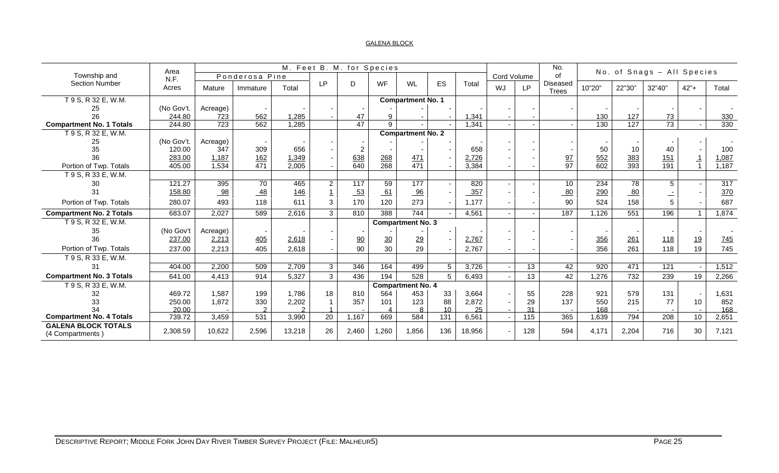#### GALENA BLOCK

| Township and                                   | Area          |          | Ponderosa Pine |        |                | M. Feet B. M. for Species |                |                          |     |        | Cord Volume |                 | No.<br>of                       |        |        | No. of Snags - All Species |         |                  |
|------------------------------------------------|---------------|----------|----------------|--------|----------------|---------------------------|----------------|--------------------------|-----|--------|-------------|-----------------|---------------------------------|--------|--------|----------------------------|---------|------------------|
| <b>Section Number</b>                          | N.F.<br>Acres | Mature   | Immature       | Total  | <b>LP</b>      | D                         | WF             | WL                       | ES  | Total  | WJ          | <b>LP</b>       | <b>Diseased</b><br><b>Trees</b> | 10"20" | 22"30" | 32"40"                     | $42" +$ | Total            |
| T 9 S, R 32 E, W.M.                            |               |          |                |        |                |                           |                | <b>Compartment No. 1</b> |     |        |             |                 |                                 |        |        |                            |         |                  |
| 25                                             | (No Gov't.    | Acreage) |                |        |                |                           |                |                          |     |        |             |                 |                                 |        |        |                            |         |                  |
| 26                                             | 244.80        | 723      | 562            | 1,285  |                | 47                        | 9              |                          |     | 1,341  |             |                 |                                 | 130    | 127    | 73                         |         | 330              |
| <b>Compartment No. 1 Totals</b>                | 244.80        | 723      | 562            | 1,285  |                | 47                        | $\mathsf{Q}$   |                          |     | 1,341  |             |                 |                                 | 130    | 127    | $\overline{73}$            |         | 330              |
| T 9 S, R 32 E, W.M.                            |               |          |                |        |                |                           |                | <b>Compartment No. 2</b> |     |        |             |                 |                                 |        |        |                            |         |                  |
| 25                                             | (No Gov't.    | Acreage) |                |        |                |                           |                |                          |     |        |             |                 |                                 |        |        |                            |         |                  |
| 35                                             | 120.00        | 347      | 309            | 656    |                | $\overline{2}$            |                |                          |     | 658    |             |                 |                                 | 50     | 10     | 40                         |         | 100              |
| 36                                             | 283.00        | 1,187    | 162            | 1,349  |                | 638                       | 268            | 471                      |     | 2,726  |             |                 | $\frac{97}{97}$                 | 552    | 383    | 151                        |         | 1,087            |
| Portion of Twp. Totals                         | 405.00        | 1,534    | 471            | 2,005  |                | 640                       | 268            | 471                      |     | 3,384  |             |                 |                                 | 602    | 393    | 191                        |         | 1,187            |
| T 9 S, R 33 E, W.M.                            |               |          |                |        |                |                           |                |                          |     |        |             |                 |                                 |        |        |                            |         |                  |
| 30                                             | 121.27        | 395      | 70             | 465    | $\overline{2}$ | 117                       | 59             | 177                      |     | 820    | $\sim$      |                 | 10                              | 234    | 78     | 5                          |         | $\overline{317}$ |
| 31                                             | 158.80        | 98       | $-48$          | 146    |                | $-53$                     | 61             | 96                       |     | 357    |             |                 | 80                              | 290    | 80     |                            |         | 370              |
| Portion of Twp. Totals                         | 280.07        | 493      | 118            | 611    | 3              | 170                       | 120            | 273                      |     | 1,177  |             |                 | 90                              | 524    | 158    |                            |         | 687              |
| <b>Compartment No. 2 Totals</b>                | 683.07        | 2,027    | 589            | 2,616  | 3              | 810                       | 388            | 744                      |     | 4,561  | $\sim$      |                 | 187                             | 1,126  | 551    | 196                        |         | 1,874            |
| T 9 S, R 32 E, W.M.                            |               |          |                |        |                |                           |                | <b>Compartment No. 3</b> |     |        |             |                 |                                 |        |        |                            |         |                  |
| 35                                             | (No Gov't     | Acreage) |                |        |                |                           |                |                          |     |        |             |                 |                                 |        |        |                            |         |                  |
| 36                                             | 237.00        | 2,213    | 405            | 2,618  |                | $\overline{90}$           | $\frac{30}{2}$ | $\frac{29}{2}$           |     | 2,767  |             |                 |                                 | 356    | 261    | 118                        | 19      | 745              |
| Portion of Twp. Totals                         | 237.00        | 2,213    | 405            | 2,618  |                | 90                        | 30             | 29                       |     | 2,767  |             |                 |                                 | 356    | 261    | 118                        | 19      | 745              |
| T 9 S, R 33 E, W.M.                            |               |          |                |        |                |                           |                |                          |     |        |             |                 |                                 |        |        |                            |         |                  |
| 31                                             | 404.00        | 2,200    | 509            | 2,709  | 3              | 346                       | 164            | 499                      | 5   | 3,726  |             | $\overline{13}$ | 42                              | 920    | 471    | 121                        |         | 1,512            |
| <b>Compartment No. 3 Totals</b>                | 641.00        | 4,413    | 914            | 5,327  | $\mathbf{3}$   | 436                       | 194            | 528                      | 5   | 6,493  |             | 13              | 42                              | 1,276  | 732    | 239                        | 19      | 2,266            |
| T 9 S, R 33 E, W.M.                            |               |          |                |        |                |                           |                | <b>Compartment No. 4</b> |     |        |             |                 |                                 |        |        |                            |         |                  |
| 32                                             | 469.72        | 1,587    | 199            | 1.786  | 18             | 810                       | 564            | 453                      | 33  | 3,664  |             | 55              | 228                             | 921    | 579    | 131                        |         | 1,631            |
| 33                                             | 250.00        | 1,872    | 330            | 2,202  |                | 357                       | 101            | 123                      | 88  | 2.872  |             | 29              | 137                             | 550    | 215    | 77                         | 10      | 852              |
| 34                                             | 20.00         |          |                |        |                |                           |                |                          | 10  | 25     |             | 31              |                                 | 168    |        |                            |         | 168              |
| <b>Compartment No. 4 Totals</b>                | 739.72        | 3,459    | 531            | 3,990  | 20             | 1,167                     | 669            | 584                      | 131 | 6,561  |             | 115             | 365                             | 1,639  | 794    | 208                        | 10      | 2,651            |
| <b>GALENA BLOCK TOTALS</b><br>(4 Compartments) | 2,308.59      | 10,622   | 2,596          | 13,218 | 26             | 2,460                     | ,260           | 1,856                    | 136 | 18,956 | ٠           | 128             | 594                             | 4,171  | 2,204  | 716                        | 30      | 7,121            |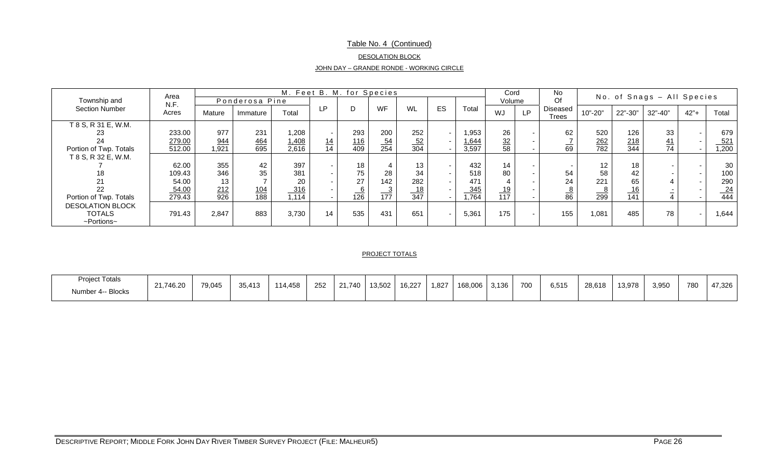## Table No. 4 (Continued)

#### DESOLATION BLOCK

|--|

|                                                                    | Area             |              |                |                |                          | M. Feet B. M. for Species |                  |           |                          |                | Cord                 |                          | <b>No</b>                |                 |            | No. of Snags - All Species |                          |                |
|--------------------------------------------------------------------|------------------|--------------|----------------|----------------|--------------------------|---------------------------|------------------|-----------|--------------------------|----------------|----------------------|--------------------------|--------------------------|-----------------|------------|----------------------------|--------------------------|----------------|
| Township and                                                       | N.F.             |              | Ponderosa Pine |                |                          |                           |                  |           |                          |                | Volume               |                          | Of                       |                 |            |                            |                          |                |
| <b>Section Number</b>                                              | Acres            | Mature       | Immature       | Total          | LP                       |                           | WF               | WL        | ES                       | Total          | WJ                   | LP.                      | <b>Diseased</b><br>Trees | 10"-20"         | 22"-30"    | $32" - 40"$                | $42"+$                   | Total          |
| T 8 S, R 31 E, W.M.<br>23<br>24                                    | 233.00<br>279.00 | 977          | 231<br>464     | 1,208          | $\sim$                   | 293                       | 200              | 252       | $\sim$                   | 1,953<br>1,644 | 26                   | $\overline{\phantom{0}}$ | 62                       | 520             | 126        | 33                         | $\overline{\phantom{0}}$ | 679            |
| Portion of Twp. Totals                                             | 512.00           | 944<br>1,921 | 695            | 1,408<br>2,616 | 14<br>14                 | 116<br>409                | $\frac{54}{254}$ | 52<br>304 |                          | 3,597          | $\frac{32}{2}$<br>58 |                          | ∸<br>69                  | 262<br>782      | 218<br>344 | 41<br>74                   |                          | 521<br>1,200   |
| T 8 S, R 32 E, W.M.                                                |                  |              |                |                |                          |                           |                  |           |                          |                |                      |                          |                          |                 |            |                            |                          |                |
|                                                                    | 62.00            | 355          | 42             | 397            | $\overline{\phantom{0}}$ | 18                        |                  | 13        | $\overline{\phantom{a}}$ | 432            | 14                   |                          |                          | 12              | 18         |                            |                          | 30             |
| 18                                                                 | 109.43           | 346          | 35             | 381            | $\overline{\phantom{0}}$ | 75                        | 28               | 34        | $\sim$                   | 518            | 80                   | $\overline{\phantom{a}}$ | 54                       | 58              | 42         |                            | . .                      | 100            |
|                                                                    | 54.00            | 13           |                | 20             | $\overline{\phantom{0}}$ | 27                        | 142              | 282       | $\sim$                   | 471            |                      |                          | 24                       | 221             | 65         |                            | $\sim$                   | 290            |
| 22                                                                 | 54.00            | 212          | <u>104</u>     | 316            | $\overline{\phantom{0}}$ | $\underline{6}$           | $\frac{3}{2}$    |           |                          | 345            | 19                   |                          | $\frac{8}{86}$           | $\frac{8}{299}$ | 16         |                            |                          | $\frac{24}{1}$ |
| Portion of Twp. Totals                                             | 279.43           | 926          | 188            | 1,114          | $\overline{\phantom{0}}$ | 126                       | 177              | 347       |                          | 1,764          | 117                  |                          |                          |                 | 141        |                            |                          | 444            |
| <b>DESOLATION BLOCK</b><br><b>TOTALS</b><br>$\sim$ Portions $\sim$ | 791.43           | 2,847        | 883            | 3,730          | 14                       | 535                       | 431              | 651       | $\sim$                   | 5,361          | 175                  | $\overline{\phantom{0}}$ | 155                      | 1,081           | 485        | 78                         |                          | 1,644          |

#### PROJECT TOTALS

| <b>Project Totals</b> | 21,746.20 | 79.045 | 25.442 | 111ABC | 252 | 21.740 | 13.502 | 16.227 | 1,827 | 168,006 | 3.136 | 700 | 6.515 | 28.618 | 13.978 | 3,950 | 780 | 47.326 |
|-----------------------|-----------|--------|--------|--------|-----|--------|--------|--------|-------|---------|-------|-----|-------|--------|--------|-------|-----|--------|
| Number 4-- Blocks     |           |        | 35.413 | 14.40C |     |        |        |        |       |         |       |     |       |        |        |       |     |        |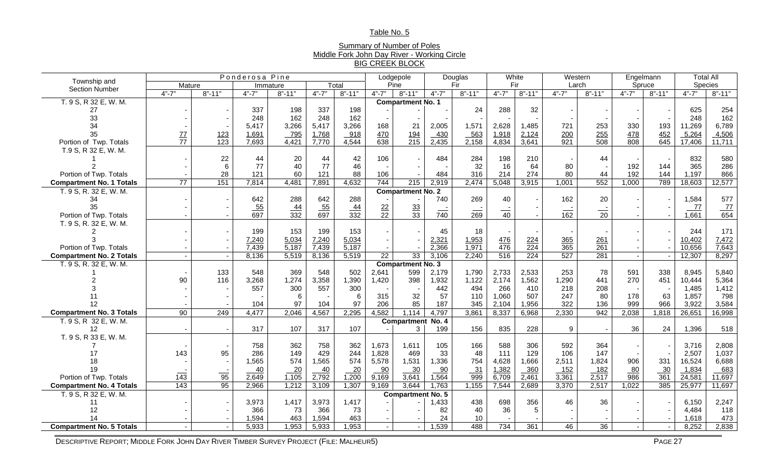### Table No. 5

### Summary of Number of Poles Middle Fork John Day River - Working Circle BIG CREEK BLOCK

| Township and                    |                 |                  | Ponderosa Pine |                  |                  |                  |                 | Lodgepole                |                 | Douglas          | White          |                  |                 | Western          |           | Engelmann        | <b>Total All</b> |                  |
|---------------------------------|-----------------|------------------|----------------|------------------|------------------|------------------|-----------------|--------------------------|-----------------|------------------|----------------|------------------|-----------------|------------------|-----------|------------------|------------------|------------------|
| <b>Section Number</b>           | Mature          |                  |                | Immature         |                  | Total            |                 | Pine                     |                 | Fir              |                | Fir              | Larch           |                  |           | Spruce           | Species          |                  |
|                                 | $4" - 7"$       | $8" - 11"$       | $4" - 7"$      | $8" - 11"$       | $4" - 7"$        | $8" - 11"$       | $4" - 7"$       | $8" - 11"$               | $4" - 7"$       | $8" - 11"$       | $4" - 7"$      | $8" - 11"$       | $4" - 7"$       | $8" - 11"$       | $4" - 7"$ | $8" - 11"$       | $4" - 7"$        | $8" - 11"$       |
| T. 9 S, R 32 E, W. M.           |                 |                  |                |                  |                  |                  |                 | <b>Compartment No. 1</b> |                 |                  |                |                  |                 |                  |           |                  |                  |                  |
| 27                              |                 |                  | 337            | 198              | 337              | 198              |                 |                          |                 | 24               | 288            | 32               |                 |                  |           |                  | 625              | 254              |
| 33                              |                 |                  | 248            | 162              | 248              | 162              |                 |                          |                 |                  |                |                  |                 |                  |           |                  | 248              | 162              |
| 34                              |                 |                  | 5,417          | 3,266            | 5,417            | 3,266            | 168             | 21                       | 2,005           | 1,571            | 2,628          | 1,485            | 721             | 253              | 330       | 193              | 11,269           | 6,789            |
| 35                              | $\frac{77}{77}$ | 123              | 1,691          | 795              | 1,768            | 918              | 470             | <u>194</u>               | 430             | 563              | 1,918          | 2,124            | 200             | 255              | 478       | 452              | 5,264            | 4,506            |
| Portion of Twp. Totals          |                 | $\overline{123}$ | 7,693          | 4,421            | 7,770            | 4,544            | 638             | $\overline{215}$         | 2,435           | 2,158            | 4,834          | 3,641            | 921             | $\overline{508}$ | 808       | $\overline{645}$ | 17,406           | 11,711           |
| T.9 S, R 32 E, W. M.            |                 |                  |                |                  |                  |                  |                 |                          |                 |                  |                |                  |                 |                  |           |                  |                  |                  |
|                                 |                 | 22               | 44             | 20               | 44               | 42               | 106             |                          | 484             | 284              | 198            | 210              |                 | 44               |           |                  | 832              | 580              |
|                                 |                 | 6                | 77             | 40               | 77               | 46               |                 |                          |                 | 32               | 16             | 64               | 80              |                  | 192       | 144              | 365              | 286              |
| Portion of Twp. Totals          |                 | 28               | 121            | 60               | 121              | 88               | 106             |                          | 484             | 316              | 214            | 274              | 80              | 44               | 192       | 144              | 1,197            | 866              |
| <b>Compartment No. 1 Totals</b> | $\overline{77}$ | 151              | 7,814          | 4,481            | 7,891            | 4,632            | 744             | 215                      | 2,919           | 2,474            | 5,048          | 3,915            | 1,001           | 552              | 1,000     | 789              | 18,603           | 12,577           |
| T. 9 S, R. 32 E, W. M.          |                 |                  |                |                  |                  |                  |                 | <b>Compartment No. 2</b> |                 |                  |                |                  |                 |                  |           |                  |                  |                  |
| 34                              |                 |                  | 642            | 288              | 642              | 288              |                 |                          | 740             | 269              | 40             |                  | 162             | 20               |           |                  | 1,584            | 577              |
| 35                              |                 |                  | $-55$          | $\frac{44}{332}$ | $\frac{55}{697}$ | $\frac{44}{332}$ | $\frac{22}{22}$ | $\frac{33}{33}$          |                 |                  |                |                  |                 |                  |           |                  | 77               | $\frac{77}{654}$ |
| Portion of Twp. Totals          |                 |                  | 697            |                  |                  |                  |                 |                          | $\frac{1}{740}$ | $\overline{269}$ | $\frac{1}{40}$ |                  | $\frac{1}{162}$ | $\frac{1}{20}$   |           |                  | 1,661            |                  |
| T. 9 S, R. 32 E, W. M.          |                 |                  |                |                  |                  |                  |                 |                          |                 |                  |                |                  |                 |                  |           |                  |                  |                  |
|                                 |                 |                  | 199            | 153              | 199              | 153              |                 |                          | 45              | 18               |                |                  |                 |                  |           |                  | 244              | 171              |
|                                 |                 |                  | 7,240          | 5,034            | 7,240            | 5,034            |                 |                          | 2,321           | 1,953            | 476            | 224              | 365             | 261              |           |                  | 10,402           | 7,472            |
| Portion of Twp. Totals          |                 |                  | 7,439          | 5,187            | 7,439            | 5,187            |                 |                          | 2,366           | 1,971            | 476            | $\overline{224}$ | 365             | $\overline{261}$ |           |                  | 10,656           | 7,643            |
| <b>Compartment No. 2 Totals</b> |                 |                  | 8,136          | 5,519            | 8,136            | 5,519            | $\overline{22}$ | 33                       | 3,106           | 2,240            | 516            | 224              | 527             | 281              |           |                  | 12,307           | 8,297            |
| T. 9 S, R. 32 E, W. M.          |                 |                  |                |                  |                  |                  |                 | <b>Compartment No. 3</b> |                 |                  |                |                  |                 |                  |           |                  |                  |                  |
|                                 |                 | 133              | 548            | 369              | 548              | 502              | 2,641           | 599                      | 2,179           | 1,790            | 2,733          | 2,533            | 253             | 78               | 591       | 338              | 8,945            | 5,840            |
|                                 | 90              | 116              | 3,268          | 1,274            | 3,358            | 1,390            | 1,420           | 398                      | 1,932           | 1,122            | 2,174          | 1,562            | 1,290           | 441              | 270       | 451              | 10,444           | 5,364            |
|                                 |                 |                  | 557            | 300              | 557              | 300              |                 |                          | 442             | 494              | 266            | 410              | 218             | 208              |           |                  | 1,485            | 1,412            |
|                                 |                 |                  |                | 6                |                  | 6                | 315             | 32                       | 57              | 110              | 1,060          | 507              | 247             | 80               | 178       | 63               | 1,857            | 798              |
| 12                              |                 |                  | 104            | 97               | 104              | 97               | 206             | 85                       | 187             | 345              | 2,104          | 1,956            | 322             | 136              | 999       | 966              | 3,922            | 3,584            |
| <b>Compartment No. 3 Totals</b> | 90              | 249              | 4,477          | 2,046            | 4,567            | 2,295            | 4,582           | 1,114                    | 4,797           | 3,861            | 8,337          | 6,968            | 2,330           | 942              | 2,038     | 1,818            | 26,651           | 16,998           |
| T. 9 S, R 32 E, W. M.           |                 |                  |                |                  |                  |                  |                 | Compartment              | <b>No. 4</b>    |                  |                |                  |                 |                  |           |                  |                  |                  |
| 12                              |                 |                  | 317            | 107              | 317              | 107              |                 | 3                        | 199             | 156              | 835            | 228              | 9               |                  | 36        | 24               | 1,396            | 518              |
| T. 9 S, R 33 E, W. M.           |                 |                  |                |                  |                  |                  |                 |                          |                 |                  |                |                  |                 |                  |           |                  |                  |                  |
|                                 |                 |                  | 758            | 362              | 758              | 362              | 1,673           | 1,611                    | 105             | 166              | 588            | 306              | 592             | 364              |           |                  | 3,716            | 2,808            |
| 17                              | 143             | 95               | 286            | 149              | 429              | 244              | 1,828           | 469                      | 33              | 48               | 111            | 129              | 106             | 147              |           |                  | 2,507            | 1,037            |
| 18                              |                 |                  | 1,565          | 574              | 1,565            | 574              | 5,578           | 1,531                    | 1,336           | 754              | 4,628          | 1,666            | 2,511           | 1,824            | 906       | 331              | 16,524           | 6,688            |
| 19                              | $\frac{1}{143}$ | $\frac{1}{95}$   | 40             | 20               | 40               | 20               | 90              | 30                       | 90              | 31               | 1,382          | 360              | 152             | 182              | 80        | 30               | 1,834            | 683              |
| Portion of Twp. Totals          |                 |                  | 2,649          | 1,105            | 2,792            | 1,200            | 9,169           | 3,641                    | 1,564           | 999              | 6,709          | 2,461            | 3,361           | 2,517            | 986       | $\overline{361}$ | 24,581           | 11,697           |
| <b>Compartment No. 4 Totals</b> | 143             | 95               | 2,966          | 1,212            | 3,109            | 1,307            | 9,169           | 3,644                    | 1,763           | 1,155            | 7,544          | 2,689            | 3,370           | 2,517            | 1,022     | 385              | 25,977           | 11,697           |
| T. 9 S, R 32 E, W. M.           |                 |                  |                |                  |                  |                  |                 | Compartment No. 5        |                 |                  |                |                  |                 |                  |           |                  |                  |                  |
| 11                              |                 |                  | 3,973          | 1,417            | 3,973            | 1,417            |                 |                          | ,433            | 438              | 698            | 356              | 46              | 36               |           |                  | 6,150            | 2,247            |
| 12                              |                 |                  | 366            | 73               | 366              | 73               |                 |                          | 82              | 40               | 36             | 5                |                 |                  |           |                  | 4,484            | 118              |
| 14                              |                 |                  | 1,594          | 463              | 1,594            | 463              |                 |                          | 24              | 10               |                |                  |                 |                  |           |                  | 1,618            | 473              |
| <b>Compartment No. 5 Totals</b> |                 |                  | 5,933          | 1,953            | 5,933            | 1,953            |                 |                          | 1,539           | 488              | 734            | 361              | 46              | 36               |           |                  | 8,252            | 2,838            |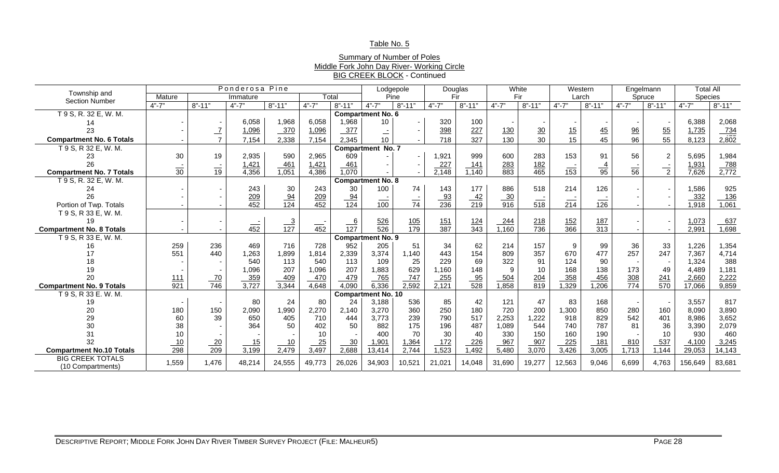### Table No. 5

### Summary of Number of Poles Middle Fork John Day River- Working Circle BIG CREEK BLOCK - Continued

|                                 |                 |                  | Ponderosa Pine    |                  |                    |                  |                           | Lodgepole         |                   | Douglas           | White             |                   |                   | Western           |                   | Engelmann      | <b>Total All</b> |                     |
|---------------------------------|-----------------|------------------|-------------------|------------------|--------------------|------------------|---------------------------|-------------------|-------------------|-------------------|-------------------|-------------------|-------------------|-------------------|-------------------|----------------|------------------|---------------------|
| Township and                    | Mature          |                  | Immature          |                  | Total              |                  | Pine                      |                   |                   | Fir               | Fir               |                   |                   | Larch             |                   | Spruce         | Species          |                     |
| <b>Section Number</b>           | $4" - 7"$       | $8" - 11"$       | $4" - 7"$         | $8" - 11"$       | $4" - 7"$          | $8" - 11"$       | $4" - 7"$                 | $8" - 11"$        | $4" - 7"$         | $8" - 11"$        | $4" - 7"$         | $8" - 11"$        | $4" - 7"$         | $8" - 11"$        | $4" - 7"$         | $8" - 11"$     | $4" - 7"$        | $8" - 11"$          |
| T 9 S, R. 32 E, W. M.           |                 |                  |                   |                  |                    |                  | <b>Compartment No. 6</b>  |                   |                   |                   |                   |                   |                   |                   |                   |                |                  |                     |
| 14                              |                 |                  | 6,058             | 1,968            | 6,058              | 1,968            | 10                        |                   | 320               | 100               |                   |                   |                   |                   |                   |                | 6,388            | 2,068               |
| 23                              |                 |                  | 1,096             | 370              | 1,096              | 377              |                           |                   | 398               | 227               | <u>130</u>        | 30                | 15                | $\frac{45}{5}$    | $\frac{96}{9}$    | 55             | 1,735            |                     |
| <b>Compartment No. 6 Totals</b> |                 |                  | 7,154             | 2,338            | 7,154              | 2,345            | Ξ,<br>10                  |                   | 718               | 327               | 130               | 30                | 15 <sup>15</sup>  | 45                | 96                | 55             | 8,123            | $\frac{734}{2,802}$ |
| T 9 S, R 32 E, W. M.            |                 |                  |                   |                  |                    |                  | <b>Compartment No. 7</b>  |                   |                   |                   |                   |                   |                   |                   |                   |                |                  |                     |
| 23                              | 30              | 19               | 2,935             | 590              | 2,965              | 609              |                           |                   | 1,921             | 999               | 600               | 283               | 153               | 91                | 56                | $\overline{2}$ | 5,695            | 1,984               |
| 26                              |                 |                  | 1,421             | 461              | 1,421              | 461              |                           |                   | 227               | 141               |                   |                   |                   |                   |                   |                | 1,931            |                     |
| <b>Compartment No. 7 Totals</b> | $\overline{30}$ | $\overline{19}$  | 4,356             | 1,051            | 4,386              | 1,070            |                           |                   | 2,148             | 1,140             | $\frac{283}{883}$ | $\frac{182}{465}$ | 153               | $\frac{4}{95}$    | $\overline{56}$   | $\overline{2}$ | 7,626            | $\frac{788}{2,772}$ |
| T 9 S, R. 32 E, W. M.           |                 |                  |                   |                  |                    |                  | <b>Compartment No. 8</b>  |                   |                   |                   |                   |                   |                   |                   |                   |                |                  |                     |
| 24                              |                 |                  | 243               | 30               | 243                | 30               | 100                       | 74                | 143               | 177               | 886               | 518               | 214               | 126               |                   |                | 1,586            | 925                 |
| 26                              |                 |                  |                   |                  |                    |                  |                           |                   |                   |                   |                   |                   |                   |                   |                   |                | 332              | 136                 |
| Portion of Twp. Totals          |                 |                  | $\frac{209}{452}$ | $\frac{94}{124}$ | $\frac{209}{452}$  | $\frac{94}{124}$ | $\frac{1}{100}$           | $rac{1}{74}$      | $\frac{93}{236}$  | $\frac{42}{219}$  | $\frac{30}{916}$  | $rac{1}{518}$     | $\frac{1}{214}$   | $\frac{1}{126}$   |                   |                | 1,918            | 1,061               |
| T 9 S, R 33 E, W. M.            |                 |                  |                   |                  |                    |                  |                           |                   |                   |                   |                   |                   |                   |                   |                   |                |                  |                     |
| 19                              |                 |                  |                   |                  |                    |                  | $\frac{526}{526}$         |                   | $\frac{151}{387}$ |                   | 244               |                   | $\frac{152}{366}$ |                   |                   |                | 1,073            | 637                 |
| <b>Compartment No. 8 Totals</b> |                 |                  | $\overline{452}$  | $\frac{3}{127}$  | $\overline{452}$   | $\frac{6}{127}$  |                           | $\frac{105}{179}$ |                   | $\frac{124}{343}$ | 1,160             | $\frac{218}{736}$ |                   | $\frac{187}{313}$ |                   |                | 2,991            | 1,698               |
| T 9 S, R 33 E, W. M.            |                 |                  |                   |                  |                    |                  | <b>Compartment No. 9</b>  |                   |                   |                   |                   |                   |                   |                   |                   |                |                  |                     |
| 16                              | 259             | 236              | 469               | 716              | 728                | 952              | 205                       | 51                | 34                | 62                | 214               | 157               | 9                 | 99                | 36                | 33             | 1,226            | 1,354               |
| 17                              | 551             | 440              | 1,263             | 1,899            | 1,814              | 2,339            | 3,374                     | 1,140             | 443               | 154               | 809               | 357               | 670               | 477               | 257               | 247            | 7,367            | 4,714               |
| 18                              |                 |                  | 540               | 113              | 540                | 113              | 109                       | 25                | 229               | 69                | 322               | 91                | 124               | 90                |                   |                | 1,324            | 388                 |
| 19                              |                 |                  | 1,096             | 207              | 1,096              | 207              | 1,883                     | 629               | 1,160             | 148               | 9                 | 10                | 168               | 138               | 173               | 49             | 4,489            | 1,181               |
| 20                              | 111             | $\frac{70}{746}$ | 359               | 409              | 470                | 479              | 765                       | 747               | 255               | $\frac{95}{528}$  | $-504$            | $\frac{204}{819}$ | 358               | 456               | $\frac{308}{774}$ | 241            | 2,660            | 2,222               |
| <b>Compartment No. 9 Totals</b> | 921             |                  | 3,727             | 3,344            | 4,648              | 4,090            | 6,336                     | 2,592             | 2,121             |                   | 1,858             |                   | 1,329             | 1,206             |                   | 570            | 17,066           | 9,859               |
| T 9 S, R 33 E. W. M.            |                 |                  |                   |                  |                    |                  | <b>Compartment No. 10</b> |                   |                   |                   |                   |                   |                   |                   |                   |                |                  |                     |
| 19                              |                 |                  | 80                | 24               | 80                 | 24               | 3,188                     | 536               | 85                | 42                | 121               | 47                | 83                | 168               |                   |                | 3,557            | 817                 |
| 20                              | 180             | 150              | 2,090             | 1,990            | 2,270              | 2,140            | 3,270                     | 360               | 250               | 180               | 720               | 200               | 1,300             | 850               | 280               | 160            | 8,090            | 3,890               |
| 29                              | 60              | 39               | 650               | 405              | 710                | 444              | 3,773                     | 239               | 790               | 517               | 2,253             | 1,222             | 918               | 829               | 542               | 401            | 8,986            | 3,652               |
| 30                              | 38              |                  | 364               | 50               | 402                | 50               | 882                       | 175               | 196               | 487               | 1,089             | 544               | 740               | 787               | 81                | 36             | 3,390            | 2,079               |
| 31                              | 10              |                  |                   |                  | 10                 |                  | 400                       | 70                | 30                | 40                | 330               | 150               | 160               | 190               |                   | 10             | 930              | 460                 |
| 32                              | 10              | 20               | 15                | 10               | $\frac{25}{3,497}$ | 30               | 1,901                     | 1,364             | 172               | 226               | 967               | 907               | 225               | 181               | 810               | 537            | 4,100            | 3,245               |
| <b>Compartment No.10 Totals</b> | 298             | $\overline{209}$ | 3,199             | 2,479            |                    | 2,688            | 13,414                    | 2,744             | 1,523             | 1,492             | 5,480             | 3,070             | 3,426             | 3,005             | 1,713             | 1,144          | 29,053           | 14,143              |
| <b>BIG CREEK TOTALS</b>         | 1,559           | 1,476            | 48,214            | 24,555           | 49,773             | 26,026           | 34,903                    | 10,521            | 21,021            | 14,048            | 31,690            | 19,277            | 12,563            | 9,046             | 6,699             | 4,763          | 156,649          | 83,681              |
| (10 Compartments)               |                 |                  |                   |                  |                    |                  |                           |                   |                   |                   |                   |                   |                   |                   |                   |                |                  |                     |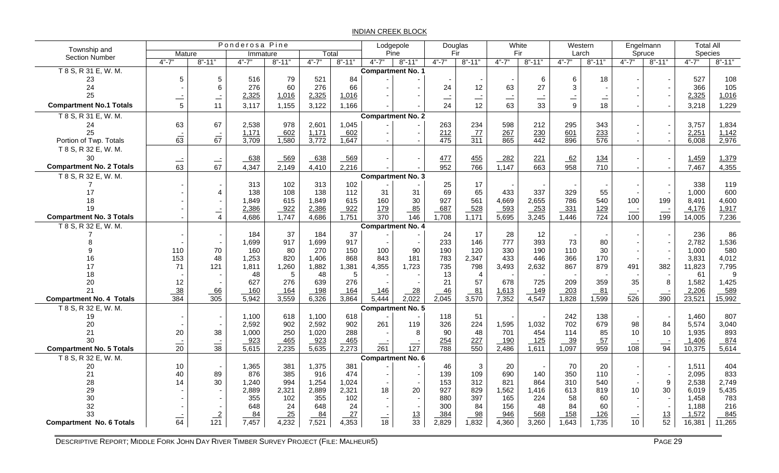#### INDIAN CREEK BLOCK

| Township and                    |                  |                  | Ponderosa Pine |            |           |                 | Lodgepole                |            | Douglas          |                  |            | White            |           | Western          |                 | Engelmann       | <b>Total All</b> |            |
|---------------------------------|------------------|------------------|----------------|------------|-----------|-----------------|--------------------------|------------|------------------|------------------|------------|------------------|-----------|------------------|-----------------|-----------------|------------------|------------|
| <b>Section Number</b>           | Mature           |                  | Immature       |            | Total     |                 | Pine                     |            |                  | Fir              |            | Fir              |           | Larch            |                 | Spruce          | Species          |            |
|                                 | $4" - 7"$        | $8" - 11"$       | $4" - 7"$      | $8" - 11"$ | $4" - 7"$ | $8" - 11"$      | $4" - 7"$                | $8" - 11"$ | $4" - 7"$        | $8" - 11"$       | $4" - 7"$  | $8" - 11"$       | $4" - 7"$ | $8" - 11"$       | $4" - 7"$       | $8" - 11"$      | $4" - 7"$        | $8" - 11"$ |
| T 8 S, R 31 E, W. M.            |                  |                  |                |            |           |                 | <b>Compartment No. 1</b> |            |                  |                  |            |                  |           |                  |                 |                 |                  |            |
| 23                              | 5                | 5                | 516            | 79         | 521       | 84              |                          |            |                  |                  |            | $\,6\,$          | 6         | 18               |                 |                 | 527              | 108        |
| 24                              |                  | 6                | 276            | 60         | 276       | 66              |                          |            | 24               | 12               | 63         | 27               | 3         |                  |                 |                 | 366              | 105        |
| 25                              |                  | Ξ,               | 2,325          | 1,016      | 2,325     | 1,016           |                          |            | $\equiv$         |                  | <u>. .</u> | $\equiv$         |           |                  |                 |                 | 2,325            | 1,016      |
| <b>Compartment No.1 Totals</b>  | 5                | 11               | 3,117          | 1,155      | 3,122     | 1,166           |                          |            | 24               | 12               | 63         | 33               | 9         | 18               |                 |                 | 3,218            | 1,229      |
| T 8 S, R 31 E, W. M.            |                  |                  |                |            |           |                 | <b>Compartment No. 2</b> |            |                  |                  |            |                  |           |                  |                 |                 |                  |            |
| 24                              | 63               | 67               | 2,538          | 978        | 2,601     | 1,045           |                          |            | 263              | 234              | 598        | 212              | 295       | 343              |                 |                 | 3,757            | 1,834      |
| 25                              |                  |                  | 1,171          | 602        | 1,171     | 602             |                          |            | 212              | $\frac{77}{311}$ | 267        | 230              | 601       | 233              |                 |                 | 2,251            | 1,142      |
| Portion of Twp. Totals          | $rac{1}{63}$     | $rac{1}{67}$     | 3,709          | 1,580      | 3,772     | 1,647           |                          |            | $\overline{475}$ |                  | 865        | $\overline{442}$ | 896       | 576              |                 |                 | 6,008            | 2,976      |
| T 8 S, R 32 E, W. M.            |                  |                  |                |            |           |                 |                          |            |                  |                  |            |                  |           |                  |                 |                 |                  |            |
| 30                              |                  |                  | 638            | 569        | 638       | 569             |                          |            | 477              | 455              | $-282$     | 221              | 62        | <u>134</u>       |                 |                 | 1,459            | 1,379      |
| <b>Compartment No. 2 Totals</b> | $\frac{1}{63}$   | $\frac{-1}{67}$  | 4,347          | 2,149      | 4,410     | 2,216           |                          |            | 952              | 766              | 1,147      | 663              | 958       | 710              |                 |                 | 7,467            | 4,355      |
| T 8 S, R 32 E, W. M.            |                  |                  |                |            |           |                 | <b>Compartment No. 3</b> |            |                  |                  |            |                  |           |                  |                 |                 |                  |            |
|                                 |                  |                  | 313            | 102        | 313       | 102             |                          |            | 25               | 17               |            |                  |           |                  |                 |                 | 338              | 119        |
| 17                              |                  | $\overline{4}$   | 138            | 108        | 138       | 112             | 31                       | 31         | 69               | 65               | 433        | 337              | 329       | 55               |                 |                 | 1,000            | 600        |
| 18                              |                  |                  | 1,849          | 615        | 1,849     | 615             | 160                      | 30         | 927              | 561              | 4,669      | 2,655            | 786       | 540              | 100             | 199             | 8,491            | 4,600      |
| 19                              |                  | Ξ,               | 2,386          | 922        | 2,386     | 922             | 179                      | 85         | 687              | $-528$           | $-593$     | $-253$           | 331       | 129              | $\equiv$        | $\equiv$        | 4,176            | 1,917      |
| <b>Compartment No. 3 Totals</b> |                  | $\overline{4}$   | 4,686          | 1,747      | 4,686     | 1,751           | 370                      | 146        | 1,708            | 1,171            | 5,695      | 3,245            | 1,446     | 724              | 100             | 199             | 14,005           | 7,236      |
| T 8 S, R 32 E, W. M.            |                  |                  |                |            |           |                 | <b>Compartment No. 4</b> |            |                  |                  |            |                  |           |                  |                 |                 |                  |            |
|                                 |                  |                  | 184            | 37         | 184       | 37              |                          |            | 24               | 17               | 28         | 12               |           |                  |                 |                 | 236              | 86         |
|                                 |                  |                  | 1,699          | 917        | 1,699     | 917             |                          |            | 233              | 146              | 777        | 393              | 73        | 80               |                 |                 | 2,782            | 1,536      |
|                                 | 110              | 70               | 160            | 80         | 270       | 150             | 100                      | 90         | 190              | 120              | 330        | 190              | 110       | 30               |                 |                 | 1,000            | 580        |
| 16                              | 153              | 48               | 1,253          | 820        | 1,406     | 868             | 843                      | 181        | 783              | 2,347            | 433        | 446              | 366       | 170              |                 |                 | 3,831            | 4,012      |
| 17                              | 71               | 121              | 1,811          | 1,260      | 1,882     | 1,381           | 4,355                    | 1,723      | 735              | 798              | 3,493      | 2,632            | 867       | 879              | 491             | 382             | 11,823           | 7,795      |
| 18                              |                  |                  | 48             | 5          | 48        | $5\phantom{.0}$ |                          |            | 13               | $\overline{4}$   |            |                  |           |                  |                 |                 | 61               | 9          |
| 20                              | 12               |                  | 627            | 276        | 639       | 276             |                          |            | 21               | 57               | 678        | 725              | 209       | 359              | 35              | -8              | 1,582            | 1,425      |
| 21                              |                  | 66               | 160            | 164        | 198       | 164             | 146                      | 28         | 46               | 81               | 1,613      | 149              | 203       | 81               |                 |                 | 2,206            | 589        |
| <b>Compartment No. 4 Totals</b> | $\frac{38}{384}$ | $\overline{305}$ | 5,942          | 3,559      | 6,326     | 3,864           | $\sqrt{5,444}$           | 2,022      | 2,045            | 3,570            | 7,352      | 4,547            | 1,828     | 1,599            | 526             | $rac{1}{390}$   | 23,521           | 15,992     |
| T 8 S, R 32 E, W. M.            |                  |                  |                |            |           |                 | Compartment No. 5        |            |                  |                  |            |                  |           |                  |                 |                 |                  |            |
| 19                              |                  |                  | 1,100          | 618        | 1,100     | 618             |                          |            | 118              | 51               |            |                  | 242       | 138              |                 |                 | 1,460            | 807        |
| 20                              |                  |                  | 2,592          | 902        | 2,592     | 902             | 261                      | 119        | 326              | 224              | 1,595      | 1,032            | 702       | 679              | 98              | 84              | 5,574            | 3,040      |
| 21                              | 20               | 38               | 1,000          | 250        | 1,020     | 288             |                          | 8          | 90               | 48               | 701        | 454              | 114       | 85               | 10              | 10              | 1,935            | 893        |
| 30                              |                  |                  | 923            | 465        | 923       | 465             |                          |            | 254              | 227              | 190        | 125              | 39        | 57               |                 |                 | 1,406            | 874        |
| <b>Compartment No. 5 Totals</b> | $\frac{1}{20}$   | $\frac{1}{38}$   | 5,615          | 2,235      | 5,635     | 2,273           | 261                      | 127        | 788              | $\overline{550}$ | 2,486      | 1,611            | 1,097     | $\overline{959}$ | 108             | $\frac{1}{94}$  | 10,375           | 5,614      |
| T 8 S, R 32 E, W. M.            |                  |                  |                |            |           |                 | Compartment No. 6        |            |                  |                  |            |                  |           |                  |                 |                 |                  |            |
| 20                              | $10$             |                  | 1,365          | 381        | 1,375     | 381             |                          |            | 46               | $\mathbf{3}$     | 20         |                  | 70        | 20               |                 |                 | 1,511            | 404        |
| 21                              | 40               | 89               | 876            | 385        | 916       | 474             |                          |            | 139              | 109              | 690        | 140              | 350       | 110              |                 |                 | 2,095            | 833        |
| 28                              | 14               | 30               | 1,240          | 994        | 1,254     | 1,024           |                          |            | 153              | 312              | 821        | 864              | 310       | 540              |                 | 9               | 2,538            | 2,749      |
| 29                              |                  |                  | 2,889          | 2,321      | 2,889     | 2,321           | 18                       | 20         | 927              | 829              | 1,562      | 1,416            | 613       | 819              | 10 <sup>1</sup> | 30              | 6,019            | 5,435      |
| 30                              |                  |                  | 355            | 102        | 355       | 102             |                          |            | 880              | 397              | 165        | 224              | 58        | 60               |                 |                 | 1,458            | 783        |
| 32                              |                  |                  | 648            | 24         | 648       | 24              |                          |            | 300              | 84               | 156        | 48               | 84        | 60               |                 |                 | 1,188            | 216        |
| 33                              | $rac{1}{64}$     | $\overline{2}$   | 84             | 25         | 84        | 27              | $\frac{1}{18}$           | 13         | 384              | 98               | 946        | 568              | 158       | 126              | $\frac{1}{10}$  | 13              | 1,572            | 845        |
| <b>Compartment No. 6 Totals</b> |                  | 121              | 7,457          | 4,232      | 7,521     | 4,353           |                          | 33         | 2,829            | 1,832            | 4,360      | 3,260            | 1,643     | 1,735            |                 | $\overline{52}$ | 16,381           | 11,265     |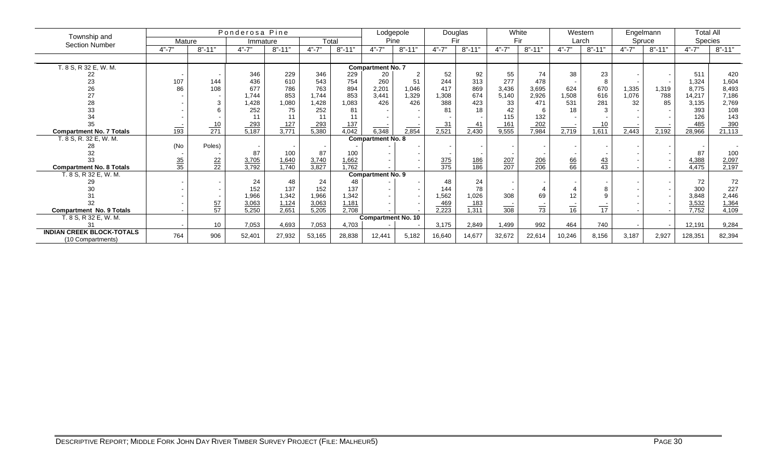| Township and                                             |                 |                  | Ponderosa Pine      |                            |                       |                            |                           | Lodgepole      |                     | Douglas           | White               |                     |                 | Western           |           | Engelmann          | <b>Total All</b>      |                       |
|----------------------------------------------------------|-----------------|------------------|---------------------|----------------------------|-----------------------|----------------------------|---------------------------|----------------|---------------------|-------------------|---------------------|---------------------|-----------------|-------------------|-----------|--------------------|-----------------------|-----------------------|
| <b>Section Number</b>                                    | Mature          |                  | Immature            |                            |                       | Total                      |                           | Pine           |                     | Fir               | Fir                 |                     |                 | Larch             |           | Spruce             | Species               |                       |
|                                                          | $4" - 7"$       | $8" - 11"$       | $4" - 7"$           | $8" - 11"$                 | $4" - 7"$             | $8" - 11"$                 | $4" - 7"$                 | $8" - 11"$     | $4" - 7"$           | $8" - 11"$        | $4" - 7"$           | $8" - 11"$          | $4" - 7"$       | $8" - 11"$        | $4" - 7"$ | $8" - 11"$         | $4" - 7"$             | $8" - 11"$            |
|                                                          |                 |                  |                     |                            |                       |                            |                           |                |                     |                   |                     |                     |                 |                   |           |                    |                       |                       |
| T. 8 S, R 32 E, W. M.                                    |                 |                  |                     |                            |                       |                            | <b>Compartment No. 7</b>  |                |                     |                   |                     |                     |                 |                   |           |                    |                       |                       |
| 22                                                       |                 |                  | 346                 | 229                        | 346                   | 229                        | 20                        | $\overline{2}$ | 52                  | 92                | 55                  | 74                  | 38              | 23                |           |                    | 511                   | 420                   |
| 23                                                       | 107             | 144              | 436                 | 610                        | 543                   | 754                        | 260                       | 51             | 244                 | 313               | 277                 | 478                 |                 | 8                 |           |                    | 1,324                 | 1,604                 |
| 26                                                       | 86              | 108              | 677                 | 786                        | 763                   | 894                        | 2,201                     | 1,046          | 417                 | 869               | 3,436               | 3,695               | 624             | 670               | 1,335     | 1,319              | 8,775                 | 8,493                 |
| 27                                                       |                 |                  | 1.744               | 853                        | 1,744                 | 853                        | 3,441                     | 1,329          | 1,308               | 674               | 5,140               | 2,926               | 1,508           | 616               | 1,076     | 788                | 14,217                | 7,186                 |
| 28                                                       |                 | 3                | 1,428               | 1,080                      | 1,428                 | 1,083                      | 426                       | 426            | 388                 | 423               | 33                  | 471                 | 531             | 281               | 32        | 85                 | 3,135                 | 2,769                 |
| 33                                                       |                 |                  | 252                 | 75                         | 252                   | 81                         |                           |                | 81                  | 18                | 42                  |                     | 18              | 3                 |           |                    | 393                   | 108                   |
| 34                                                       |                 |                  |                     | 11                         | 11                    |                            |                           |                |                     |                   | 115                 | 132                 |                 |                   |           |                    | 126                   | 143                   |
| 35                                                       |                 | $\frac{10}{271}$ | $\frac{293}{5,187}$ | $\frac{127}{3,771}$        | $\frac{293}{5,380}$   | 137                        |                           |                | $\frac{31}{2,521}$  | 41                | $\frac{161}{9,555}$ | $\frac{202}{7,984}$ |                 | 10                |           |                    | $\frac{485}{28,966}$  | $\frac{390}{21,113}$  |
| <b>Compartment No. 7 Totals</b>                          | 193             |                  |                     |                            |                       | 4,042                      | 6,348                     | 2,854          |                     | $\frac{1}{2,430}$ |                     |                     | 2,719           | $\frac{1}{1,611}$ | 2,443     | $\overline{2,192}$ |                       |                       |
| T. 8 S, R. 32 E, W. M.                                   |                 |                  |                     |                            |                       |                            | <b>Compartment No. 8</b>  |                |                     |                   |                     |                     |                 |                   |           |                    |                       |                       |
|                                                          | (No             | Poles)           |                     |                            |                       |                            |                           |                |                     |                   |                     |                     |                 |                   |           |                    |                       |                       |
| 32                                                       |                 |                  | 87                  | 100                        | 87                    | 100                        |                           |                |                     |                   |                     |                     |                 |                   |           |                    | 87                    | 100                   |
|                                                          | $\frac{35}{35}$ | $\frac{22}{22}$  | 3,705<br>3,792      | 1,640<br>$\frac{1}{1,740}$ | $\frac{3,740}{3,827}$ | 1,662<br>$\frac{1}{1.762}$ |                           |                | $\frac{375}{375}$   | $\frac{186}{186}$ | $\frac{207}{207}$   | $\frac{206}{206}$   | $\frac{66}{66}$ | $\frac{43}{43}$   |           |                    | $\frac{4,388}{4,475}$ | $\frac{2,097}{2,197}$ |
| <b>Compartment No. 8 Totals</b><br>T. 8 S, R 32 E, W. M. |                 |                  |                     |                            |                       |                            | <b>Compartment No. 9</b>  |                |                     |                   |                     |                     |                 |                   |           |                    |                       |                       |
| 29                                                       |                 |                  | 24                  | 48                         | 24                    | 48                         |                           |                | 48                  | 24                |                     |                     |                 |                   |           |                    | 72                    | 72                    |
| 30                                                       |                 |                  | 152                 | 137                        | 152                   | 137                        |                           |                | 144                 | 78                |                     |                     |                 |                   |           |                    | 300                   | 227                   |
|                                                          |                 |                  | 1,966               | 1,342                      | 1,966                 | 1,342                      |                           |                | 1,562               | 1,026             | 308                 | 69                  | 12              |                   |           |                    | 3,848                 | 2,446                 |
| 32                                                       |                 |                  | 3,063               | 1,124                      | 3,063                 | 1,181                      |                           |                |                     | 183               |                     |                     |                 |                   |           |                    | 3,532                 | 1,364                 |
| <b>Compartment No. 9 Totals</b>                          |                 | $\frac{57}{57}$  | 5,250               | 2,651                      | 5,205                 | 2,708                      |                           |                | $\frac{469}{2,223}$ | 1,311             | $\frac{1}{308}$     | $\overline{73}$     | $\overline{16}$ | $\frac{1}{17}$    |           |                    | 7,752                 | 4,109                 |
| T. 8 S, R 32 E, W. M.                                    |                 |                  |                     |                            |                       |                            | <b>Compartment No. 10</b> |                |                     |                   |                     |                     |                 |                   |           |                    |                       |                       |
|                                                          |                 | 10               | 7,053               | 4,693                      | 7,053                 | 4,703                      |                           |                | 3,175               | 2,849             | 1,499               | 992                 | 464             | 740               |           |                    | 12,191                | 9,284                 |
| <b>INDIAN CREEK BLOCK-TOTALS</b><br>(10 Compartments)    | 764             | 906              | 52,401              | 27,932                     | 53,165                | 28,838                     | 12,441                    | 5,182          | 16,640              | 14,677            | 32,672              | 22,614              | 10,246          | 8,156             | 3,187     | 2,927              | 128,351               | 82,394                |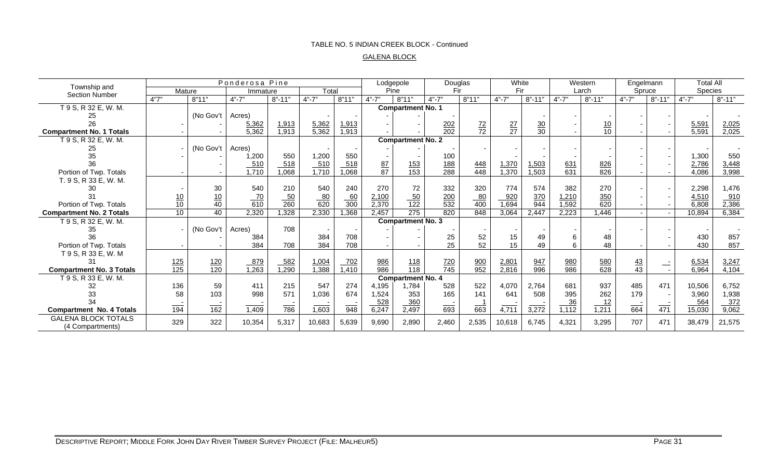### TABLE NO. 5 INDIAN CREEK BLOCK - Continued

#### GALENA BLOCK

| Township and                                   | Ponderosa Pine    |                          |                    |                                             | Lodgepole<br>Douglas |                  | White           |                          | Western           |                   | Engelmann       |                 | <b>Total All</b>  |                   |                 |            |           |            |
|------------------------------------------------|-------------------|--------------------------|--------------------|---------------------------------------------|----------------------|------------------|-----------------|--------------------------|-------------------|-------------------|-----------------|-----------------|-------------------|-------------------|-----------------|------------|-----------|------------|
| <b>Section Number</b>                          | Mature            |                          | Immature           |                                             | Total                |                  | Pine            |                          | Fir               |                   | Fir             |                 | Larch             |                   | Spruce          |            | Species   |            |
|                                                | 4"7"              | 8"11"                    | $4" - 7"$          | $8" - 11"$                                  | $4" - 7"$            | 8"11"            | $4" - 7"$       | 8"11"                    | $4" - 7"$         | 8"11"             | $4" - 7"$       | $8" - 11"$      | $4" - 7"$         | $8" - 11"$        | $4" - 7"$       | $8" - 11"$ | $4" - 7"$ | $8" - 11"$ |
| T 9 S, R 32 E, W. M.                           |                   |                          |                    |                                             |                      |                  |                 | <b>Compartment No. 1</b> |                   |                   |                 |                 |                   |                   |                 |            |           |            |
|                                                |                   | (No Gov't                | Acres)             |                                             |                      |                  |                 |                          |                   |                   |                 |                 |                   |                   |                 |            |           |            |
| 26                                             |                   |                          | 5,362              | 1,913                                       | 5,362                | 1,913            |                 |                          | $\frac{202}{202}$ | $\frac{72}{72}$   | $\frac{27}{27}$ | $\frac{30}{30}$ |                   | $\frac{10}{10}$   |                 |            | 5,591     | 2,025      |
| <b>Compartment No. 1 Totals</b>                |                   |                          | 5,362              | 1,913                                       | 5,362                | 1,913            |                 |                          |                   |                   |                 |                 |                   |                   |                 |            | 5,591     | 2,025      |
| T 9 S, R 32 E, W. M.                           |                   |                          |                    |                                             |                      |                  |                 | <b>Compartment No. 2</b> |                   |                   |                 |                 |                   |                   |                 |            |           |            |
| 25                                             |                   | (No Gov't                | Acres)             |                                             |                      |                  |                 |                          |                   |                   |                 |                 |                   |                   |                 |            |           |            |
| 35                                             |                   |                          | 1,200              | 550                                         | 1,200                | 550              |                 |                          | 100               |                   |                 |                 |                   |                   |                 |            | 1,300     | 550        |
| 36                                             |                   |                          | 510                | 518                                         | $\frac{510}{1,710}$  | 518              | $\frac{87}{87}$ | $\frac{153}{153}$        | $\frac{188}{288}$ | $\frac{448}{448}$ | 1,370           | 1,503           | $\frac{631}{631}$ | $\frac{826}{826}$ |                 |            | 2,786     | 3,448      |
| Portion of Twp. Totals                         |                   |                          | $\overline{1,710}$ | 1,068                                       |                      | 1,068            |                 |                          |                   |                   | 1,370           | 1,503           |                   |                   |                 |            | 4,086     | 3,998      |
| T. 9 S, R 33 E, W. M.                          |                   |                          |                    |                                             |                      |                  |                 |                          |                   |                   |                 |                 |                   |                   |                 |            |           |            |
|                                                |                   | 30                       | 540                | 210                                         | 540                  | 240              | 270             | 72                       | 332               | 320               | 774             | 574             | 382               | 270               |                 |            | 2,298     | 1,476      |
|                                                | $\frac{10}{10}$   | $\frac{10}{40}$          | $\frac{70}{610}$   | $\frac{50}{260}$                            | $\frac{80}{620}$     | $\frac{60}{300}$ | 2,100           | $\frac{50}{122}$         | $\frac{200}{532}$ | 80                | 920             | 370             | 1,210             | 350               |                 |            | 4,510     | 910        |
| Portion of Twp. Totals                         |                   |                          |                    |                                             |                      |                  | 2,370           |                          |                   | 400               | 1,694           | 944             | 1,592             | 620               |                 |            | 6,808     | 2,386      |
| <b>Compartment No. 2 Totals</b>                | 10                | 40                       | 2,320              | 1,328                                       | 2,330                | 1,368            | 2,457           | 275                      | 820               | 848               | 3,064           | 2,447           | 2,223             | 1,446             | $\sim$          |            | 10,894    | 6,384      |
| T 9 S, R 32 E, W. M.                           |                   |                          |                    |                                             |                      |                  |                 | <b>Compartment No. 3</b> |                   |                   |                 |                 |                   |                   |                 |            |           |            |
| 35                                             |                   | (No Gov't                | Acres)             | 708                                         |                      |                  |                 |                          |                   |                   |                 |                 |                   |                   |                 |            |           |            |
| 36                                             |                   |                          | 384                |                                             | 384                  | 708              |                 |                          | 25                | 52                | 15              | 49              | 6                 | 48                |                 |            | 430       | 857        |
| Portion of Twp. Totals                         |                   |                          | 384                | 708                                         | 384                  | 708              |                 |                          | 25                | 52                | 15              | 49              | 6                 | 48                |                 |            | 430       | 857        |
| T 9 S, R 33 E, W. M                            |                   |                          |                    |                                             |                      |                  |                 |                          |                   |                   |                 |                 |                   |                   |                 |            |           |            |
|                                                | $\frac{125}{125}$ | $\frac{120}{120}$        | 879                | 582                                         | 1,004                | 702              | 986             | $\frac{118}{118}$        | $\frac{720}{745}$ | 900               | 2,801           | 947             | 980               | $\frac{580}{628}$ | $\overline{43}$ | $\equiv$   | 6,534     | 3,247      |
| <b>Compartment No. 3 Totals</b>                |                   |                          | 1,263              | 1,290                                       | 1,388                | 1,410            | 986             |                          |                   | 952               | 2,816           | 996             | 986               |                   | 43              |            | 6,964     | 4,104      |
| T 9 S, R 33 E, W. M.                           |                   |                          |                    |                                             |                      |                  |                 | <b>Compartment No. 4</b> |                   |                   |                 |                 |                   |                   |                 |            |           |            |
|                                                | 136               | 59                       | 411                | 215                                         | 547                  | 274              | 4,195           | 1,784                    | 528               | 522               | 4,070           | 2,764           | 681               | 937               | 485             | 471        | 10,506    | 6,752      |
| 33                                             | 58                | 103                      | 998                | 571                                         | 1,036                | 674              | 1,524           | 353                      | 165               | 141               | 641             | 508             | 395               | 262               | 179             |            | 3,960     | 1,938      |
| 34                                             | ____              | $\overline{\phantom{a}}$ |                    | $\qquad \qquad \overbrace{ \qquad \qquad }$ |                      |                  | $-528$          | 360                      | $\equiv$          |                   |                 |                 | $\frac{36}{5}$    | $-12$             | $\qquad \qquad$ |            | $-564$    | 372        |
| <b>Compartment No. 4 Totals</b>                | 194               | 162                      | 1,409              | 786                                         | 1,603                | 948              | 6,247           | 2,497                    | 693               | 663               | 4,711           | 3,272           | 1,112             | 1,211             | 664             | 471        | 15,030    | 9,062      |
| <b>GALENA BLOCK TOTALS</b><br>(4 Compartments) | 329               | 322                      | 10,354             | 5,317                                       | 10,683               | 5,639            | 9,690           | 2,890                    | 2,460             | 2,535             | 10,618          | 6.745           | 4,321             | 3,295             | 707             | 471        | 38,479    | 21,575     |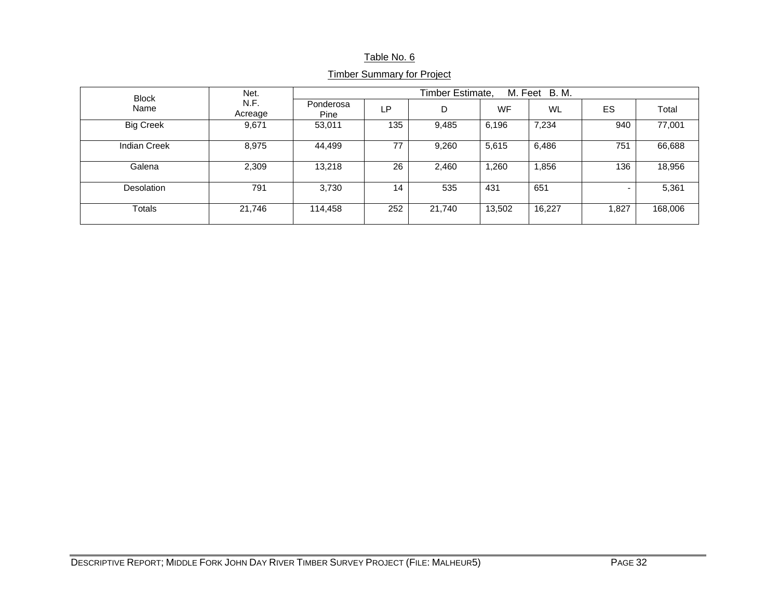### Table No. 6

| <b>Block</b>        | Net.            | Timber Estimate,<br>M. Feet B. M. |     |        |           |        |                          |         |  |  |
|---------------------|-----------------|-----------------------------------|-----|--------|-----------|--------|--------------------------|---------|--|--|
| Name                | N.F.<br>Acreage | Ponderosa<br>Pine                 | LP. | D      | <b>WF</b> | WL     | ES                       | Total   |  |  |
| <b>Big Creek</b>    | 9,671           | 53,011                            | 135 | 9,485  | 6,196     | 7,234  | 940                      | 77,001  |  |  |
| <b>Indian Creek</b> | 8,975           | 44,499                            | 77  | 9,260  | 5,615     | 6,486  | 751                      | 66,688  |  |  |
| Galena              | 2,309           | 13,218                            | 26  | 2,460  | 1,260     | 1,856  | 136                      | 18,956  |  |  |
| <b>Desolation</b>   | 791             | 3,730                             | 14  | 535    | 431       | 651    | $\overline{\phantom{0}}$ | 5,361   |  |  |
| <b>Totals</b>       | 21,746          | 114,458                           | 252 | 21,740 | 13,502    | 16,227 | 1,827                    | 168,006 |  |  |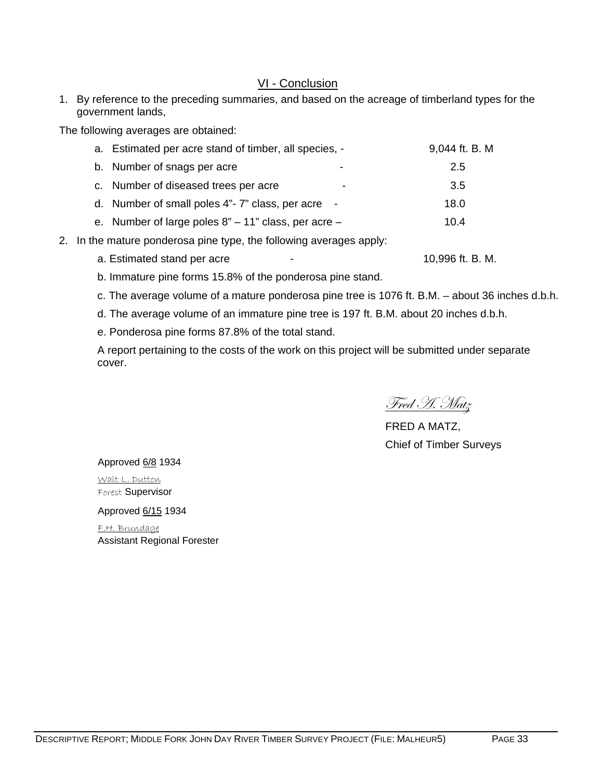# VI - Conclusion

1. By reference to the preceding summaries, and based on the acreage of timberland types for the government lands,

The following averages are obtained:

| a. Estimated per acre stand of timber, all species, -        | 9,044 ft. B. M |
|--------------------------------------------------------------|----------------|
| b. Number of snags per acre<br>٠                             | 2.5            |
| c. Number of diseased trees per acre                         | 3.5            |
| d. Number of small poles 4"- 7" class, per acre -            | 18.0           |
| e. Number of large poles $8" - 11"$ class, per acre $-$      | 10.4           |
| the meture pendersee pine tupe, the following overage enply. |                |

- 2. In the mature ponderosa pine type, the following averages apply:
	- a. Estimated stand per acre  $\qquad \qquad \qquad \qquad$  10,996 ft. B. M.

b. Immature pine forms 15.8% of the ponderosa pine stand.

- c. The average volume of a mature ponderosa pine tree is 1076 ft. B.M. about 36 inches d.b.h.
- d. The average volume of an immature pine tree is 197 ft. B.M. about 20 inches d.b.h.
- e. Ponderosa pine forms 87.8% of the total stand.

A report pertaining to the costs of the work on this project will be submitted under separate cover.

Fred H. Matz

FRED A MATZ, Chief of Timber Surveys

Approved 6/8 1934

Walt L. Dutton Forest Supervisor

Approved 6/15 1934

F.H. Brundage Assistant Regional Forester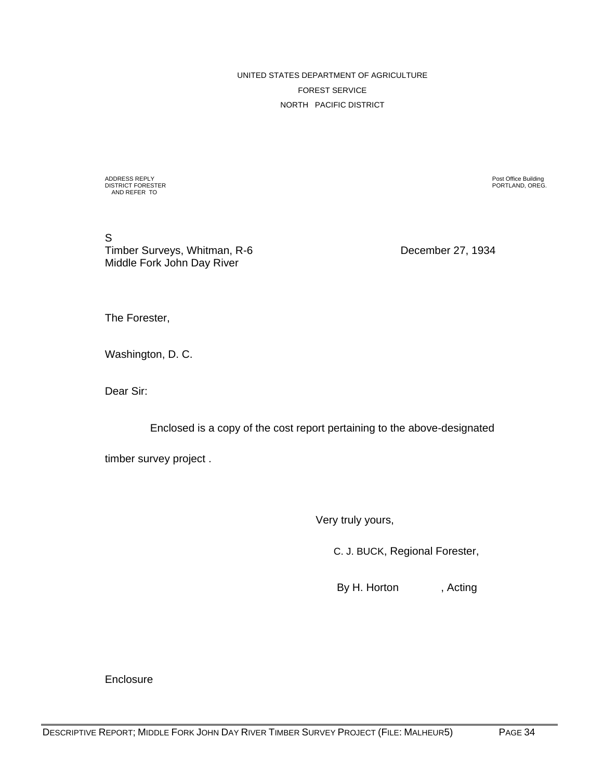UNITED STATES DEPARTMENT OF AGRICULTURE FOREST SERVICE NORTH PACIFIC DISTRICT

ADDRESS REPLY Post Office Building DISTRICT FORESTER PORTLAND, OREG. AND REFER TO

S Timber Surveys, Whitman, R-6 December 27, 1934 Middle Fork John Day River

The Forester,

Washington, D. C.

Dear Sir:

Enclosed is a copy of the cost report pertaining to the above-designated

timber survey project .

Very truly yours,

C. J. BUCK, Regional Forester,

By H. Horton , Acting

**Enclosure**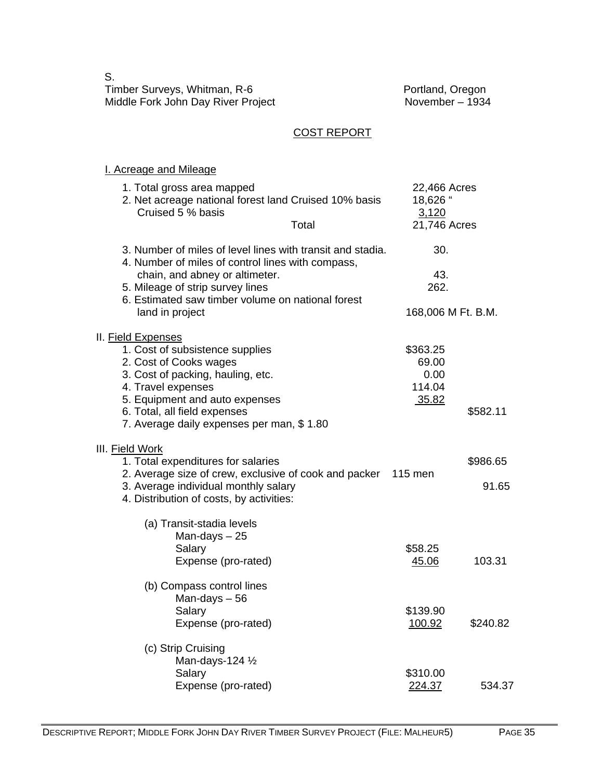S. Timber Surveys, Whitman, R-6 **Portland, Oregon** Middle Fork John Day River Project<br>Middle Fork John Day River Project November – 1934

# COST REPORT

### I. Acreage and Mileage

| 1. Total gross area mapped                                                                                      | 22,466 Acres       |          |
|-----------------------------------------------------------------------------------------------------------------|--------------------|----------|
| 2. Net acreage national forest land Cruised 10% basis                                                           | 18,626 "           |          |
| Cruised 5 % basis                                                                                               | 3,120              |          |
| Total                                                                                                           | 21,746 Acres       |          |
| 3. Number of miles of level lines with transit and stadia.<br>4. Number of miles of control lines with compass, | 30.                |          |
| chain, and abney or altimeter.                                                                                  | 43.                |          |
| 5. Mileage of strip survey lines                                                                                | 262.               |          |
| 6. Estimated saw timber volume on national forest                                                               |                    |          |
| land in project                                                                                                 | 168,006 M Ft. B.M. |          |
| II. Field Expenses                                                                                              |                    |          |
| 1. Cost of subsistence supplies                                                                                 | \$363.25           |          |
| 2. Cost of Cooks wages                                                                                          | 69.00              |          |
| 3. Cost of packing, hauling, etc.                                                                               | 0.00               |          |
| 4. Travel expenses                                                                                              | 114.04             |          |
| 5. Equipment and auto expenses                                                                                  | 35.82              |          |
| 6. Total, all field expenses                                                                                    |                    | \$582.11 |
| 7. Average daily expenses per man, \$1.80                                                                       |                    |          |
| III. Field Work                                                                                                 |                    |          |
| 1. Total expenditures for salaries                                                                              |                    | \$986.65 |
| 2. Average size of crew, exclusive of cook and packer 115 men                                                   |                    |          |
| 3. Average individual monthly salary                                                                            |                    | 91.65    |
| 4. Distribution of costs, by activities:                                                                        |                    |          |
| (a) Transit-stadia levels                                                                                       |                    |          |
| Man-days-25                                                                                                     |                    |          |
| Salary                                                                                                          | \$58.25            |          |
| Expense (pro-rated)                                                                                             | 45.06              | 103.31   |
| (b) Compass control lines                                                                                       |                    |          |
| Man-days - 56                                                                                                   |                    |          |
| Salary                                                                                                          | \$139.90           |          |
| Expense (pro-rated)                                                                                             | 100.92             | \$240.82 |
| (c) Strip Cruising                                                                                              |                    |          |
| Man-days-124 1/2                                                                                                |                    |          |
| Salary                                                                                                          | \$310.00           |          |
| Expense (pro-rated)                                                                                             | 224.37             | 534.37   |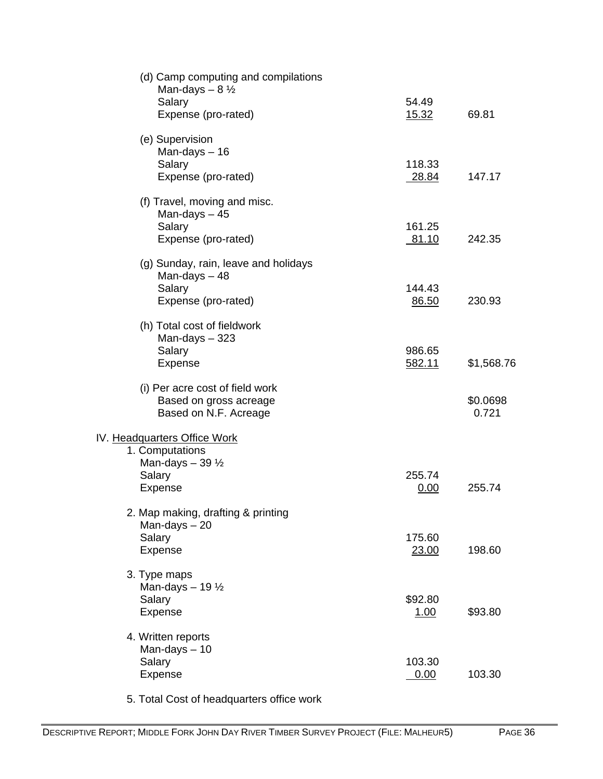| Man-days $-8\frac{1}{2}$                                                           | (d) Camp computing and compilations |                 |                   |
|------------------------------------------------------------------------------------|-------------------------------------|-----------------|-------------------|
| Salary<br>Expense (pro-rated)                                                      |                                     | 54.49<br>15.32  | 69.81             |
| (e) Supervision<br>Man-days $-16$                                                  |                                     |                 |                   |
| Salary<br>Expense (pro-rated)                                                      |                                     | 118.33<br>28.84 | 147.17            |
| (f) Travel, moving and misc.<br>Man-days $-45$                                     |                                     |                 |                   |
| Salary<br>Expense (pro-rated)                                                      |                                     | 161.25<br>81.10 | 242.35            |
| (g) Sunday, rain, leave and holidays<br>Man-days $-48$                             |                                     |                 |                   |
| Salary<br>Expense (pro-rated)                                                      |                                     | 144.43<br>86.50 | 230.93            |
| (h) Total cost of fieldwork<br>Man-days $-323$                                     |                                     | 986.65          |                   |
| Salary<br>Expense                                                                  |                                     | 582.11          | \$1,568.76        |
| (i) Per acre cost of field work<br>Based on gross acreage<br>Based on N.F. Acreage |                                     |                 | \$0.0698<br>0.721 |
| IV. Headquarters Office Work<br>1. Computations                                    |                                     |                 |                   |
| Man-days $-39\frac{1}{2}$<br>Salary<br>Expense                                     |                                     | 255.74<br>0.00  | 255.74            |
| 2. Map making, drafting & printing<br>Man-days-20                                  |                                     |                 |                   |
| Salary<br>Expense                                                                  |                                     | 175.60<br>23.00 | 198.60            |
| 3. Type maps<br>Man-days $-19\frac{1}{2}$                                          |                                     |                 |                   |
| Salary<br>Expense                                                                  |                                     | \$92.80<br>1.00 | \$93.80           |
| 4. Written reports<br>Man-days $-10$                                               |                                     |                 |                   |
| Salary<br>Expense                                                                  |                                     | 103.30<br>0.00  | 103.30            |
|                                                                                    |                                     |                 |                   |

5. Total Cost of headquarters office work